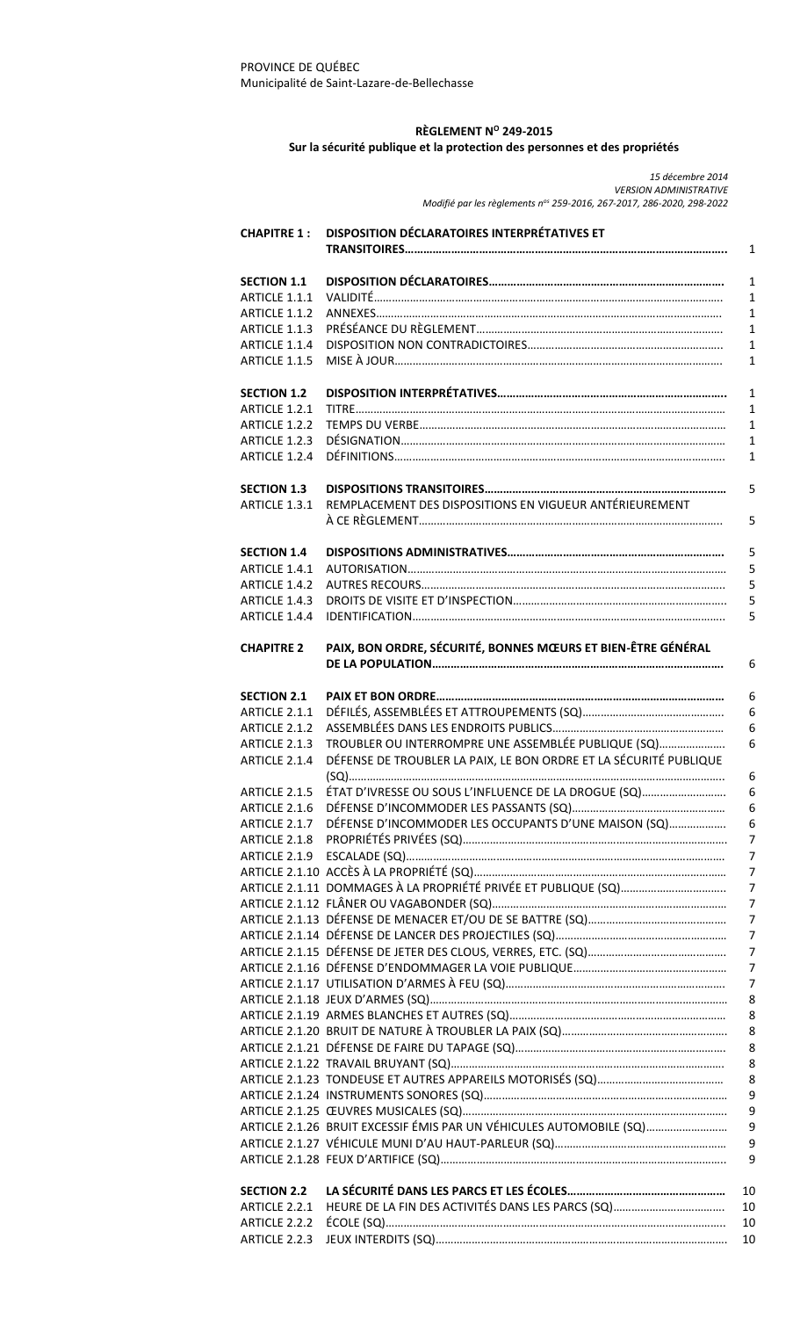# **RÈGLEMENT N<sup>O</sup> 249-2015**

# **Sur la sécurité publique et la protection des personnes et des propriétés**

*15 décembre 2014 VERSION ADMINISTRATIVE Modifié par les règlements nos 259-2016, 267-2017, 286-2020, 298-2022*

| <b>CHAPITRE 1:</b> | DISPOSITION DÉCLARATOIRES INTERPRÉTATIVES ET<br>$\mathbf{1}$             |
|--------------------|--------------------------------------------------------------------------|
| <b>SECTION 1.1</b> | $\mathbf{1}$                                                             |
| ARTICLE 1.1.1      | $\mathbf{1}$                                                             |
| ARTICLE 1.1.2      | $\mathbf{1}$                                                             |
| ARTICLE 1.1.3      | $\mathbf{1}$                                                             |
| ARTICLE 1.1.4      | $\mathbf{1}$                                                             |
| ARTICLE 1.1.5      | $\mathbf{1}$                                                             |
| <b>SECTION 1.2</b> | $\mathbf{1}$                                                             |
| ARTICLE 1.2.1      | $\mathbf{1}$                                                             |
| ARTICLE 1.2.2      | $\mathbf{1}$                                                             |
| ARTICLE 1.2.3      | $\mathbf{1}$                                                             |
| ARTICLE 1.2.4      | $\mathbf{1}$                                                             |
| <b>SECTION 1.3</b> | 5                                                                        |
| ARTICLE 1.3.1      | REMPLACEMENT DES DISPOSITIONS EN VIGUEUR ANTÉRIEUREMENT<br>5             |
| <b>SECTION 1.4</b> | 5                                                                        |
| ARTICLE 1.4.1      | 5                                                                        |
| ARTICLE 1.4.2      | 5                                                                        |
| ARTICLE 1.4.3      | 5                                                                        |
| ARTICLE 1.4.4      | 5                                                                        |
| <b>CHAPITRE 2</b>  | PAIX, BON ORDRE, SÉCURITÉ, BONNES MŒURS ET BIEN-ÊTRE GÉNÉRAL<br>6        |
| <b>SECTION 2.1</b> | 6                                                                        |
| ARTICLE 2.1.1      | 6                                                                        |
| ARTICLE 2.1.2      | 6                                                                        |
| ARTICLE 2.1.3      | TROUBLER OU INTERROMPRE UNE ASSEMBLÉE PUBLIQUE (SQ)<br>6                 |
| ARTICLE 2.1.4      | DÉFENSE DE TROUBLER LA PAIX, LE BON ORDRE ET LA SÉCURITÉ PUBLIQUE<br>6   |
| ARTICLE 2.1.5      | ÉTAT D'IVRESSE OU SOUS L'INFLUENCE DE LA DROGUE (SQ)<br>6                |
| ARTICLE 2.1.6      | 6                                                                        |
| ARTICLE 2.1.7      | DÉFENSE D'INCOMMODER LES OCCUPANTS D'UNE MAISON (SQ)<br>6                |
| ARTICLE 2.1.8      | $\overline{7}$                                                           |
|                    | $\overline{7}$                                                           |
|                    | $\overline{7}$                                                           |
|                    | 7                                                                        |
|                    | 7                                                                        |
|                    | 7                                                                        |
|                    | 7                                                                        |
|                    | 7                                                                        |
|                    | 7<br>7                                                                   |
|                    | 8                                                                        |
|                    | 8                                                                        |
|                    | 8                                                                        |
|                    | 8                                                                        |
|                    | 8                                                                        |
|                    | 8                                                                        |
|                    | 9                                                                        |
|                    | 9                                                                        |
|                    | ARTICLE 2.1.26 BRUIT EXCESSIF ÉMIS PAR UN VÉHICULES AUTOMOBILE (SQ)<br>9 |
|                    | 9                                                                        |
|                    | 9                                                                        |
| <b>SECTION 2.2</b> | 10                                                                       |
| ARTICLE 2.2.1      | 10                                                                       |
| ARTICLE 2.2.2      | 10                                                                       |
| ARTICLE 2.2.3      | 10                                                                       |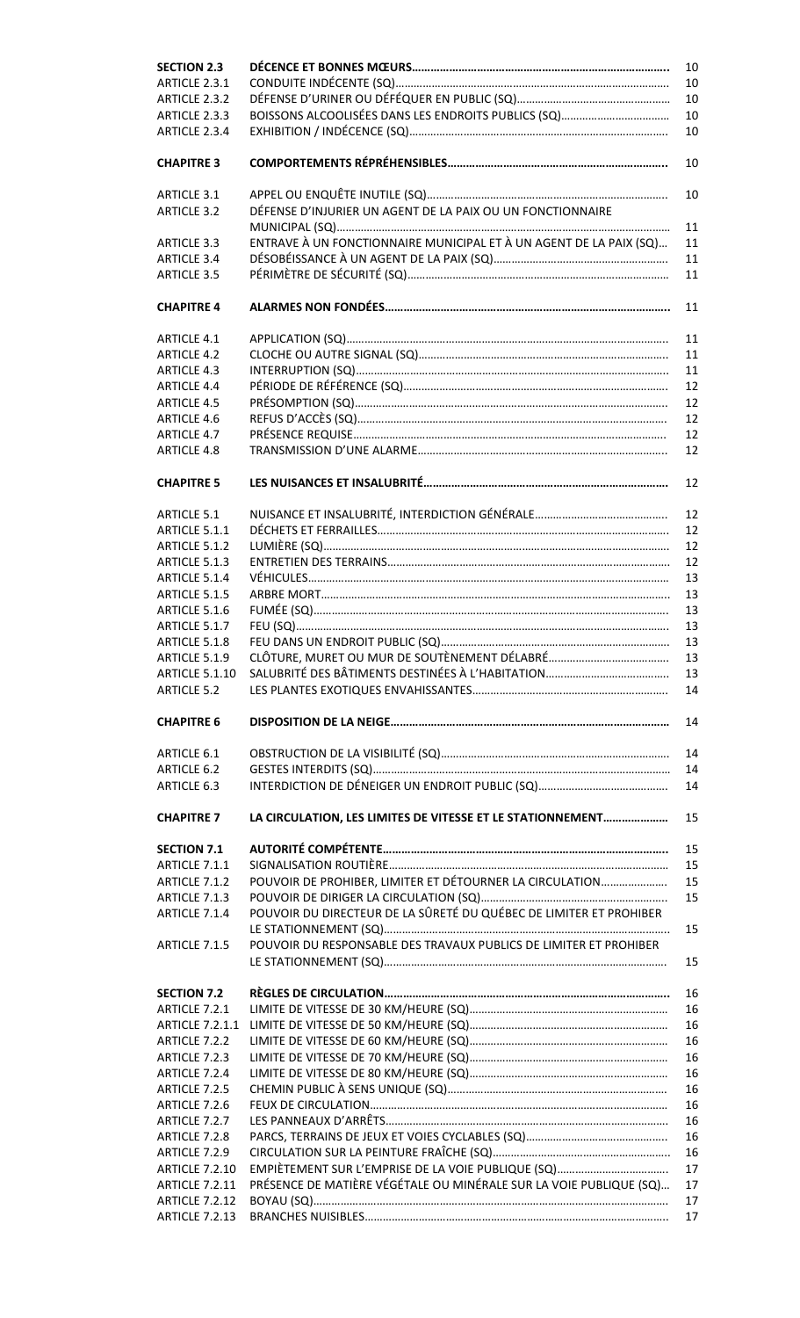| <b>SECTION 2.3</b>                             | 10                                                                       |  |  |
|------------------------------------------------|--------------------------------------------------------------------------|--|--|
| ARTICLE 2.3.1                                  | 10                                                                       |  |  |
| ARTICLE 2.3.2                                  | 10                                                                       |  |  |
| ARTICLE 2.3.3                                  | 10                                                                       |  |  |
| ARTICLE 2.3.4                                  | 10                                                                       |  |  |
| <b>CHAPITRE 3</b>                              | 10                                                                       |  |  |
| <b>ARTICLE 3.1</b>                             | 10                                                                       |  |  |
| <b>ARTICLE 3.2</b>                             | DÉFENSE D'INJURIER UN AGENT DE LA PAIX OU UN FONCTIONNAIRE<br>11         |  |  |
| ARTICLE 3.3                                    | ENTRAVE À UN FONCTIONNAIRE MUNICIPAL ET À UN AGENT DE LA PAIX (SQ)<br>11 |  |  |
| <b>ARTICLE 3.4</b>                             | 11                                                                       |  |  |
| <b>ARTICLE 3.5</b>                             |                                                                          |  |  |
| <b>CHAPITRE 4</b>                              | 11                                                                       |  |  |
| <b>ARTICLE 4.1</b>                             | 11                                                                       |  |  |
| <b>ARTICLE 4.2</b>                             | 11                                                                       |  |  |
| <b>ARTICLE 4.3</b>                             | 11                                                                       |  |  |
| <b>ARTICLE 4.4</b>                             | 12                                                                       |  |  |
| <b>ARTICLE 4.5</b>                             | 12                                                                       |  |  |
| <b>ARTICLE 4.6</b>                             | 12                                                                       |  |  |
| <b>ARTICLE 4.7</b>                             | 12                                                                       |  |  |
| <b>ARTICLE 4.8</b>                             | 12                                                                       |  |  |
| <b>CHAPITRE 5</b>                              | 12                                                                       |  |  |
| <b>ARTICLE 5.1</b>                             | 12                                                                       |  |  |
| ARTICLE 5.1.1                                  | 12                                                                       |  |  |
|                                                | 12                                                                       |  |  |
| ARTICLE 5.1.2<br>ARTICLE 5.1.3                 | 12                                                                       |  |  |
|                                                |                                                                          |  |  |
| ARTICLE 5.1.4                                  | 13                                                                       |  |  |
| ARTICLE 5.1.5                                  | 13                                                                       |  |  |
| ARTICLE 5.1.6                                  | 13                                                                       |  |  |
| ARTICLE 5.1.7                                  | 13                                                                       |  |  |
| ARTICLE 5.1.8                                  | 13                                                                       |  |  |
| ARTICLE 5.1.9                                  | 13                                                                       |  |  |
| <b>ARTICLE 5.1.10</b>                          | 13                                                                       |  |  |
| <b>ARTICLE 5.2</b>                             | 14                                                                       |  |  |
| <b>CHAPITRE 6</b>                              | 14                                                                       |  |  |
| ARTICLE 6.1                                    | 14                                                                       |  |  |
| ARTICLE 6.2                                    | 14                                                                       |  |  |
| ARTICLE 6.3                                    | 14                                                                       |  |  |
| <b>CHAPITRE 7</b>                              | 15<br>LA CIRCULATION, LES LIMITES DE VITESSE ET LE STATIONNEMENT         |  |  |
| <b>SECTION 7.1</b>                             | 15                                                                       |  |  |
| ARTICLE 7.1.1                                  | 15                                                                       |  |  |
| ARTICLE 7.1.2                                  | POUVOIR DE PROHIBER, LIMITER ET DÉTOURNER LA CIRCULATION<br>15           |  |  |
| ARTICLE 7.1.3                                  | 15                                                                       |  |  |
| ARTICLE 7.1.4                                  | POUVOIR DU DIRECTEUR DE LA SÛRETÉ DU QUÉBEC DE LIMITER ET PROHIBER       |  |  |
|                                                | 15                                                                       |  |  |
| ARTICLE 7.1.5                                  | POUVOIR DU RESPONSABLE DES TRAVAUX PUBLICS DE LIMITER ET PROHIBER<br>15  |  |  |
| <b>SECTION 7.2</b>                             | 16                                                                       |  |  |
| ARTICLE 7.2.1                                  | 16                                                                       |  |  |
| <b>ARTICLE 7.2.1.1</b>                         | 16                                                                       |  |  |
| ARTICLE 7.2.2                                  | 16                                                                       |  |  |
|                                                | 16                                                                       |  |  |
| ARTICLE 7.2.3                                  | 16                                                                       |  |  |
| ARTICLE 7.2.4                                  |                                                                          |  |  |
| ARTICLE 7.2.5                                  | 16                                                                       |  |  |
| ARTICLE 7.2.6                                  | 16                                                                       |  |  |
| ARTICLE 7.2.7                                  | 16                                                                       |  |  |
| ARTICLE 7.2.8                                  | 16                                                                       |  |  |
| ARTICLE 7.2.9                                  | 16                                                                       |  |  |
| <b>ARTICLE 7.2.10</b>                          | 17                                                                       |  |  |
| <b>ARTICLE 7.2.11</b>                          | PRÉSENCE DE MATIÈRE VÉGÉTALE OU MINÉRALE SUR LA VOIE PUBLIQUE (SQ)<br>17 |  |  |
| <b>ARTICLE 7.2.12</b><br><b>ARTICLE 7.2.13</b> | 17                                                                       |  |  |
|                                                | 17                                                                       |  |  |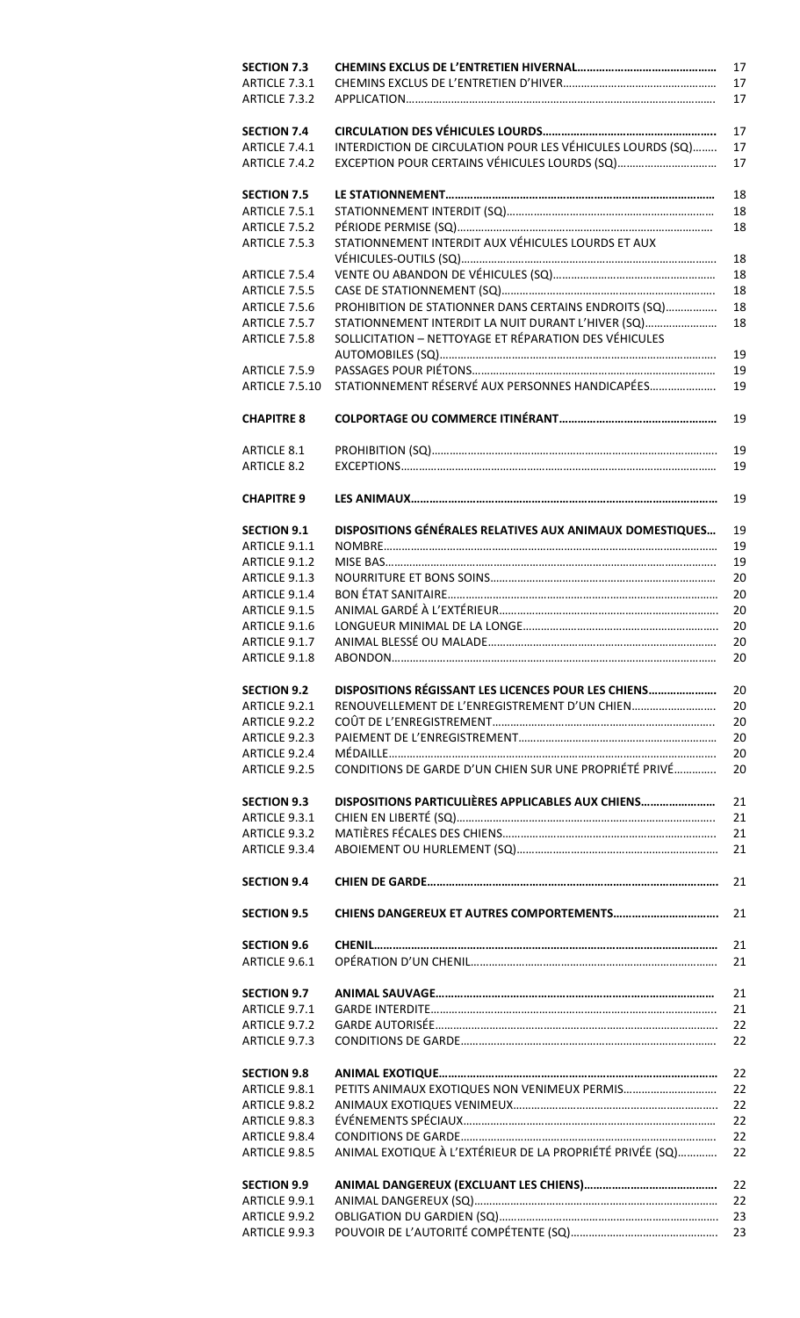| <b>SECTION 7.3</b>                  | 17                                                               |
|-------------------------------------|------------------------------------------------------------------|
| ARTICLE 7.3.1                       | 17                                                               |
| ARTICLE 7.3.2                       | 17                                                               |
| <b>SECTION 7.4</b>                  | 17                                                               |
| ARTICLE 7.4.1                       | INTERDICTION DE CIRCULATION POUR LES VÉHICULES LOURDS (SQ)<br>17 |
| ARTICLE 7.4.2                       | EXCEPTION POUR CERTAINS VÉHICULES LOURDS (SQ)<br>17              |
| <b>SECTION 7.5</b>                  | 18                                                               |
| ARTICLE 7.5.1                       | 18                                                               |
| ARTICLE 7.5.2                       | 18                                                               |
| ARTICLE 7.5.3                       | STATIONNEMENT INTERDIT AUX VÉHICULES LOURDS ET AUX               |
|                                     | 18                                                               |
| ARTICLE 7.5.4                       | 18                                                               |
| ARTICLE 7.5.5                       | 18                                                               |
| ARTICLE 7.5.6                       | PROHIBITION DE STATIONNER DANS CERTAINS ENDROITS (SQ)<br>18      |
| ARTICLE 7.5.7                       | STATIONNEMENT INTERDIT LA NUIT DURANT L'HIVER (SQ)<br>18         |
| ARTICLE 7.5.8                       | SOLLICITATION - NETTOYAGE ET RÉPARATION DES VÉHICULES            |
|                                     | 19                                                               |
| ARTICLE 7.5.9                       | 19                                                               |
| <b>ARTICLE 7.5.10</b>               | STATIONNEMENT RÉSERVÉ AUX PERSONNES HANDICAPÉES<br>19            |
|                                     |                                                                  |
| <b>CHAPITRE 8</b>                   | 19                                                               |
| <b>ARTICLE 8.1</b>                  | 19                                                               |
| <b>ARTICLE 8.2</b>                  | 19                                                               |
| <b>CHAPITRE 9</b>                   | 19                                                               |
| <b>SECTION 9.1</b>                  | DISPOSITIONS GÉNÉRALES RELATIVES AUX ANIMAUX DOMESTIQUES<br>19   |
|                                     |                                                                  |
| ARTICLE 9.1.1                       | 19                                                               |
| ARTICLE 9.1.2                       | 19                                                               |
| ARTICLE 9.1.3                       | 20                                                               |
| ARTICLE 9.1.4                       | 20                                                               |
| ARTICLE 9.1.5                       | 20                                                               |
| ARTICLE 9.1.6                       | 20                                                               |
| ARTICLE 9.1.7                       | 20                                                               |
| ARTICLE 9.1.8                       | 20                                                               |
| <b>SECTION 9.2</b>                  | DISPOSITIONS RÉGISSANT LES LICENCES POUR LES CHIENS<br>20        |
| ARTICLE 9.2.1                       | RENOUVELLEMENT DE L'ENREGISTREMENT D'UN CHIEN<br>20              |
| ARTICLE 9.2.2                       | 20                                                               |
| ARTICLE 9.2.3                       | 20                                                               |
| ARTICLE 9.2.4                       | 20                                                               |
| ARTICLE 9.2.5                       | CONDITIONS DE GARDE D'UN CHIEN SUR UNE PROPRIÉTÉ PRIVÉ<br>20     |
|                                     |                                                                  |
| <b>SECTION 9.3</b>                  | DISPOSITIONS PARTICULIÈRES APPLICABLES AUX CHIENS<br>21          |
| ARTICLE 9.3.1                       | 21                                                               |
| ARTICLE 9.3.2                       | 21                                                               |
| ARTICLE 9.3.4                       | 21                                                               |
| <b>SECTION 9.4</b>                  | 21                                                               |
| <b>SECTION 9.5</b>                  | 21                                                               |
|                                     |                                                                  |
| <b>SECTION 9.6</b><br>ARTICLE 9.6.1 | 21<br>21                                                         |
|                                     |                                                                  |
| <b>SECTION 9.7</b>                  | 21                                                               |
| ARTICLE 9.7.1                       | 21                                                               |
| ARTICLE 9.7.2                       | 22                                                               |
| ARTICLE 9.7.3                       | 22                                                               |
| <b>SECTION 9.8</b>                  | 22                                                               |
| ARTICLE 9.8.1                       | 22                                                               |
| ARTICLE 9.8.2                       | 22                                                               |
| ARTICLE 9.8.3                       | 22                                                               |
| ARTICLE 9.8.4                       | 22                                                               |
| ARTICLE 9.8.5                       | ANIMAL EXOTIQUE À L'EXTÉRIEUR DE LA PROPRIÉTÉ PRIVÉE (SQ)<br>22  |
|                                     |                                                                  |
| <b>SECTION 9.9</b>                  | 22                                                               |
| ARTICLE 9.9.1                       | 22                                                               |
| ARTICLE 9.9.2                       | 23                                                               |
| ARTICLE 9.9.3                       | 23                                                               |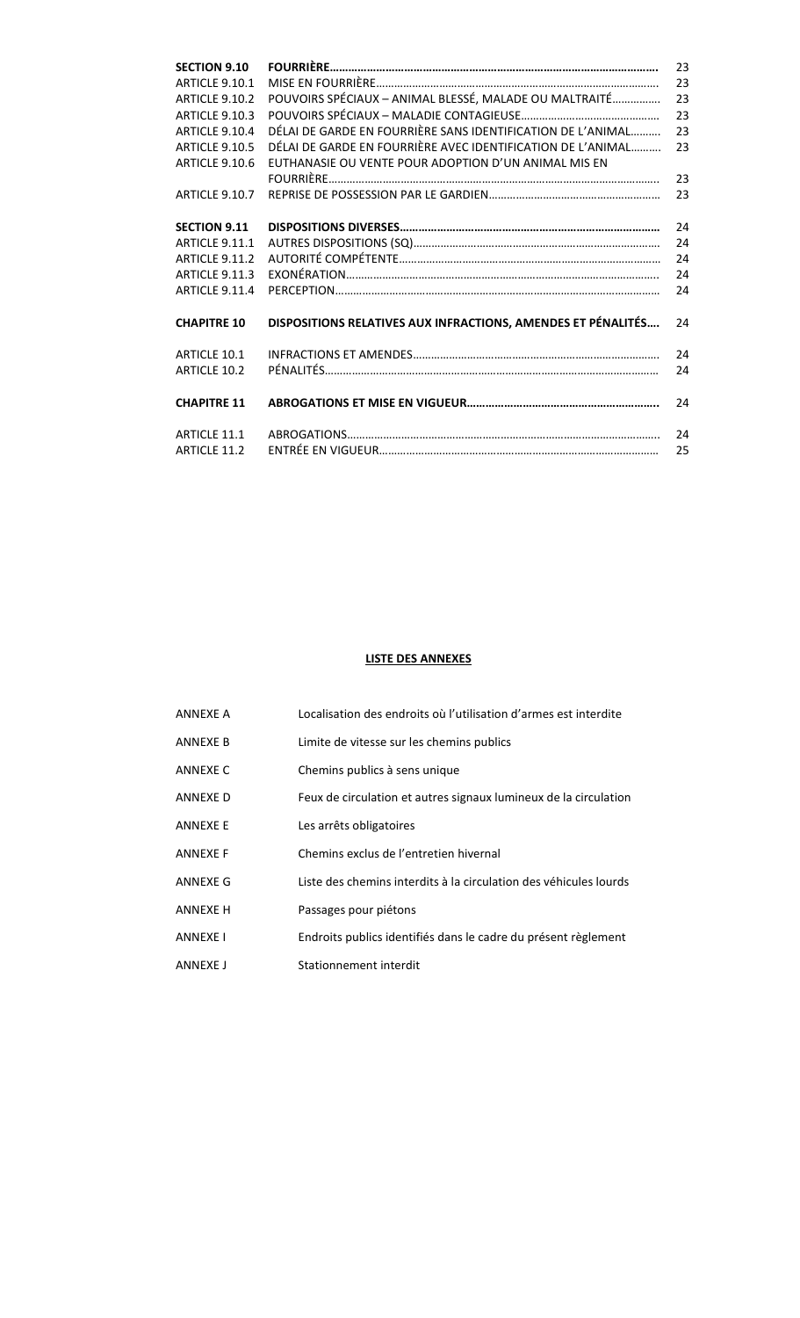| <b>SECTION 9.10</b>   |                                                              | 23 |
|-----------------------|--------------------------------------------------------------|----|
| <b>ARTICLE 9.10.1</b> |                                                              | 23 |
| <b>ARTICLE 9.10.2</b> | POUVOIRS SPÉCIAUX - ANIMAL BLESSÉ, MALADE OU MALTRAITÉ       | 23 |
| <b>ARTICLE 9.10.3</b> |                                                              | 23 |
| ARTICLE 9.10.4        | DÉLAI DE GARDE EN FOURRIÈRE SANS IDENTIFICATION DE L'ANIMAL  | 23 |
| <b>ARTICLE 9.10.5</b> | DÉLAI DE GARDE EN FOURRIÈRE AVEC IDENTIFICATION DE L'ANIMAL  | 23 |
| ARTICLE 9.10.6        | EUTHANASIE OU VENTE POUR ADOPTION D'UN ANIMAL MIS EN         |    |
|                       |                                                              | 23 |
| ARTICLE 9.10.7        |                                                              | 23 |
|                       |                                                              |    |
| <b>SECTION 9.11</b>   |                                                              | 24 |
| <b>ARTICLE 9.11.1</b> |                                                              | 24 |
| ARTICLE 9.11.2        |                                                              | 24 |
| ARTICLE 9.11.3        |                                                              | 24 |
| ARTICLE 9.11.4        |                                                              | 24 |
|                       |                                                              |    |
| <b>CHAPITRE 10</b>    | DISPOSITIONS RELATIVES AUX INFRACTIONS, AMENDES ET PÉNALITÉS | 24 |
|                       |                                                              |    |
| ARTICLE 10.1          |                                                              | 24 |
| ARTICLE 10.2          |                                                              | 24 |
|                       |                                                              |    |
| <b>CHAPITRE 11</b>    |                                                              | 24 |
|                       |                                                              |    |
| ARTICLE 11.1          |                                                              | 24 |
| ARTICLE 11.2          |                                                              | 25 |

# **LISTE DES ANNEXES**

| <b>ANNEXE A</b> | Localisation des endroits où l'utilisation d'armes est interdite  |
|-----------------|-------------------------------------------------------------------|
| ANNFXF B        | Limite de vitesse sur les chemins publics                         |
| ANNEXE C        | Chemins publics à sens unique                                     |
| ANNEXE D        | Feux de circulation et autres signaux lumineux de la circulation  |
| <b>ANNEXE E</b> | Les arrêts obligatoires                                           |
| <b>ANNEXE F</b> | Chemins exclus de l'entretien hivernal                            |
| ANNEXE G        | Liste des chemins interdits à la circulation des véhicules lourds |
| <b>ANNEXE H</b> | Passages pour piétons                                             |
| <b>ANNEXE I</b> | Endroits publics identifiés dans le cadre du présent règlement    |
| <b>ANNEXE I</b> | Stationnement interdit                                            |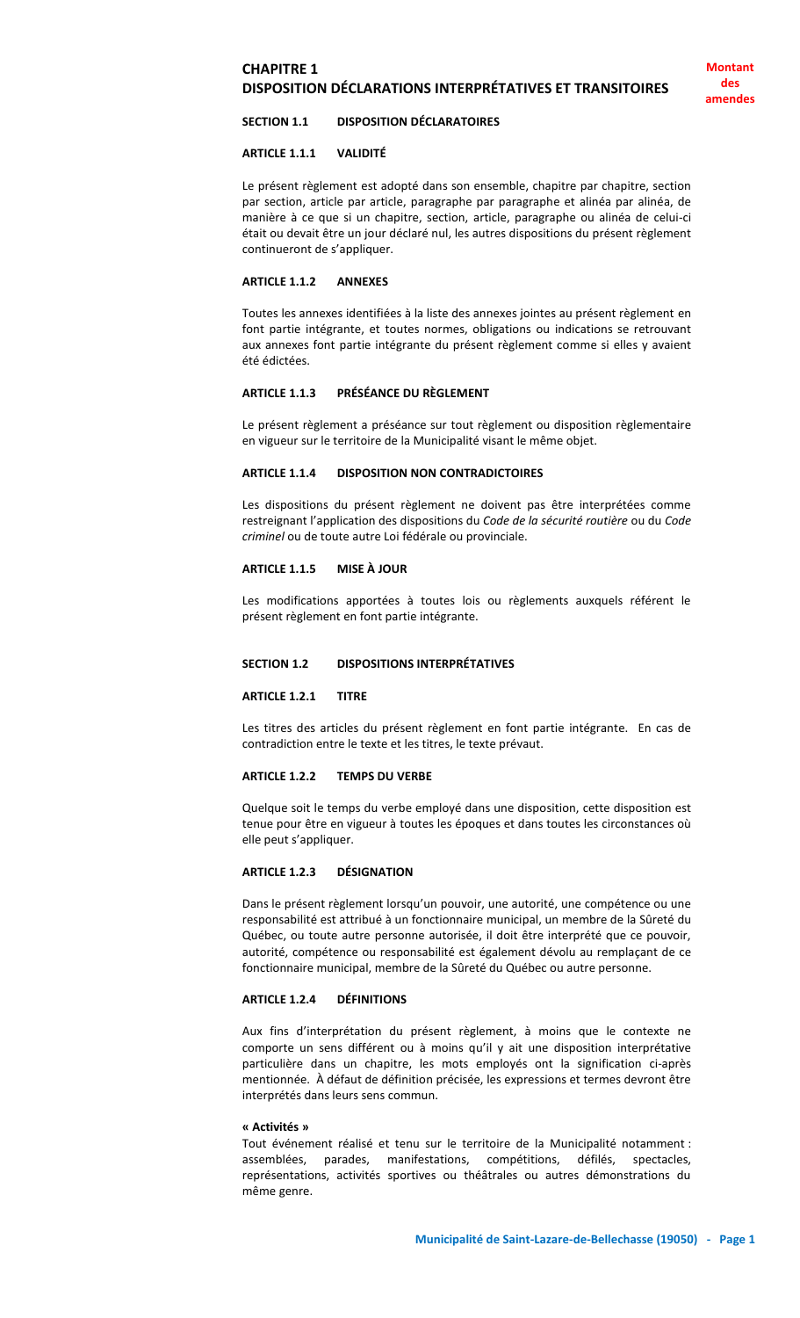# **CHAPITRE 1 DISPOSITION DÉCLARATIONS INTERPRÉTATIVES ET TRANSITOIRES**

#### **SECTION 1.1 DISPOSITION DÉCLARATOIRES**

#### **ARTICLE 1.1.1 VALIDITÉ**

Le présent règlement est adopté dans son ensemble, chapitre par chapitre, section par section, article par article, paragraphe par paragraphe et alinéa par alinéa, de manière à ce que si un chapitre, section, article, paragraphe ou alinéa de celui-ci était ou devait être un jour déclaré nul, les autres dispositions du présent règlement continueront de s'appliquer.

#### **ARTICLE 1.1.2 ANNEXES**

Toutes les annexes identifiées à la liste des annexes jointes au présent règlement en font partie intégrante, et toutes normes, obligations ou indications se retrouvant aux annexes font partie intégrante du présent règlement comme si elles y avaient été édictées.

# **ARTICLE 1.1.3 PRÉSÉANCE DU RÈGLEMENT**

Le présent règlement a préséance sur tout règlement ou disposition règlementaire en vigueur sur le territoire de la Municipalité visant le même objet.

#### **ARTICLE 1.1.4 DISPOSITION NON CONTRADICTOIRES**

Les dispositions du présent règlement ne doivent pas être interprétées comme restreignant l'application des dispositions du *Code de la sécurité routière* ou du *Code criminel* ou de toute autre Loi fédérale ou provinciale.

#### **ARTICLE 1.1.5 MISE À JOUR**

Les modifications apportées à toutes lois ou règlements auxquels référent le présent règlement en font partie intégrante.

## **SECTION 1.2 DISPOSITIONS INTERPRÉTATIVES**

#### **ARTICLE 1.2.1 TITRE**

Les titres des articles du présent règlement en font partie intégrante. En cas de contradiction entre le texte et les titres, le texte prévaut.

# **ARTICLE 1.2.2 TEMPS DU VERBE**

Quelque soit le temps du verbe employé dans une disposition, cette disposition est tenue pour être en vigueur à toutes les époques et dans toutes les circonstances où elle peut s'appliquer.

# **ARTICLE 1.2.3 DÉSIGNATION**

Dans le présent règlement lorsqu'un pouvoir, une autorité, une compétence ou une responsabilité est attribué à un fonctionnaire municipal, un membre de la Sûreté du Québec, ou toute autre personne autorisée, il doit être interprété que ce pouvoir, autorité, compétence ou responsabilité est également dévolu au remplaçant de ce fonctionnaire municipal, membre de la Sûreté du Québec ou autre personne.

#### **ARTICLE 1.2.4 DÉFINITIONS**

Aux fins d'interprétation du présent règlement, à moins que le contexte ne comporte un sens différent ou à moins qu'il y ait une disposition interprétative particulière dans un chapitre, les mots employés ont la signification ci-après mentionnée. À défaut de définition précisée, les expressions et termes devront être interprétés dans leurs sens commun.

#### **« Activités »**

Tout événement réalisé et tenu sur le territoire de la Municipalité notamment : assemblées, parades, manifestations, compétitions, défilés, spectacles, représentations, activités sportives ou théâtrales ou autres démonstrations du même genre.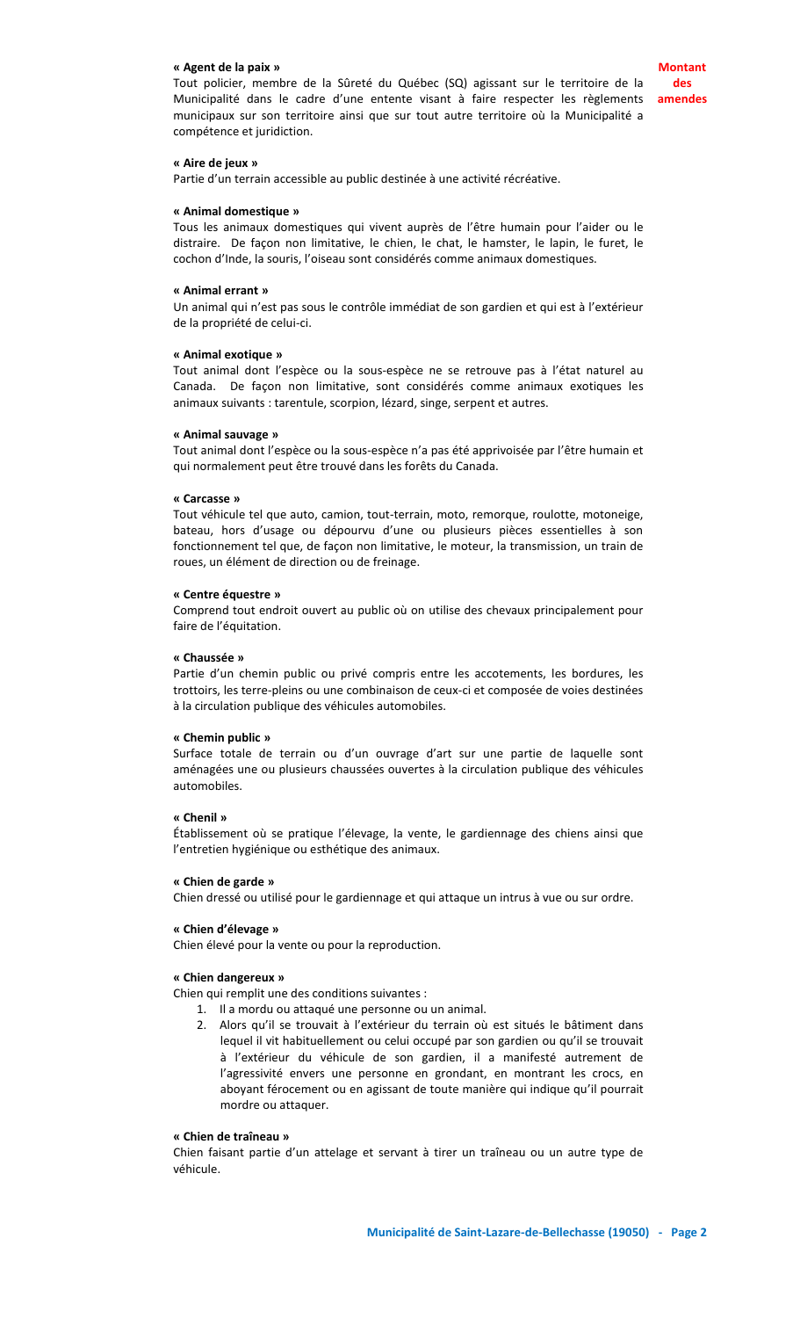#### **« Agent de la paix »**

#### **« Aire de jeux »**

Partie d'un terrain accessible au public destinée à une activité récréative.

#### **« Animal domestique »**

Tous les animaux domestiques qui vivent auprès de l'être humain pour l'aider ou le distraire. De façon non limitative, le chien, le chat, le hamster, le lapin, le furet, le cochon d'Inde, la souris, l'oiseau sont considérés comme animaux domestiques.

#### **« Animal errant »**

Un animal qui n'est pas sous le contrôle immédiat de son gardien et qui est à l'extérieur de la propriété de celui-ci.

#### **« Animal exotique »**

Tout animal dont l'espèce ou la sous-espèce ne se retrouve pas à l'état naturel au Canada. De façon non limitative, sont considérés comme animaux exotiques les animaux suivants : tarentule, scorpion, lézard, singe, serpent et autres.

#### **« Animal sauvage »**

Tout animal dont l'espèce ou la sous-espèce n'a pas été apprivoisée par l'être humain et qui normalement peut être trouvé dans les forêts du Canada.

#### **« Carcasse »**

Tout véhicule tel que auto, camion, tout-terrain, moto, remorque, roulotte, motoneige, bateau, hors d'usage ou dépourvu d'une ou plusieurs pièces essentielles à son fonctionnement tel que, de façon non limitative, le moteur, la transmission, un train de roues, un élément de direction ou de freinage.

#### **« Centre équestre »**

Comprend tout endroit ouvert au public où on utilise des chevaux principalement pour faire de l'équitation.

#### **« Chaussée »**

Partie d'un chemin public ou privé compris entre les accotements, les bordures, les trottoirs, les terre-pleins ou une combinaison de ceux-ci et composée de voies destinées à la circulation publique des véhicules automobiles.

#### **« Chemin public »**

Surface totale de terrain ou d'un ouvrage d'art sur une partie de laquelle sont aménagées une ou plusieurs chaussées ouvertes à la circulation publique des véhicules automobiles.

#### **« Chenil »**

Établissement où se pratique l'élevage, la vente, le gardiennage des chiens ainsi que l'entretien hygiénique ou esthétique des animaux.

#### **« Chien de garde »**

Chien dressé ou utilisé pour le gardiennage et qui attaque un intrus à vue ou sur ordre.

#### **« Chien d'élevage »**

Chien élevé pour la vente ou pour la reproduction.

#### **« Chien dangereux »**

Chien qui remplit une des conditions suivantes :

- 1. Il a mordu ou attaqué une personne ou un animal.
- 2. Alors qu'il se trouvait à l'extérieur du terrain où est situés le bâtiment dans lequel il vit habituellement ou celui occupé par son gardien ou qu'il se trouvait à l'extérieur du véhicule de son gardien, il a manifesté autrement de l'agressivité envers une personne en grondant, en montrant les crocs, en aboyant férocement ou en agissant de toute manière qui indique qu'il pourrait mordre ou attaquer.

# **« Chien de traîneau »**

Chien faisant partie d'un attelage et servant à tirer un traîneau ou un autre type de véhicule.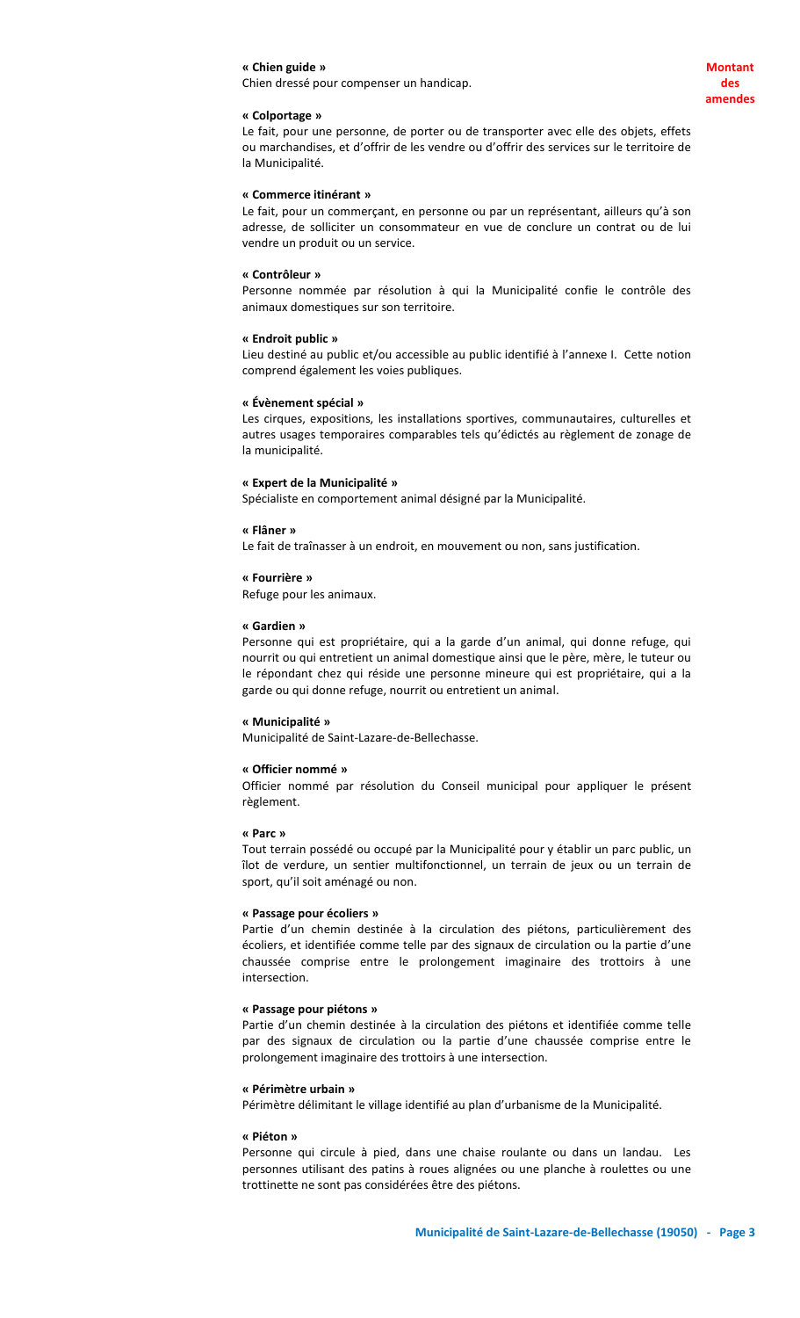#### **« Colportage »**

Le fait, pour une personne, de porter ou de transporter avec elle des objets, effets ou marchandises, et d'offrir de les vendre ou d'offrir des services sur le territoire de la Municipalité.

# **« Commerce itinérant »**

Le fait, pour un commerçant, en personne ou par un représentant, ailleurs qu'à son adresse, de solliciter un consommateur en vue de conclure un contrat ou de lui vendre un produit ou un service.

#### **« Contrôleur »**

Personne nommée par résolution à qui la Municipalité confie le contrôle des animaux domestiques sur son territoire.

#### **« Endroit public »**

Lieu destiné au public et/ou accessible au public identifié à l'annexe I. Cette notion comprend également les voies publiques.

#### **« Évènement spécial »**

Les cirques, expositions, les installations sportives, communautaires, culturelles et autres usages temporaires comparables tels qu'édictés au règlement de zonage de la municipalité.

#### **« Expert de la Municipalité »**

Spécialiste en comportement animal désigné par la Municipalité.

#### **« Flâner »**

Le fait de traînasser à un endroit, en mouvement ou non, sans justification.

#### **« Fourrière »**

Refuge pour les animaux.

#### **« Gardien »**

Personne qui est propriétaire, qui a la garde d'un animal, qui donne refuge, qui nourrit ou qui entretient un animal domestique ainsi que le père, mère, le tuteur ou le répondant chez qui réside une personne mineure qui est propriétaire, qui a la garde ou qui donne refuge, nourrit ou entretient un animal.

#### **« Municipalité »**

Municipalité de Saint-Lazare-de-Bellechasse.

#### **« Officier nommé »**

Officier nommé par résolution du Conseil municipal pour appliquer le présent règlement.

#### **« Parc »**

Tout terrain possédé ou occupé par la Municipalité pour y établir un parc public, un îlot de verdure, un sentier multifonctionnel, un terrain de jeux ou un terrain de sport, qu'il soit aménagé ou non.

#### **« Passage pour écoliers »**

Partie d'un chemin destinée à la circulation des piétons, particulièrement des écoliers, et identifiée comme telle par des signaux de circulation ou la partie d'une chaussée comprise entre le prolongement imaginaire des trottoirs à une intersection.

#### **« Passage pour piétons »**

Partie d'un chemin destinée à la circulation des piétons et identifiée comme telle par des signaux de circulation ou la partie d'une chaussée comprise entre le prolongement imaginaire des trottoirs à une intersection.

#### **« Périmètre urbain »**

Périmètre délimitant le village identifié au plan d'urbanisme de la Municipalité.

#### **« Piéton »**

Personne qui circule à pied, dans une chaise roulante ou dans un landau. Les personnes utilisant des patins à roues alignées ou une planche à roulettes ou une trottinette ne sont pas considérées être des piétons.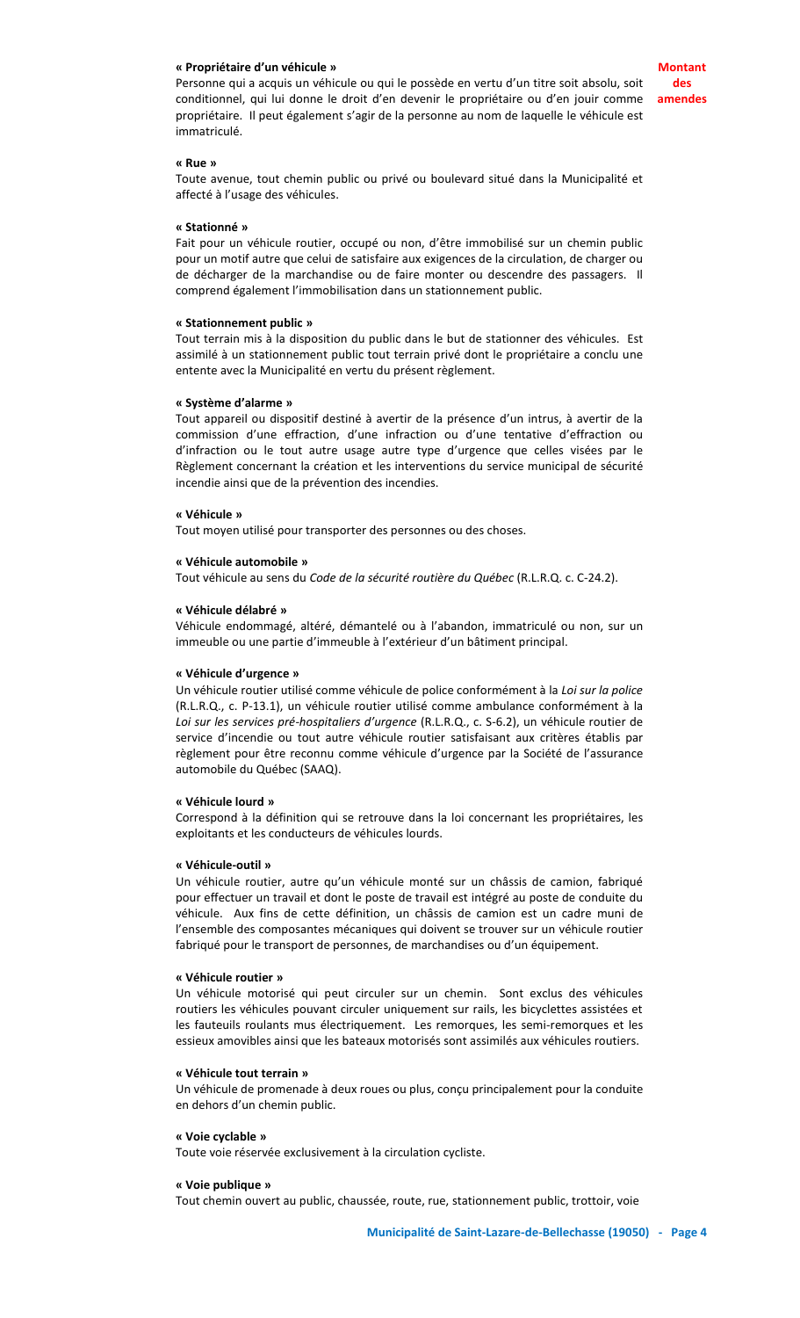#### **« Propriétaire d'un véhicule »**

Personne qui a acquis un véhicule ou qui le possède en vertu d'un titre soit absolu, soit conditionnel, qui lui donne le droit d'en devenir le propriétaire ou d'en jouir comme propriétaire. Il peut également s'agir de la personne au nom de laquelle le véhicule est immatriculé.

**Montant des amendes**

#### **« Rue »**

Toute avenue, tout chemin public ou privé ou boulevard situé dans la Municipalité et affecté à l'usage des véhicules.

#### **« Stationné »**

Fait pour un véhicule routier, occupé ou non, d'être immobilisé sur un chemin public pour un motif autre que celui de satisfaire aux exigences de la circulation, de charger ou de décharger de la marchandise ou de faire monter ou descendre des passagers. Il comprend également l'immobilisation dans un stationnement public.

#### **« Stationnement public »**

Tout terrain mis à la disposition du public dans le but de stationner des véhicules. Est assimilé à un stationnement public tout terrain privé dont le propriétaire a conclu une entente avec la Municipalité en vertu du présent règlement.

#### **« Système d'alarme »**

Tout appareil ou dispositif destiné à avertir de la présence d'un intrus, à avertir de la commission d'une effraction, d'une infraction ou d'une tentative d'effraction ou d'infraction ou le tout autre usage autre type d'urgence que celles visées par le Règlement concernant la création et les interventions du service municipal de sécurité incendie ainsi que de la prévention des incendies.

#### **« Véhicule »**

Tout moyen utilisé pour transporter des personnes ou des choses.

#### **« Véhicule automobile »**

Tout véhicule au sens du *Code de la sécurité routière du Québec* (R.L.R.Q. c. C-24.2).

#### **« Véhicule délabré »**

Véhicule endommagé, altéré, démantelé ou à l'abandon, immatriculé ou non, sur un immeuble ou une partie d'immeuble à l'extérieur d'un bâtiment principal.

#### **« Véhicule d'urgence »**

Un véhicule routier utilisé comme véhicule de police conformément à la *Loi sur la police* (R.L.R.Q., c. P-13.1), un véhicule routier utilisé comme ambulance conformément à la *Loi sur les services pré-hospitaliers d'urgence* (R.L.R.Q., c. S-6.2), un véhicule routier de service d'incendie ou tout autre véhicule routier satisfaisant aux critères établis par règlement pour être reconnu comme véhicule d'urgence par la Société de l'assurance automobile du Québec (SAAQ).

#### **« Véhicule lourd »**

Correspond à la définition qui se retrouve dans la loi concernant les propriétaires, les exploitants et les conducteurs de véhicules lourds.

#### **« Véhicule-outil »**

Un véhicule routier, autre qu'un véhicule monté sur un châssis de camion, fabriqué pour effectuer un travail et dont le poste de travail est intégré au poste de conduite du véhicule. Aux fins de cette définition, un châssis de camion est un cadre muni de l'ensemble des composantes mécaniques qui doivent se trouver sur un véhicule routier fabriqué pour le transport de personnes, de marchandises ou d'un équipement.

#### **« Véhicule routier »**

Un véhicule motorisé qui peut circuler sur un chemin. Sont exclus des véhicules routiers les véhicules pouvant circuler uniquement sur rails, les bicyclettes assistées et les fauteuils roulants mus électriquement. Les remorques, les semi-remorques et les essieux amovibles ainsi que les bateaux motorisés sont assimilés aux véhicules routiers.

#### **« Véhicule tout terrain »**

Un véhicule de promenade à deux roues ou plus, conçu principalement pour la conduite en dehors d'un chemin public.

#### **« Voie cyclable »**

Toute voie réservée exclusivement à la circulation cycliste.

#### **« Voie publique »**

Tout chemin ouvert au public, chaussée, route, rue, stationnement public, trottoir, voie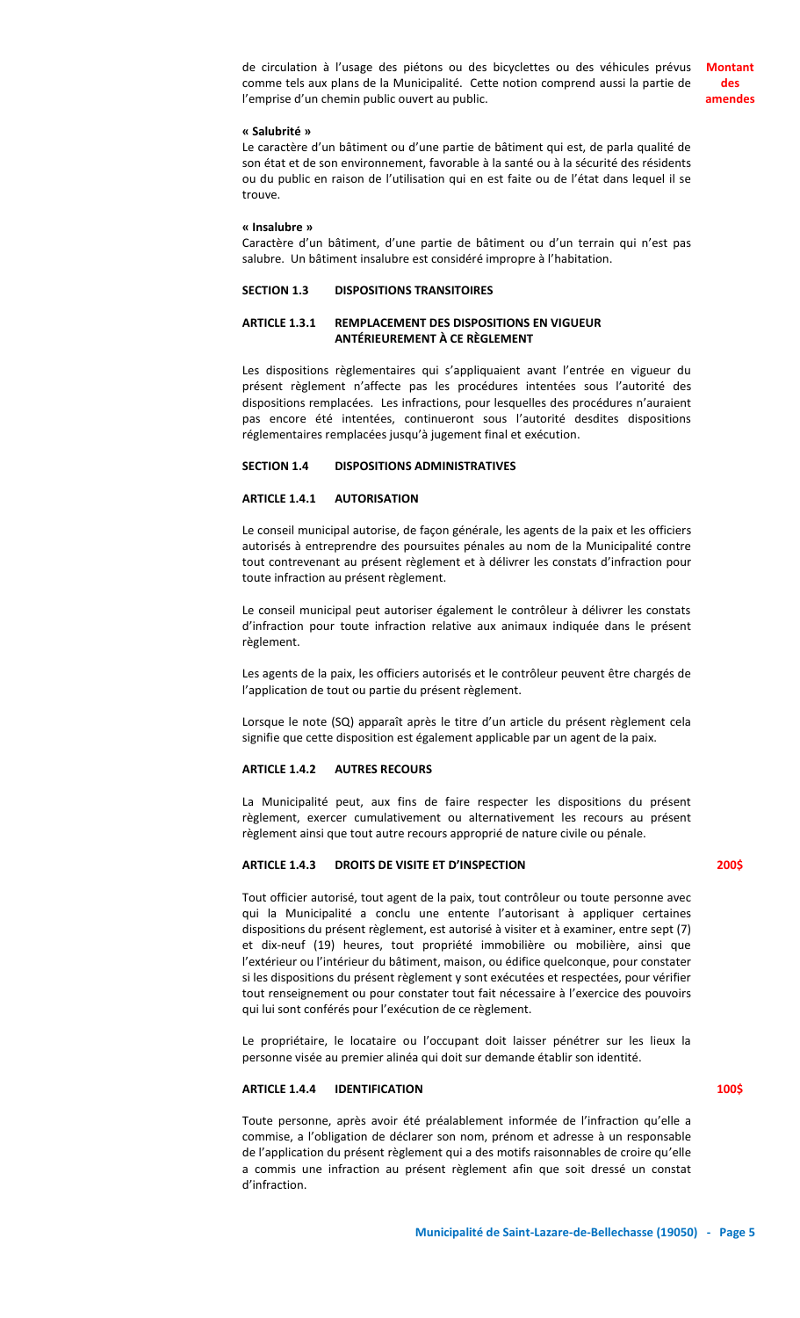de circulation à l'usage des piétons ou des bicyclettes ou des véhicules prévus comme tels aux plans de la Municipalité. Cette notion comprend aussi la partie de l'emprise d'un chemin public ouvert au public. **Montant des amendes**

**« Salubrité »**

Le caractère d'un bâtiment ou d'une partie de bâtiment qui est, de parla qualité de son état et de son environnement, favorable à la santé ou à la sécurité des résidents ou du public en raison de l'utilisation qui en est faite ou de l'état dans lequel il se trouve.

**« Insalubre »**

Caractère d'un bâtiment, d'une partie de bâtiment ou d'un terrain qui n'est pas salubre. Un bâtiment insalubre est considéré impropre à l'habitation.

#### **SECTION 1.3 DISPOSITIONS TRANSITOIRES**

# **ARTICLE 1.3.1 REMPLACEMENT DES DISPOSITIONS EN VIGUEUR ANTÉRIEUREMENT À CE RÈGLEMENT**

Les dispositions règlementaires qui s'appliquaient avant l'entrée en vigueur du présent règlement n'affecte pas les procédures intentées sous l'autorité des dispositions remplacées. Les infractions, pour lesquelles des procédures n'auraient pas encore été intentées, continueront sous l'autorité desdites dispositions réglementaires remplacées jusqu'à jugement final et exécution.

#### **SECTION 1.4 DISPOSITIONS ADMINISTRATIVES**

#### **ARTICLE 1.4.1 AUTORISATION**

Le conseil municipal autorise, de façon générale, les agents de la paix et les officiers autorisés à entreprendre des poursuites pénales au nom de la Municipalité contre tout contrevenant au présent règlement et à délivrer les constats d'infraction pour toute infraction au présent règlement.

Le conseil municipal peut autoriser également le contrôleur à délivrer les constats d'infraction pour toute infraction relative aux animaux indiquée dans le présent règlement.

Les agents de la paix, les officiers autorisés et le contrôleur peuvent être chargés de l'application de tout ou partie du présent règlement.

Lorsque le note (SQ) apparaît après le titre d'un article du présent règlement cela signifie que cette disposition est également applicable par un agent de la paix.

#### **ARTICLE 1.4.2 AUTRES RECOURS**

La Municipalité peut, aux fins de faire respecter les dispositions du présent règlement, exercer cumulativement ou alternativement les recours au présent règlement ainsi que tout autre recours approprié de nature civile ou pénale.

# **ARTICLE 1.4.3 DROITS DE VISITE ET D'INSPECTION**

Tout officier autorisé, tout agent de la paix, tout contrôleur ou toute personne avec qui la Municipalité a conclu une entente l'autorisant à appliquer certaines dispositions du présent règlement, est autorisé à visiter et à examiner, entre sept (7) et dix-neuf (19) heures, tout propriété immobilière ou mobilière, ainsi que l'extérieur ou l'intérieur du bâtiment, maison, ou édifice quelconque, pour constater si les dispositions du présent règlement y sont exécutées et respectées, pour vérifier tout renseignement ou pour constater tout fait nécessaire à l'exercice des pouvoirs qui lui sont conférés pour l'exécution de ce règlement.

Le propriétaire, le locataire ou l'occupant doit laisser pénétrer sur les lieux la personne visée au premier alinéa qui doit sur demande établir son identité.

#### **ARTICLE 1.4.4 IDENTIFICATION**

Toute personne, après avoir été préalablement informée de l'infraction qu'elle a commise, a l'obligation de déclarer son nom, prénom et adresse à un responsable de l'application du présent règlement qui a des motifs raisonnables de croire qu'elle a commis une infraction au présent règlement afin que soit dressé un constat d'infraction.

**200\$**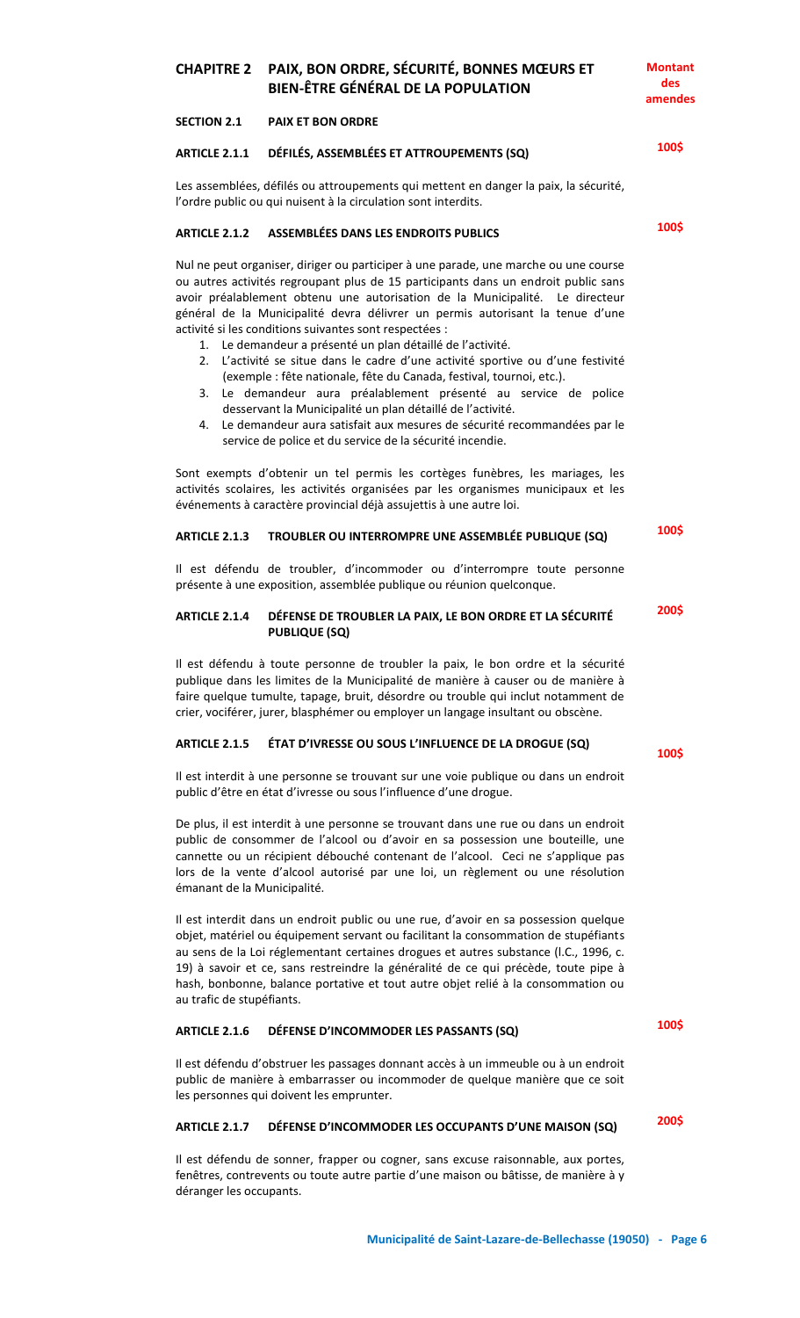# **CHAPITRE 2 PAIX, BON ORDRE, SÉCURITÉ, BONNES MŒURS ET BIEN-ÊTRE GÉNÉRAL DE LA POPULATION**

**SECTION 2.1 PAIX ET BON ORDRE**

#### **ARTICLE 2.1.1 DÉFILÉS, ASSEMBLÉES ET ATTROUPEMENTS (SQ)**

Les assemblées, défilés ou attroupements qui mettent en danger la paix, la sécurité, l'ordre public ou qui nuisent à la circulation sont interdits.

## **ARTICLE 2.1.2 ASSEMBLÉES DANS LES ENDROITS PUBLICS**

Nul ne peut organiser, diriger ou participer à une parade, une marche ou une course ou autres activités regroupant plus de 15 participants dans un endroit public sans avoir préalablement obtenu une autorisation de la Municipalité. Le directeur général de la Municipalité devra délivrer un permis autorisant la tenue d'une activité si les conditions suivantes sont respectées :

- 1. Le demandeur a présenté un plan détaillé de l'activité.
- 2. L'activité se situe dans le cadre d'une activité sportive ou d'une festivité (exemple : fête nationale, fête du Canada, festival, tournoi, etc.).
- 3. Le demandeur aura préalablement présenté au service de police desservant la Municipalité un plan détaillé de l'activité.
- 4. Le demandeur aura satisfait aux mesures de sécurité recommandées par le service de police et du service de la sécurité incendie.

Sont exempts d'obtenir un tel permis les cortèges funèbres, les mariages, les activités scolaires, les activités organisées par les organismes municipaux et les événements à caractère provincial déjà assujettis à une autre loi.

#### **ARTICLE 2.1.3 TROUBLER OU INTERROMPRE UNE ASSEMBLÉE PUBLIQUE (SQ)**

Il est défendu de troubler, d'incommoder ou d'interrompre toute personne présente à une exposition, assemblée publique ou réunion quelconque.

#### **ARTICLE 2.1.4 DÉFENSE DE TROUBLER LA PAIX, LE BON ORDRE ET LA SÉCURITÉ PUBLIQUE (SQ) 200\$**

Il est défendu à toute personne de troubler la paix, le bon ordre et la sécurité publique dans les limites de la Municipalité de manière à causer ou de manière à faire quelque tumulte, tapage, bruit, désordre ou trouble qui inclut notamment de crier, vociférer, jurer, blasphémer ou employer un langage insultant ou obscène.

## **ARTICLE 2.1.5 ÉTAT D'IVRESSE OU SOUS L'INFLUENCE DE LA DROGUE (SQ)**

Il est interdit à une personne se trouvant sur une voie publique ou dans un endroit public d'être en état d'ivresse ou sous l'influence d'une drogue.

De plus, il est interdit à une personne se trouvant dans une rue ou dans un endroit public de consommer de l'alcool ou d'avoir en sa possession une bouteille, une cannette ou un récipient débouché contenant de l'alcool. Ceci ne s'applique pas lors de la vente d'alcool autorisé par une loi, un règlement ou une résolution émanant de la Municipalité.

Il est interdit dans un endroit public ou une rue, d'avoir en sa possession quelque objet, matériel ou équipement servant ou facilitant la consommation de stupéfiants au sens de la Loi réglementant certaines drogues et autres substance (l.C., 1996, c. 19) à savoir et ce, sans restreindre la généralité de ce qui précède, toute pipe à hash, bonbonne, balance portative et tout autre objet relié à la consommation ou au trafic de stupéfiants.

#### **ARTICLE 2.1.6 DÉFENSE D'INCOMMODER LES PASSANTS (SQ)**

Il est défendu d'obstruer les passages donnant accès à un immeuble ou à un endroit public de manière à embarrasser ou incommoder de quelque manière que ce soit les personnes qui doivent les emprunter.

# **ARTICLE 2.1.7 DÉFENSE D'INCOMMODER LES OCCUPANTS D'UNE MAISON (SQ)**

Il est défendu de sonner, frapper ou cogner, sans excuse raisonnable, aux portes, fenêtres, contrevents ou toute autre partie d'une maison ou bâtisse, de manière à y déranger les occupants.

**100\$**

**100\$**

**100\$**

**100\$**

**Montant des amendes**

**100\$**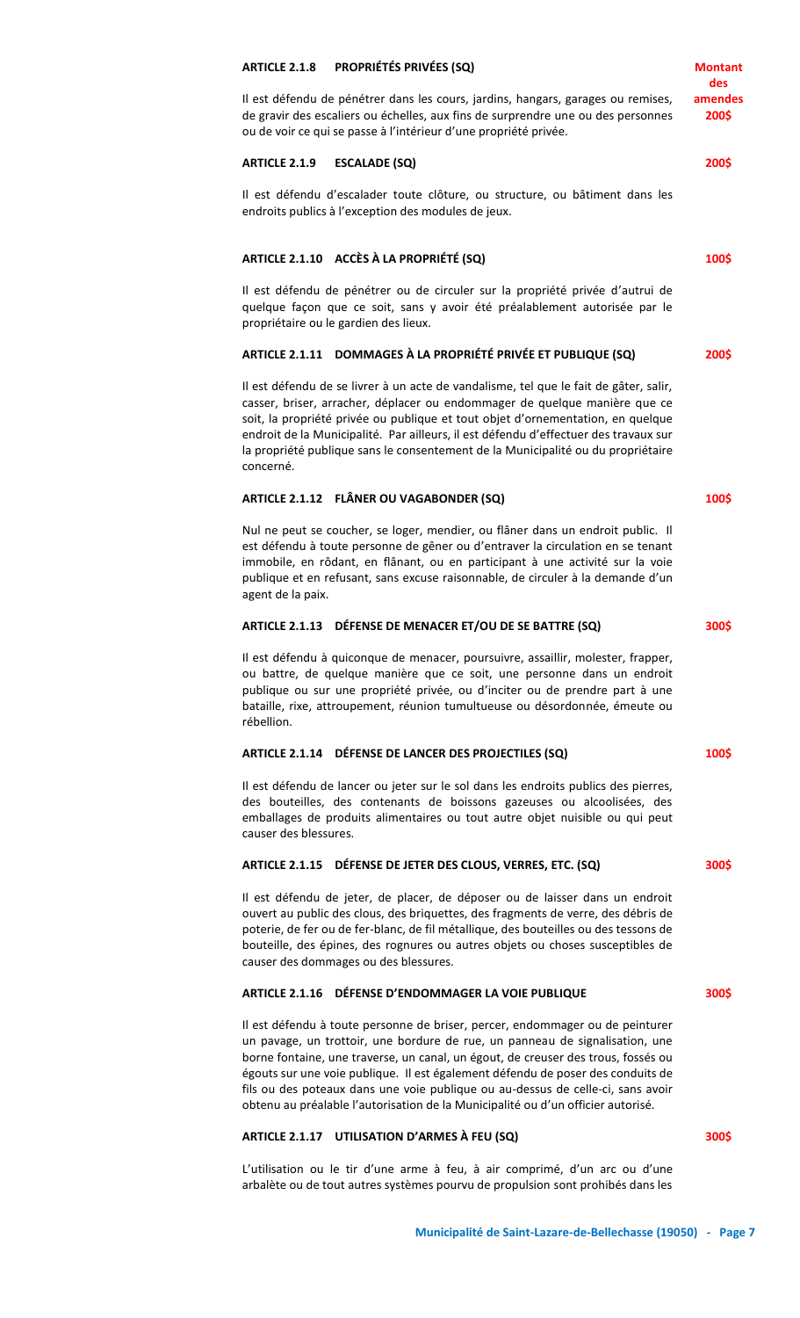|                                                                                                                                                                                                                                                                                                                                                                                                                                                                                                              | des              |
|--------------------------------------------------------------------------------------------------------------------------------------------------------------------------------------------------------------------------------------------------------------------------------------------------------------------------------------------------------------------------------------------------------------------------------------------------------------------------------------------------------------|------------------|
| Il est défendu de pénétrer dans les cours, jardins, hangars, garages ou remises,<br>de gravir des escaliers ou échelles, aux fins de surprendre une ou des personnes<br>ou de voir ce qui se passe à l'intérieur d'une propriété privée.                                                                                                                                                                                                                                                                     | amendes<br>200\$ |
| <b>ESCALADE (SQ)</b><br><b>ARTICLE 2.1.9</b>                                                                                                                                                                                                                                                                                                                                                                                                                                                                 | 200\$            |
| Il est défendu d'escalader toute clôture, ou structure, ou bâtiment dans les<br>endroits publics à l'exception des modules de jeux.                                                                                                                                                                                                                                                                                                                                                                          |                  |
| ARTICLE 2.1.10 ACCÈS À LA PROPRIÉTÉ (SQ)                                                                                                                                                                                                                                                                                                                                                                                                                                                                     | 100\$            |
| Il est défendu de pénétrer ou de circuler sur la propriété privée d'autrui de<br>quelque façon que ce soit, sans y avoir été préalablement autorisée par le<br>propriétaire ou le gardien des lieux.                                                                                                                                                                                                                                                                                                         |                  |
| ARTICLE 2.1.11 DOMMAGES À LA PROPRIÉTÉ PRIVÉE ET PUBLIQUE (SQ)                                                                                                                                                                                                                                                                                                                                                                                                                                               | 200\$            |
| Il est défendu de se livrer à un acte de vandalisme, tel que le fait de gâter, salir,<br>casser, briser, arracher, déplacer ou endommager de quelque manière que ce<br>soit, la propriété privée ou publique et tout objet d'ornementation, en quelque<br>endroit de la Municipalité. Par ailleurs, il est défendu d'effectuer des travaux sur<br>la propriété publique sans le consentement de la Municipalité ou du propriétaire<br>concerné.                                                              |                  |
| ARTICLE 2.1.12 FLÂNER OU VAGABONDER (SQ)                                                                                                                                                                                                                                                                                                                                                                                                                                                                     | 100\$            |
| Nul ne peut se coucher, se loger, mendier, ou flâner dans un endroit public. Il<br>est défendu à toute personne de gêner ou d'entraver la circulation en se tenant<br>immobile, en rôdant, en flânant, ou en participant à une activité sur la voie<br>publique et en refusant, sans excuse raisonnable, de circuler à la demande d'un<br>agent de la paix.                                                                                                                                                  |                  |
| ARTICLE 2.1.13 DÉFENSE DE MENACER ET/OU DE SE BATTRE (SQ)                                                                                                                                                                                                                                                                                                                                                                                                                                                    | 300\$            |
| Il est défendu à quiconque de menacer, poursuivre, assaillir, molester, frapper,<br>ou battre, de quelque manière que ce soit, une personne dans un endroit<br>publique ou sur une propriété privée, ou d'inciter ou de prendre part à une<br>bataille, rixe, attroupement, réunion tumultueuse ou désordonnée, émeute ou<br>rébellion.                                                                                                                                                                      |                  |
| ARTICLE 2.1.14 DÉFENSE DE LANCER DES PROJECTILES (SQ)                                                                                                                                                                                                                                                                                                                                                                                                                                                        | 100\$            |
| Il est défendu de lancer ou jeter sur le sol dans les endroits publics des pierres,<br>des bouteilles, des contenants de boissons gazeuses ou alcoolisées, des<br>emballages de produits alimentaires ou tout autre objet nuisible ou qui peut<br>causer des blessures.                                                                                                                                                                                                                                      |                  |
| ARTICLE 2.1.15 DÉFENSE DE JETER DES CLOUS, VERRES, ETC. (SQ)                                                                                                                                                                                                                                                                                                                                                                                                                                                 | 300\$            |
| Il est défendu de jeter, de placer, de déposer ou de laisser dans un endroit<br>ouvert au public des clous, des briquettes, des fragments de verre, des débris de<br>poterie, de fer ou de fer-blanc, de fil métallique, des bouteilles ou des tessons de<br>bouteille, des épines, des rognures ou autres objets ou choses susceptibles de<br>causer des dommages ou des blessures.                                                                                                                         |                  |
| ARTICLE 2.1.16 DÉFENSE D'ENDOMMAGER LA VOIE PUBLIQUE                                                                                                                                                                                                                                                                                                                                                                                                                                                         | 300\$            |
| Il est défendu à toute personne de briser, percer, endommager ou de peinturer<br>un pavage, un trottoir, une bordure de rue, un panneau de signalisation, une<br>borne fontaine, une traverse, un canal, un égout, de creuser des trous, fossés ou<br>égouts sur une voie publique. Il est également défendu de poser des conduits de<br>fils ou des poteaux dans une voie publique ou au-dessus de celle-ci, sans avoir<br>obtenu au préalable l'autorisation de la Municipalité ou d'un officier autorisé. |                  |
| ARTICLE 2.1.17 UTILISATION D'ARMES À FEU (SQ)                                                                                                                                                                                                                                                                                                                                                                                                                                                                | 300\$            |
| L'utilisation ou le tir d'une arme à feu, à air comprimé, d'un arc ou d'une<br>arbalète ou de tout autres systèmes pourvu de propulsion sont prohibés dans les                                                                                                                                                                                                                                                                                                                                               |                  |

**Montant** 

**ARTICLE 2.1.8 PROPRIÉTÉS PRIVÉES (SQ)**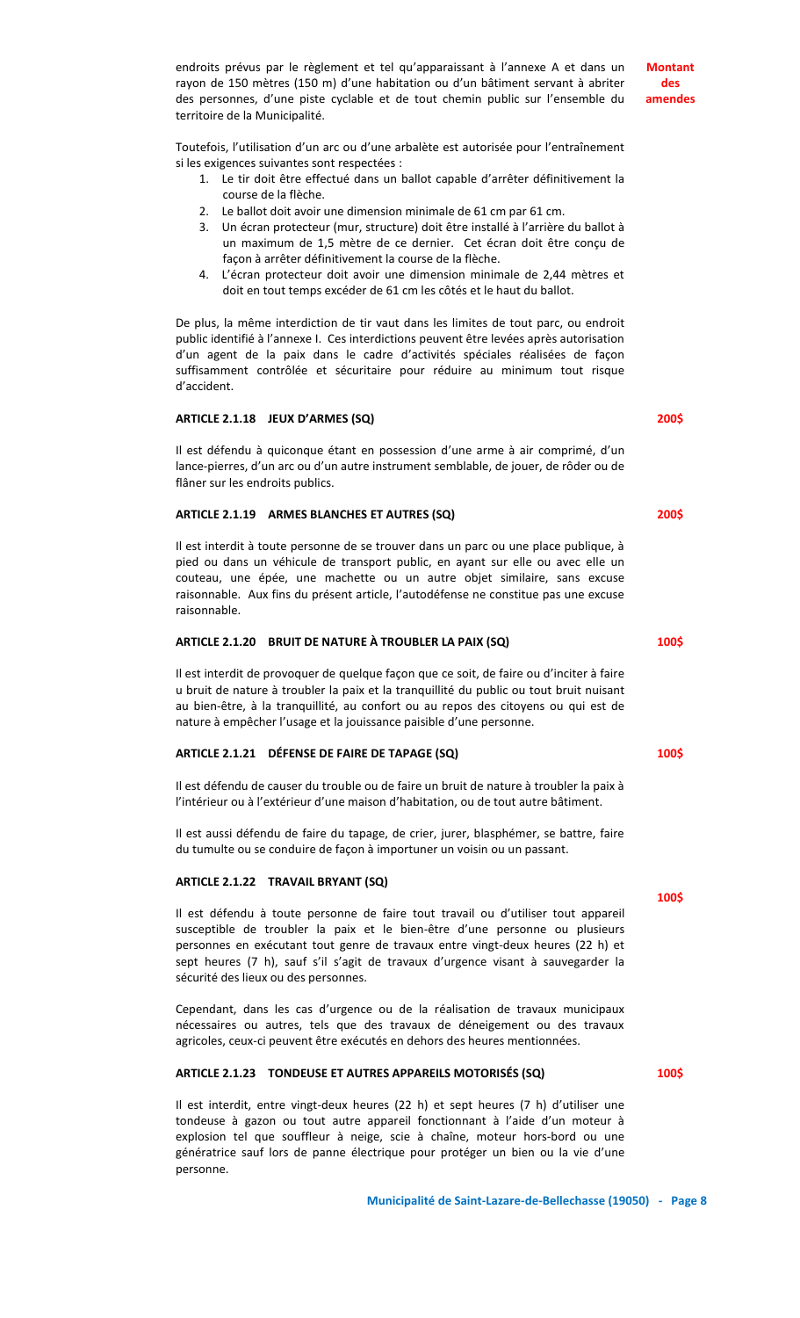endroits prévus par le règlement et tel qu'apparaissant à l'annexe A et dans un rayon de 150 mètres (150 m) d'une habitation ou d'un bâtiment servant à abriter des personnes, d'une piste cyclable et de tout chemin public sur l'ensemble du territoire de la Municipalité.

Toutefois, l'utilisation d'un arc ou d'une arbalète est autorisée pour l'entraînement si les exigences suivantes sont respectées :

- 1. Le tir doit être effectué dans un ballot capable d'arrêter définitivement la course de la flèche.
- 2. Le ballot doit avoir une dimension minimale de 61 cm par 61 cm.
- 3. Un écran protecteur (mur, structure) doit être installé à l'arrière du ballot à un maximum de 1,5 mètre de ce dernier. Cet écran doit être conçu de façon à arrêter définitivement la course de la flèche.
- 4. L'écran protecteur doit avoir une dimension minimale de 2,44 mètres et doit en tout temps excéder de 61 cm les côtés et le haut du ballot.

De plus, la même interdiction de tir vaut dans les limites de tout parc, ou endroit public identifié à l'annexe I. Ces interdictions peuvent être levées après autorisation d'un agent de la paix dans le cadre d'activités spéciales réalisées de façon suffisamment contrôlée et sécuritaire pour réduire au minimum tout risque d'accident.

#### **ARTICLE 2.1.18 JEUX D'ARMES (SQ)**

Il est défendu à quiconque étant en possession d'une arme à air comprimé, d'un lance-pierres, d'un arc ou d'un autre instrument semblable, de jouer, de rôder ou de flâner sur les endroits publics.

#### **ARTICLE 2.1.19 ARMES BLANCHES ET AUTRES (SQ)**

Il est interdit à toute personne de se trouver dans un parc ou une place publique, à pied ou dans un véhicule de transport public, en ayant sur elle ou avec elle un couteau, une épée, une machette ou un autre objet similaire, sans excuse raisonnable. Aux fins du présent article, l'autodéfense ne constitue pas une excuse raisonnable.

#### **ARTICLE 2.1.20 BRUIT DE NATURE À TROUBLER LA PAIX (SQ)**

Il est interdit de provoquer de quelque façon que ce soit, de faire ou d'inciter à faire u bruit de nature à troubler la paix et la tranquillité du public ou tout bruit nuisant au bien-être, à la tranquillité, au confort ou au repos des citoyens ou qui est de nature à empêcher l'usage et la jouissance paisible d'une personne.

# **ARTICLE 2.1.21 DÉFENSE DE FAIRE DE TAPAGE (SQ)**

Il est défendu de causer du trouble ou de faire un bruit de nature à troubler la paix à l'intérieur ou à l'extérieur d'une maison d'habitation, ou de tout autre bâtiment.

Il est aussi défendu de faire du tapage, de crier, jurer, blasphémer, se battre, faire du tumulte ou se conduire de façon à importuner un voisin ou un passant.

#### **ARTICLE 2.1.22 TRAVAIL BRYANT (SQ)**

Il est défendu à toute personne de faire tout travail ou d'utiliser tout appareil susceptible de troubler la paix et le bien-être d'une personne ou plusieurs personnes en exécutant tout genre de travaux entre vingt-deux heures (22 h) et sept heures (7 h), sauf s'il s'agit de travaux d'urgence visant à sauvegarder la sécurité des lieux ou des personnes.

Cependant, dans les cas d'urgence ou de la réalisation de travaux municipaux nécessaires ou autres, tels que des travaux de déneigement ou des travaux agricoles, ceux-ci peuvent être exécutés en dehors des heures mentionnées.

## **ARTICLE 2.1.23 TONDEUSE ET AUTRES APPAREILS MOTORISÉS (SQ)**

Il est interdit, entre vingt-deux heures (22 h) et sept heures (7 h) d'utiliser une tondeuse à gazon ou tout autre appareil fonctionnant à l'aide d'un moteur à explosion tel que souffleur à neige, scie à chaîne, moteur hors-bord ou une génératrice sauf lors de panne électrique pour protéger un bien ou la vie d'une personne.

**Montant des amendes**

**200\$**

**200\$**

**100\$**

**100\$**

**100\$**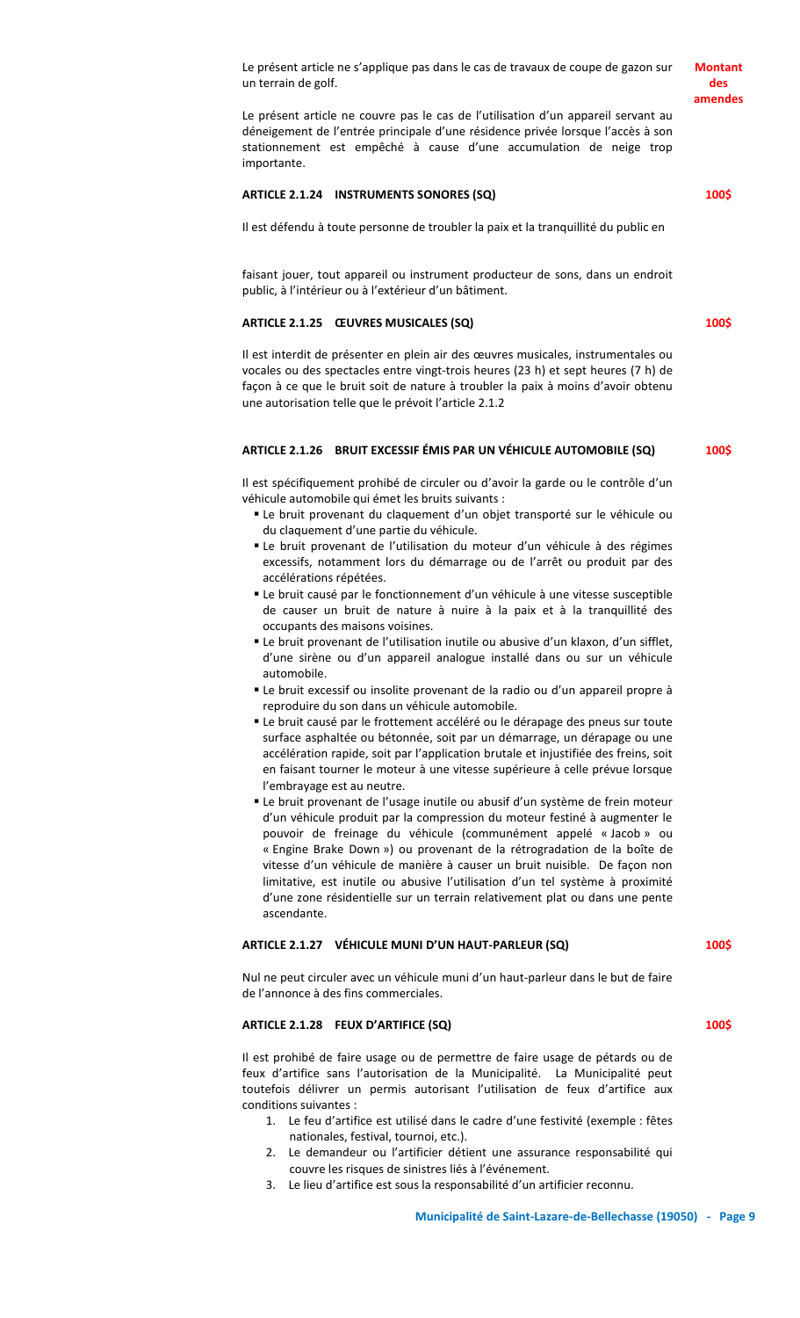Le présent article ne s'applique pas dans le cas de travaux de coupe de gazon sur un terrain de golf.

Le présent article ne couvre pas le cas de l'utilisation d'un appareil servant au déneigement de l'entrée principale d'une résidence privée lorsque l'accès à son stationnement est empêché à cause d'une accumulation de neige trop importante.

#### **ARTICLE 2.1.24 INSTRUMENTS SONORES (SQ)**

Il est défendu à toute personne de troubler la paix et la tranquillité du public en

faisant jouer, tout appareil ou instrument producteur de sons, dans un endroit public, à l'intérieur ou à l'extérieur d'un bâtiment.

# **ARTICLE 2.1.25 ŒUVRES MUSICALES (SQ)**

Il est interdit de présenter en plein air des œuvres musicales, instrumentales ou vocales ou des spectacles entre vingt-trois heures (23 h) et sept heures (7 h) de façon à ce que le bruit soit de nature à troubler la paix à moins d'avoir obtenu une autorisation telle que le prévoit l'article 2.1.2

#### **ARTICLE 2.1.26 BRUIT EXCESSIF ÉMIS PAR UN VÉHICULE AUTOMOBILE (SQ)**

Il est spécifiquement prohibé de circuler ou d'avoir la garde ou le contrôle d'un véhicule automobile qui émet les bruits suivants :

- Le bruit provenant du claquement d'un objet transporté sur le véhicule ou du claquement d'une partie du véhicule.
- Le bruit provenant de l'utilisation du moteur d'un véhicule à des régimes excessifs, notamment lors du démarrage ou de l'arrêt ou produit par des accélérations répétées.
- Le bruit causé par le fonctionnement d'un véhicule à une vitesse susceptible de causer un bruit de nature à nuire à la paix et à la tranquillité des occupants des maisons voisines.
- Le bruit provenant de l'utilisation inutile ou abusive d'un klaxon, d'un sifflet, d'une sirène ou d'un appareil analogue installé dans ou sur un véhicule automobile.
- Le bruit excessif ou insolite provenant de la radio ou d'un appareil propre à reproduire du son dans un véhicule automobile.
- Le bruit causé par le frottement accéléré ou le dérapage des pneus sur toute surface asphaltée ou bétonnée, soit par un démarrage, un dérapage ou une accélération rapide, soit par l'application brutale et injustifiée des freins, soit en faisant tourner le moteur à une vitesse supérieure à celle prévue lorsque l'embrayage est au neutre.
- Le bruit provenant de l'usage inutile ou abusif d'un système de frein moteur d'un véhicule produit par la compression du moteur festiné à augmenter le pouvoir de freinage du véhicule (communément appelé « Jacob » ou « Engine Brake Down ») ou provenant de la rétrogradation de la boîte de vitesse d'un véhicule de manière à causer un bruit nuisible. De façon non limitative, est inutile ou abusive l'utilisation d'un tel système à proximité d'une zone résidentielle sur un terrain relativement plat ou dans une pente ascendante.

#### **ARTICLE 2.1.27 VÉHICULE MUNI D'UN HAUT-PARLEUR (SQ)**

# **100\$**

**100\$**

Nul ne peut circuler avec un véhicule muni d'un haut-parleur dans le but de faire de l'annonce à des fins commerciales.

# **ARTICLE 2.1.28 FEUX D'ARTIFICE (SQ)**

Il est prohibé de faire usage ou de permettre de faire usage de pétards ou de feux d'artifice sans l'autorisation de la Municipalité. La Municipalité peut toutefois délivrer un permis autorisant l'utilisation de feux d'artifice aux conditions suivantes :

- 1. Le feu d'artifice est utilisé dans le cadre d'une festivité (exemple : fêtes nationales, festival, tournoi, etc.).
- 2. Le demandeur ou l'artificier détient une assurance responsabilité qui couvre les risques de sinistres liés à l'événement.
- 3. Le lieu d'artifice est sous la responsabilité d'un artificier reconnu.

**Montant des amendes**

**100\$**

**100\$**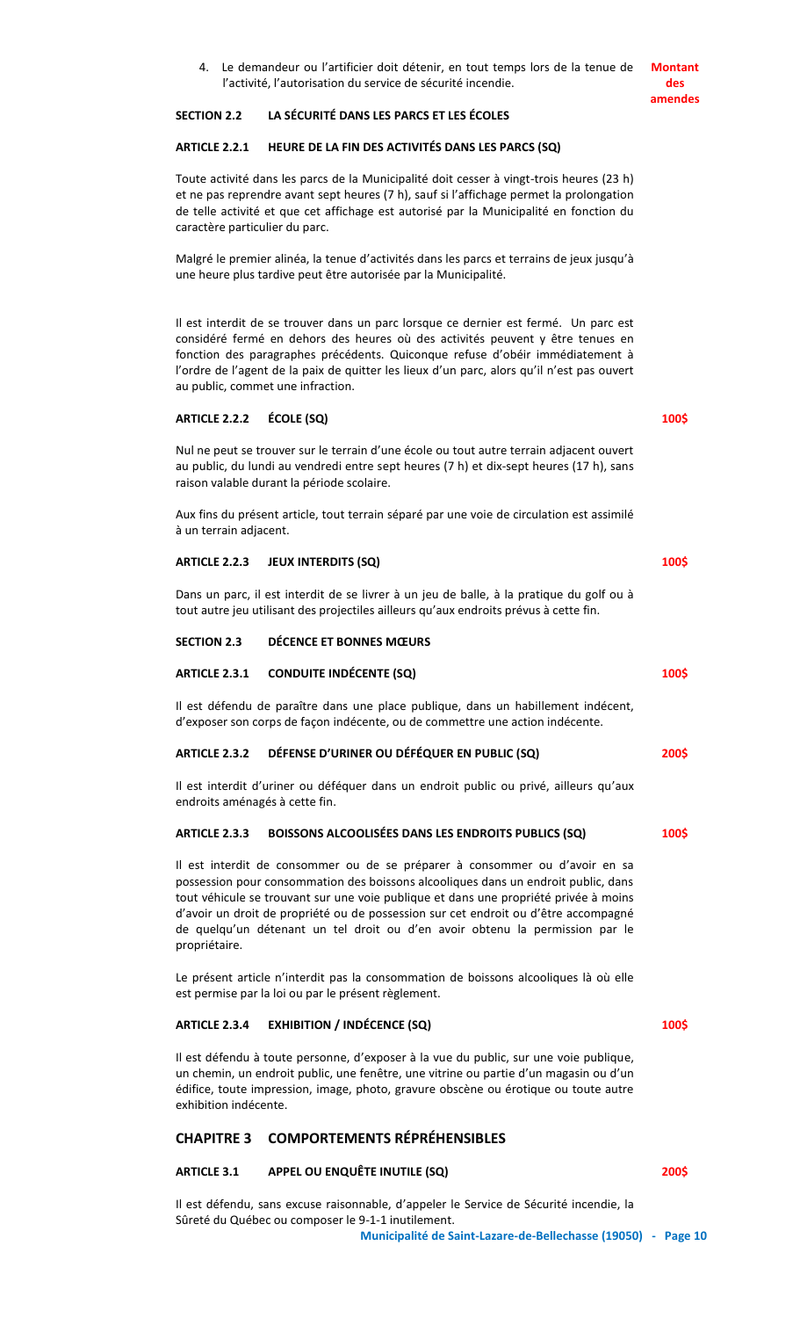4. Le demandeur ou l'artificier doit détenir, en tout temps lors de la tenue de l'activité, l'autorisation du service de sécurité incendie. **Montant des** 

# **SECTION 2.2 LA SÉCURITÉ DANS LES PARCS ET LES ÉCOLES**

## **ARTICLE 2.2.1 HEURE DE LA FIN DES ACTIVITÉS DANS LES PARCS (SQ)**

Toute activité dans les parcs de la Municipalité doit cesser à vingt-trois heures (23 h) et ne pas reprendre avant sept heures (7 h), sauf si l'affichage permet la prolongation de telle activité et que cet affichage est autorisé par la Municipalité en fonction du caractère particulier du parc.

Malgré le premier alinéa, la tenue d'activités dans les parcs et terrains de jeux jusqu'à une heure plus tardive peut être autorisée par la Municipalité.

Il est interdit de se trouver dans un parc lorsque ce dernier est fermé. Un parc est considéré fermé en dehors des heures où des activités peuvent y être tenues en fonction des paragraphes précédents. Quiconque refuse d'obéir immédiatement à l'ordre de l'agent de la paix de quitter les lieux d'un parc, alors qu'il n'est pas ouvert au public, commet une infraction.

# **ARTICLE 2.2.2 ÉCOLE (SQ)**

Nul ne peut se trouver sur le terrain d'une école ou tout autre terrain adjacent ouvert au public, du lundi au vendredi entre sept heures (7 h) et dix-sept heures (17 h), sans raison valable durant la période scolaire.

Aux fins du présent article, tout terrain séparé par une voie de circulation est assimilé à un terrain adjacent.

#### **ARTICLE 2.2.3 JEUX INTERDITS (SQ)**

Dans un parc, il est interdit de se livrer à un jeu de balle, à la pratique du golf ou à tout autre jeu utilisant des projectiles ailleurs qu'aux endroits prévus à cette fin.

#### **SECTION 2.3 DÉCENCE ET BONNES MŒURS**

#### **ARTICLE 2.3.1 CONDUITE INDÉCENTE (SQ)**

Il est défendu de paraître dans une place publique, dans un habillement indécent, d'exposer son corps de façon indécente, ou de commettre une action indécente.

#### **ARTICLE 2.3.2 DÉFENSE D'URINER OU DÉFÉQUER EN PUBLIC (SQ)**

Il est interdit d'uriner ou déféquer dans un endroit public ou privé, ailleurs qu'aux endroits aménagés à cette fin.

#### **ARTICLE 2.3.3 BOISSONS ALCOOLISÉES DANS LES ENDROITS PUBLICS (SQ) 100\$**

Il est interdit de consommer ou de se préparer à consommer ou d'avoir en sa possession pour consommation des boissons alcooliques dans un endroit public, dans tout véhicule se trouvant sur une voie publique et dans une propriété privée à moins d'avoir un droit de propriété ou de possession sur cet endroit ou d'être accompagné de quelqu'un détenant un tel droit ou d'en avoir obtenu la permission par le propriétaire.

Le présent article n'interdit pas la consommation de boissons alcooliques là où elle est permise par la loi ou par le présent règlement.

#### **ARTICLE 2.3.4 EXHIBITION / INDÉCENCE (SQ)**

Il est défendu à toute personne, d'exposer à la vue du public, sur une voie publique, un chemin, un endroit public, une fenêtre, une vitrine ou partie d'un magasin ou d'un édifice, toute impression, image, photo, gravure obscène ou érotique ou toute autre exhibition indécente.

# **CHAPITRE 3 COMPORTEMENTS RÉPRÉHENSIBLES**

#### **ARTICLE 3.1 APPEL OU ENQUÊTE INUTILE (SQ)**

Il est défendu, sans excuse raisonnable, d'appeler le Service de Sécurité incendie, la Sûreté du Québec ou composer le 9-1-1 inutilement.

**Municipalité de Saint-Lazare-de-Bellechasse (19050) - Page 10**

**100\$**

**200\$**

**100\$**

**100\$**

**100\$**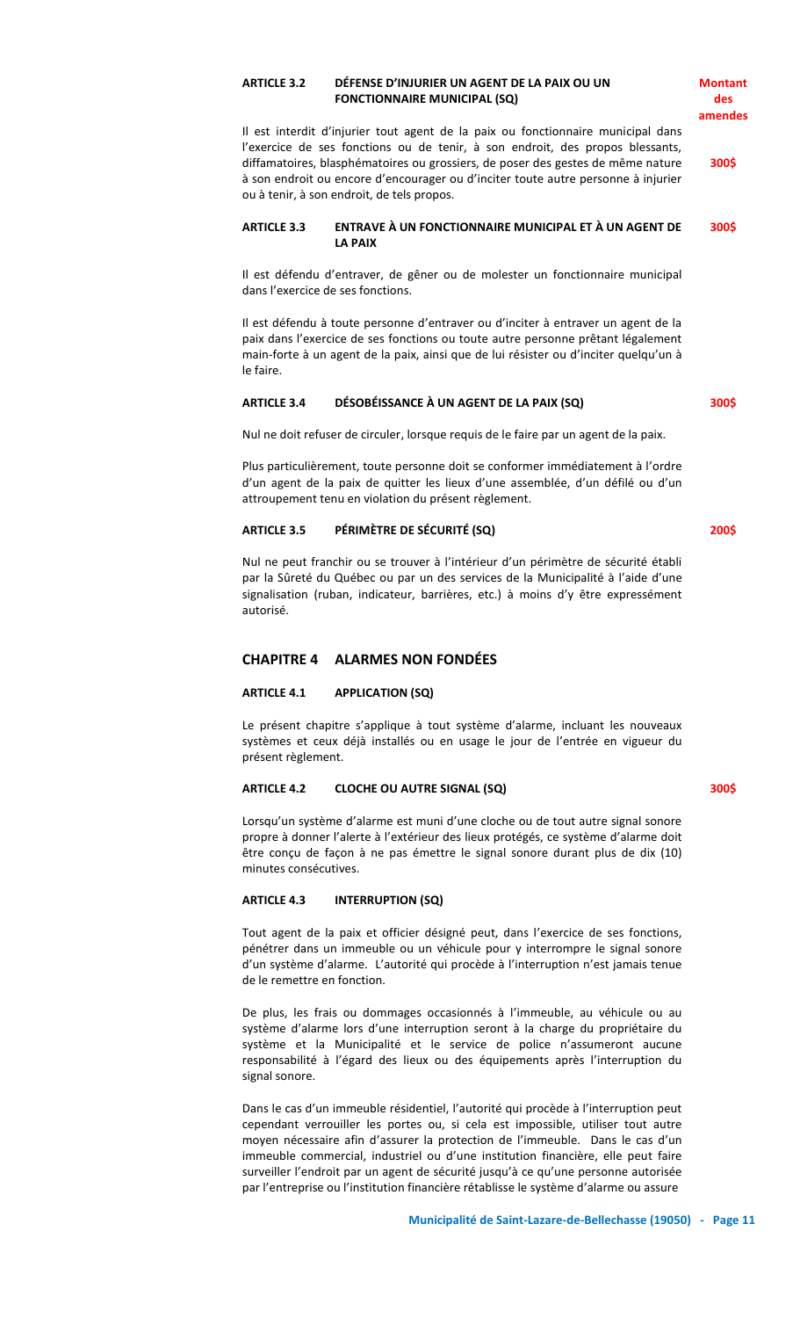# **ARTICLE 3.2 DÉFENSE D'INJURIER UN AGENT DE LA PAIX OU UN FONCTIONNAIRE MUNICIPAL (SQ)**

Il est interdit d'injurier tout agent de la paix ou fonctionnaire municipal dans l'exercice de ses fonctions ou de tenir, à son endroit, des propos blessants, diffamatoires, blasphématoires ou grossiers, de poser des gestes de même nature à son endroit ou encore d'encourager ou d'inciter toute autre personne à injurier ou à tenir, à son endroit, de tels propos. **300\$**

#### **ARTICLE 3.3 ENTRAVE À UN FONCTIONNAIRE MUNICIPAL ET À UN AGENT DE LA PAIX 300\$**

Il est défendu d'entraver, de gêner ou de molester un fonctionnaire municipal dans l'exercice de ses fonctions.

Il est défendu à toute personne d'entraver ou d'inciter à entraver un agent de la paix dans l'exercice de ses fonctions ou toute autre personne prêtant légalement main-forte à un agent de la paix, ainsi que de lui résister ou d'inciter quelqu'un à le faire.

### **ARTICLE 3.4 DÉSOBÉISSANCE À UN AGENT DE LA PAIX (SQ)**

Nul ne doit refuser de circuler, lorsque requis de le faire par un agent de la paix.

Plus particulièrement, toute personne doit se conformer immédiatement à l'ordre d'un agent de la paix de quitter les lieux d'une assemblée, d'un défilé ou d'un attroupement tenu en violation du présent règlement.

#### **ARTICLE 3.5 PÉRIMÈTRE DE SÉCURITÉ (SQ)**

**200\$**

**300\$**

**Montant des amendes**

Nul ne peut franchir ou se trouver à l'intérieur d'un périmètre de sécurité établi par la Sûreté du Québec ou par un des services de la Municipalité à l'aide d'une signalisation (ruban, indicateur, barrières, etc.) à moins d'y être expressément autorisé.

# **CHAPITRE 4 ALARMES NON FONDÉES**

#### **ARTICLE 4.1 APPLICATION (SQ)**

Le présent chapitre s'applique à tout système d'alarme, incluant les nouveaux systèmes et ceux déjà installés ou en usage le jour de l'entrée en vigueur du présent règlement.

#### **ARTICLE 4.2 CLOCHE OU AUTRE SIGNAL (SQ)**

**300\$**

Lorsqu'un système d'alarme est muni d'une cloche ou de tout autre signal sonore propre à donner l'alerte à l'extérieur des lieux protégés, ce système d'alarme doit être conçu de façon à ne pas émettre le signal sonore durant plus de dix (10) minutes consécutives.

# **ARTICLE 4.3 INTERRUPTION (SQ)**

Tout agent de la paix et officier désigné peut, dans l'exercice de ses fonctions, pénétrer dans un immeuble ou un véhicule pour y interrompre le signal sonore d'un système d'alarme. L'autorité qui procède à l'interruption n'est jamais tenue de le remettre en fonction.

De plus, les frais ou dommages occasionnés à l'immeuble, au véhicule ou au système d'alarme lors d'une interruption seront à la charge du propriétaire du système et la Municipalité et le service de police n'assumeront aucune responsabilité à l'égard des lieux ou des équipements après l'interruption du signal sonore.

Dans le cas d'un immeuble résidentiel, l'autorité qui procède à l'interruption peut cependant verrouiller les portes ou, si cela est impossible, utiliser tout autre moyen nécessaire afin d'assurer la protection de l'immeuble. Dans le cas d'un immeuble commercial, industriel ou d'une institution financière, elle peut faire surveiller l'endroit par un agent de sécurité jusqu'à ce qu'une personne autorisée par l'entreprise ou l'institution financière rétablisse le système d'alarme ou assure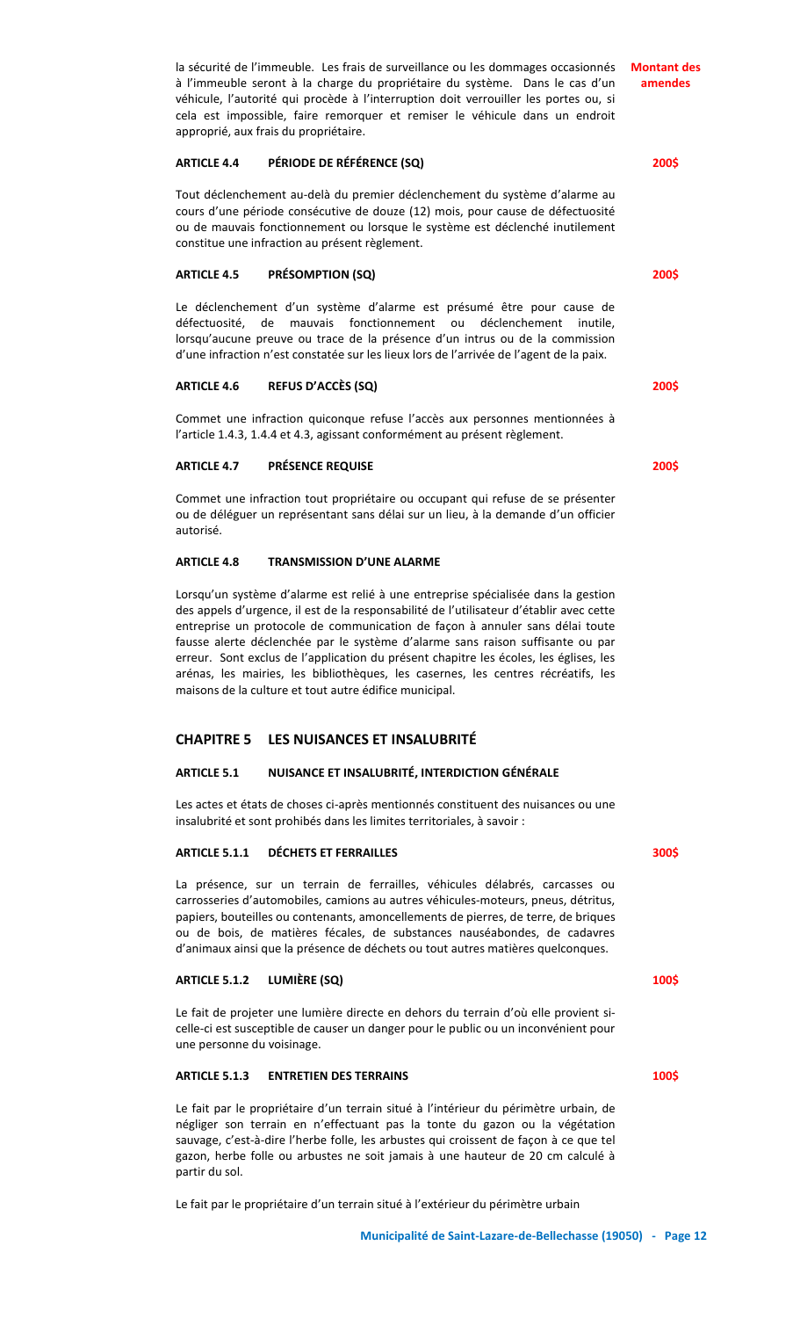la sécurité de l'immeuble. Les frais de surveillance ou les dommages occasionnés à l'immeuble seront à la charge du propriétaire du système. Dans le cas d'un véhicule, l'autorité qui procède à l'interruption doit verrouiller les portes ou, si cela est impossible, faire remorquer et remiser le véhicule dans un endroit approprié, aux frais du propriétaire. **Montant des** 

## **ARTICLE 4.4 PÉRIODE DE RÉFÉRENCE (SQ)**

Tout déclenchement au-delà du premier déclenchement du système d'alarme au cours d'une période consécutive de douze (12) mois, pour cause de défectuosité ou de mauvais fonctionnement ou lorsque le système est déclenché inutilement constitue une infraction au présent règlement.

#### **ARTICLE 4.5 PRÉSOMPTION (SQ)**

Le déclenchement d'un système d'alarme est présumé être pour cause de défectuosité, de mauvais fonctionnement ou déclenchement inutile, lorsqu'aucune preuve ou trace de la présence d'un intrus ou de la commission d'une infraction n'est constatée sur les lieux lors de l'arrivée de l'agent de la paix.

#### **ARTICLE 4.6 REFUS D'ACCÈS (SQ)**

Commet une infraction quiconque refuse l'accès aux personnes mentionnées à l'article 1.4.3, 1.4.4 et 4.3, agissant conformément au présent règlement.

#### **ARTICLE 4.7 PRÉSENCE REQUISE**

Commet une infraction tout propriétaire ou occupant qui refuse de se présenter ou de déléguer un représentant sans délai sur un lieu, à la demande d'un officier autorisé.

#### **ARTICLE 4.8 TRANSMISSION D'UNE ALARME**

Lorsqu'un système d'alarme est relié à une entreprise spécialisée dans la gestion des appels d'urgence, il est de la responsabilité de l'utilisateur d'établir avec cette entreprise un protocole de communication de façon à annuler sans délai toute fausse alerte déclenchée par le système d'alarme sans raison suffisante ou par erreur. Sont exclus de l'application du présent chapitre les écoles, les églises, les arénas, les mairies, les bibliothèques, les casernes, les centres récréatifs, les maisons de la culture et tout autre édifice municipal.

# **CHAPITRE 5 LES NUISANCES ET INSALUBRITÉ**

### **ARTICLE 5.1 NUISANCE ET INSALUBRITÉ, INTERDICTION GÉNÉRALE**

Les actes et états de choses ci-après mentionnés constituent des nuisances ou une insalubrité et sont prohibés dans les limites territoriales, à savoir :

### **ARTICLE 5.1.1 DÉCHETS ET FERRAILLES**

La présence, sur un terrain de ferrailles, véhicules délabrés, carcasses ou carrosseries d'automobiles, camions au autres véhicules-moteurs, pneus, détritus, papiers, bouteilles ou contenants, amoncellements de pierres, de terre, de briques ou de bois, de matières fécales, de substances nauséabondes, de cadavres d'animaux ainsi que la présence de déchets ou tout autres matières quelconques.

# **ARTICLE 5.1.2 LUMIÈRE (SQ)**

Le fait de projeter une lumière directe en dehors du terrain d'où elle provient sicelle-ci est susceptible de causer un danger pour le public ou un inconvénient pour une personne du voisinage.

# **ARTICLE 5.1.3 ENTRETIEN DES TERRAINS**

Le fait par le propriétaire d'un terrain situé à l'intérieur du périmètre urbain, de négliger son terrain en n'effectuant pas la tonte du gazon ou la végétation sauvage, c'est-à-dire l'herbe folle, les arbustes qui croissent de façon à ce que tel gazon, herbe folle ou arbustes ne soit jamais à une hauteur de 20 cm calculé à partir du sol.

Le fait par le propriétaire d'un terrain situé à l'extérieur du périmètre urbain

**200\$**

# **300\$**

**100\$**

**100\$**

**amendes**

**200\$**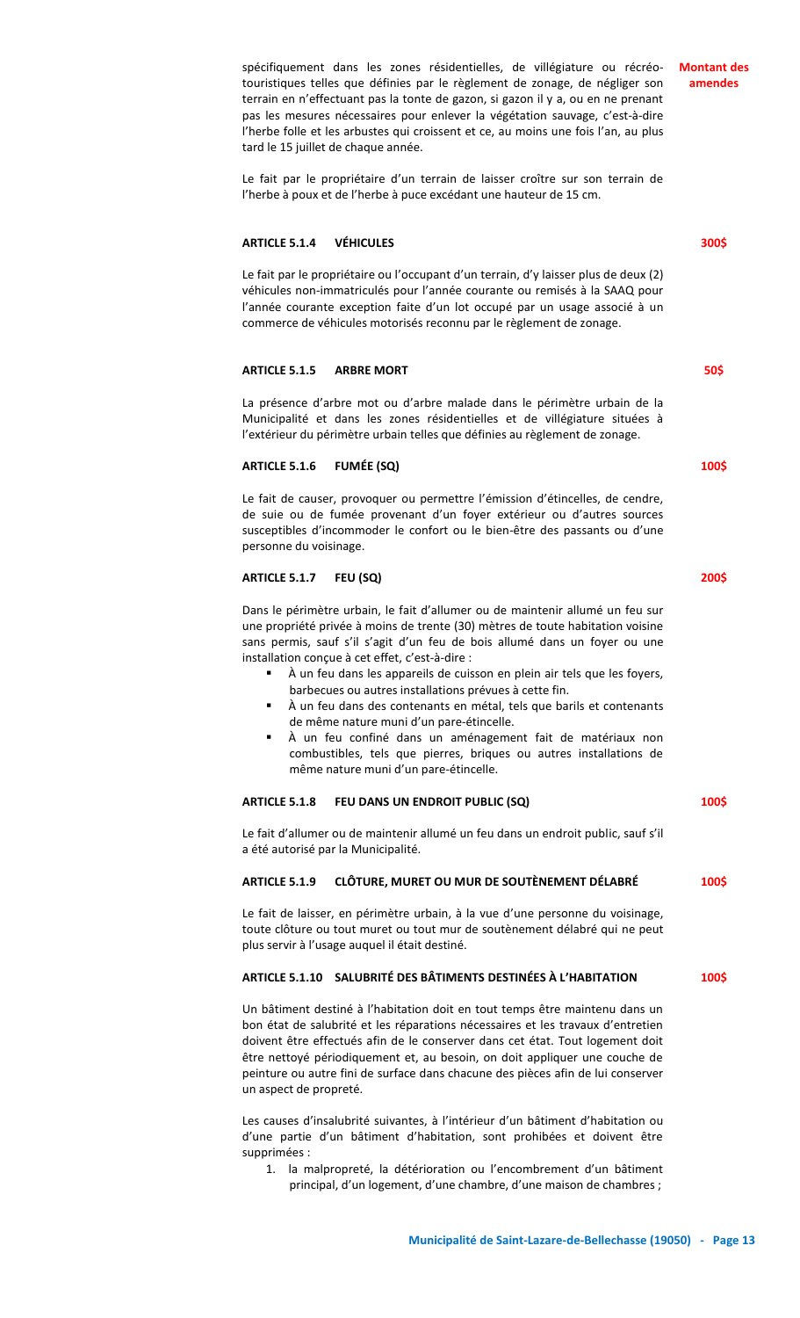**Montant des amendes**

**300\$**

**50\$**

**100\$**

**200\$**

**100\$**

**100\$**

spécifiquement dans les zones résidentielles, de villégiature ou récréotouristiques telles que définies par le règlement de zonage, de négliger son terrain en n'effectuant pas la tonte de gazon, si gazon il y a, ou en ne prenant pas les mesures nécessaires pour enlever la végétation sauvage, c'est-à-dire l'herbe folle et les arbustes qui croissent et ce, au moins une fois l'an, au plus tard le 15 juillet de chaque année.

Le fait par le propriétaire d'un terrain de laisser croître sur son terrain de l'herbe à poux et de l'herbe à puce excédant une hauteur de 15 cm.

#### **ARTICLE 5.1.4 VÉHICULES**

Le fait par le propriétaire ou l'occupant d'un terrain, d'y laisser plus de deux (2) véhicules non-immatriculés pour l'année courante ou remisés à la SAAQ pour l'année courante exception faite d'un lot occupé par un usage associé à un commerce de véhicules motorisés reconnu par le règlement de zonage.

# **ARTICLE 5.1.5 ARBRE MORT**

La présence d'arbre mot ou d'arbre malade dans le périmètre urbain de la Municipalité et dans les zones résidentielles et de villégiature situées à l'extérieur du périmètre urbain telles que définies au règlement de zonage.

## **ARTICLE 5.1.6 FUMÉE (SQ)**

Le fait de causer, provoquer ou permettre l'émission d'étincelles, de cendre, de suie ou de fumée provenant d'un foyer extérieur ou d'autres sources susceptibles d'incommoder le confort ou le bien-être des passants ou d'une personne du voisinage.

#### **ARTICLE 5.1.7 FEU (SQ)**

Dans le périmètre urbain, le fait d'allumer ou de maintenir allumé un feu sur une propriété privée à moins de trente (30) mètres de toute habitation voisine sans permis, sauf s'il s'agit d'un feu de bois allumé dans un foyer ou une installation conçue à cet effet, c'est-à-dire :

- À un feu dans les appareils de cuisson en plein air tels que les foyers, barbecues ou autres installations prévues à cette fin.
- À un feu dans des contenants en métal, tels que barils et contenants de même nature muni d'un pare-étincelle.
- À un feu confiné dans un aménagement fait de matériaux non combustibles, tels que pierres, briques ou autres installations de même nature muni d'un pare-étincelle.

# **ARTICLE 5.1.8 FEU DANS UN ENDROIT PUBLIC (SQ)**

Le fait d'allumer ou de maintenir allumé un feu dans un endroit public, sauf s'il a été autorisé par la Municipalité.

#### **ARTICLE 5.1.9 CLÔTURE, MURET OU MUR DE SOUTÈNEMENT DÉLABRÉ 100\$**

Le fait de laisser, en périmètre urbain, à la vue d'une personne du voisinage, toute clôture ou tout muret ou tout mur de soutènement délabré qui ne peut plus servir à l'usage auquel il était destiné.

# **ARTICLE 5.1.10 SALUBRITÉ DES BÂTIMENTS DESTINÉES À L'HABITATION**

Un bâtiment destiné à l'habitation doit en tout temps être maintenu dans un bon état de salubrité et les réparations nécessaires et les travaux d'entretien doivent être effectués afin de le conserver dans cet état. Tout logement doit être nettoyé périodiquement et, au besoin, on doit appliquer une couche de peinture ou autre fini de surface dans chacune des pièces afin de lui conserver un aspect de propreté.

Les causes d'insalubrité suivantes, à l'intérieur d'un bâtiment d'habitation ou d'une partie d'un bâtiment d'habitation, sont prohibées et doivent être supprimées :

1. la malpropreté, la détérioration ou l'encombrement d'un bâtiment principal, d'un logement, d'une chambre, d'une maison de chambres ;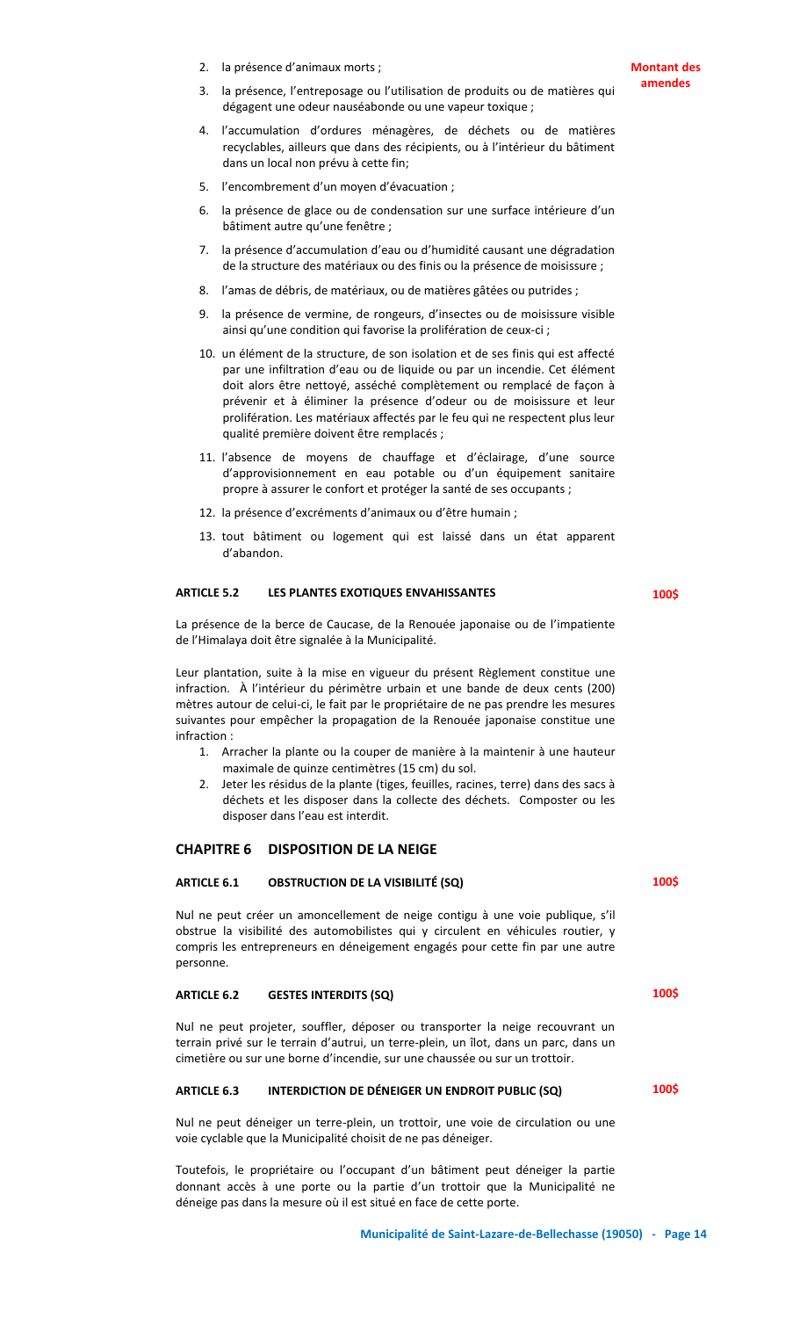2. la présence d'animaux morts ;

- 3. la présence, l'entreposage ou l'utilisation de produits ou de matières qui dégagent une odeur nauséabonde ou une vapeur toxique ;
- 4. l'accumulation d'ordures ménagères, de déchets ou de matières recyclables, ailleurs que dans des récipients, ou à l'intérieur du bâtiment dans un local non prévu à cette fin;
- 5. l'encombrement d'un moyen d'évacuation ;
- 6. la présence de glace ou de condensation sur une surface intérieure d'un bâtiment autre qu'une fenêtre ;
- 7. la présence d'accumulation d'eau ou d'humidité causant une dégradation de la structure des matériaux ou des finis ou la présence de moisissure ;
- 8. l'amas de débris, de matériaux, ou de matières gâtées ou putrides ;
- 9. la présence de vermine, de rongeurs, d'insectes ou de moisissure visible ainsi qu'une condition qui favorise la prolifération de ceux-ci ;
- 10. un élément de la structure, de son isolation et de ses finis qui est affecté par une infiltration d'eau ou de liquide ou par un incendie. Cet élément doit alors être nettoyé, asséché complètement ou remplacé de façon à prévenir et à éliminer la présence d'odeur ou de moisissure et leur prolifération. Les matériaux affectés par le feu qui ne respectent plus leur qualité première doivent être remplacés ;
- 11. l'absence de moyens de chauffage et d'éclairage, d'une source d'approvisionnement en eau potable ou d'un équipement sanitaire propre à assurer le confort et protéger la santé de ses occupants ;
- 12. la présence d'excréments d'animaux ou d'être humain ;
- 13. tout bâtiment ou logement qui est laissé dans un état apparent d'abandon.

#### **ARTICLE 5.2 LES PLANTES EXOTIQUES ENVAHISSANTES**

**100\$**

**100\$**

**100\$**

**100\$**

La présence de la berce de Caucase, de la Renouée japonaise ou de l'impatiente de l'Himalaya doit être signalée à la Municipalité.

Leur plantation, suite à la mise en vigueur du présent Règlement constitue une infraction. À l'intérieur du périmètre urbain et une bande de deux cents (200) mètres autour de celui-ci, le fait par le propriétaire de ne pas prendre les mesures suivantes pour empêcher la propagation de la Renouée japonaise constitue une infraction :

- 1. Arracher la plante ou la couper de manière à la maintenir à une hauteur maximale de quinze centimètres (15 cm) du sol.
- 2. Jeter les résidus de la plante (tiges, feuilles, racines, terre) dans des sacs à déchets et les disposer dans la collecte des déchets. Composter ou les disposer dans l'eau est interdit.

# **CHAPITRE 6 DISPOSITION DE LA NEIGE**

# **ARTICLE 6.1 OBSTRUCTION DE LA VISIBILITÉ (SQ)**

Nul ne peut créer un amoncellement de neige contigu à une voie publique, s'il obstrue la visibilité des automobilistes qui y circulent en véhicules routier, y compris les entrepreneurs en déneigement engagés pour cette fin par une autre personne.

#### **ARTICLE 6.2 GESTES INTERDITS (SQ)**

Nul ne peut projeter, souffler, déposer ou transporter la neige recouvrant un terrain privé sur le terrain d'autrui, un terre-plein, un îlot, dans un parc, dans un cimetière ou sur une borne d'incendie, sur une chaussée ou sur un trottoir.

# **ARTICLE 6.3 INTERDICTION DE DÉNEIGER UN ENDROIT PUBLIC (SQ)**

Nul ne peut déneiger un terre-plein, un trottoir, une voie de circulation ou une voie cyclable que la Municipalité choisit de ne pas déneiger.

Toutefois, le propriétaire ou l'occupant d'un bâtiment peut déneiger la partie donnant accès à une porte ou la partie d'un trottoir que la Municipalité ne déneige pas dans la mesure où il est situé en face de cette porte.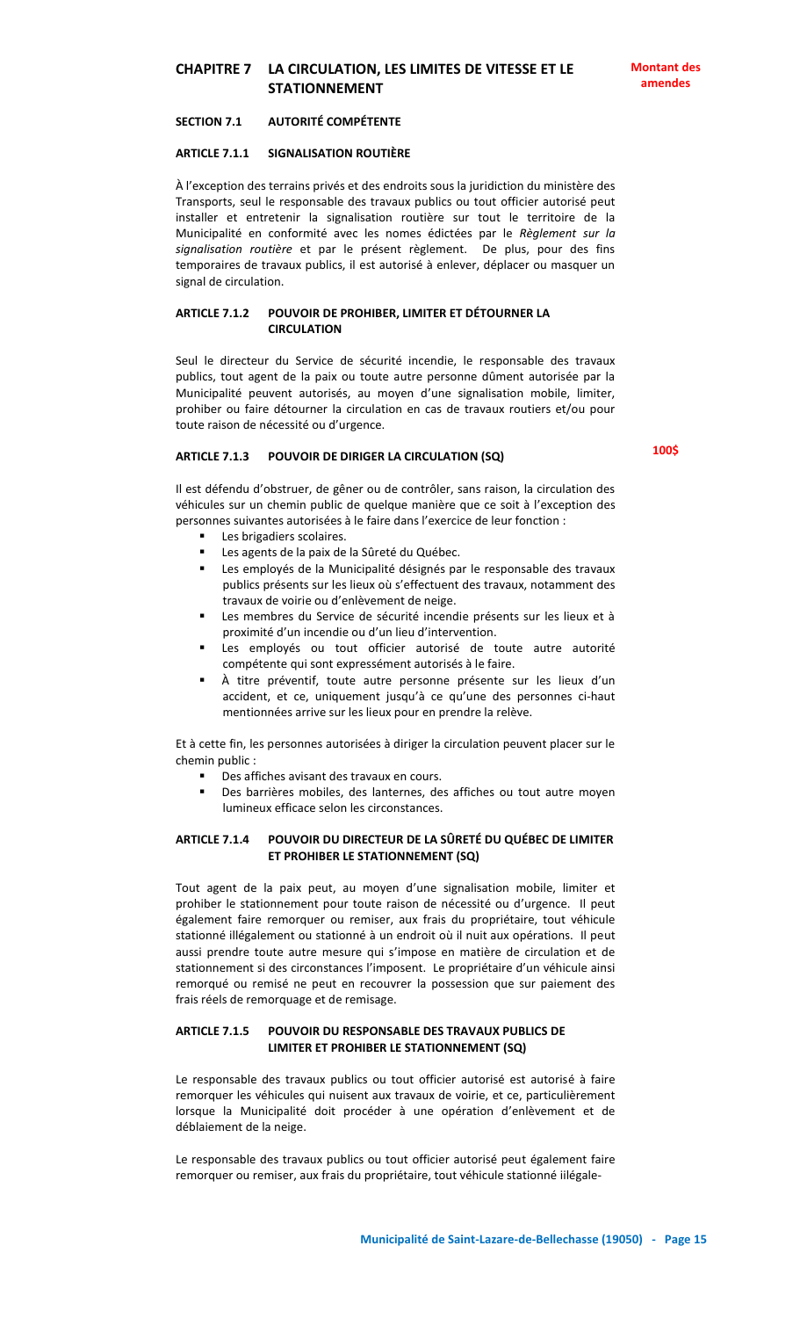# **CHAPITRE 7 LA CIRCULATION, LES LIMITES DE VITESSE ET LE STATIONNEMENT**

## **SECTION 7.1 AUTORITÉ COMPÉTENTE**

#### **ARTICLE 7.1.1 SIGNALISATION ROUTIÈRE**

À l'exception des terrains privés et des endroits sous la juridiction du ministère des Transports, seul le responsable des travaux publics ou tout officier autorisé peut installer et entretenir la signalisation routière sur tout le territoire de la Municipalité en conformité avec les nomes édictées par le *Règlement sur la signalisation routière* et par le présent règlement. De plus, pour des fins temporaires de travaux publics, il est autorisé à enlever, déplacer ou masquer un signal de circulation.

#### **ARTICLE 7.1.2 POUVOIR DE PROHIBER, LIMITER ET DÉTOURNER LA CIRCULATION**

Seul le directeur du Service de sécurité incendie, le responsable des travaux publics, tout agent de la paix ou toute autre personne dûment autorisée par la Municipalité peuvent autorisés, au moyen d'une signalisation mobile, limiter, prohiber ou faire détourner la circulation en cas de travaux routiers et/ou pour toute raison de nécessité ou d'urgence.

#### **ARTICLE 7.1.3 POUVOIR DE DIRIGER LA CIRCULATION (SQ)**

Il est défendu d'obstruer, de gêner ou de contrôler, sans raison, la circulation des véhicules sur un chemin public de quelque manière que ce soit à l'exception des personnes suivantes autorisées à le faire dans l'exercice de leur fonction :

- Les brigadiers scolaires.
- Les agents de la paix de la Sûreté du Québec.
- Les employés de la Municipalité désignés par le responsable des travaux publics présents sur les lieux où s'effectuent des travaux, notamment des travaux de voirie ou d'enlèvement de neige.
- Les membres du Service de sécurité incendie présents sur les lieux et à proximité d'un incendie ou d'un lieu d'intervention.
- Les employés ou tout officier autorisé de toute autre autorité compétente qui sont expressément autorisés à le faire.
- À titre préventif, toute autre personne présente sur les lieux d'un accident, et ce, uniquement jusqu'à ce qu'une des personnes ci-haut mentionnées arrive sur les lieux pour en prendre la relève.

Et à cette fin, les personnes autorisées à diriger la circulation peuvent placer sur le chemin public :

- Des affiches avisant des travaux en cours.
- Des barrières mobiles, des lanternes, des affiches ou tout autre moyen lumineux efficace selon les circonstances.

# **ARTICLE 7.1.4 POUVOIR DU DIRECTEUR DE LA SÛRETÉ DU QUÉBEC DE LIMITER ET PROHIBER LE STATIONNEMENT (SQ)**

Tout agent de la paix peut, au moyen d'une signalisation mobile, limiter et prohiber le stationnement pour toute raison de nécessité ou d'urgence. Il peut également faire remorquer ou remiser, aux frais du propriétaire, tout véhicule stationné illégalement ou stationné à un endroit où il nuit aux opérations. Il peut aussi prendre toute autre mesure qui s'impose en matière de circulation et de stationnement si des circonstances l'imposent. Le propriétaire d'un véhicule ainsi remorqué ou remisé ne peut en recouvrer la possession que sur paiement des frais réels de remorquage et de remisage.

# **ARTICLE 7.1.5 POUVOIR DU RESPONSABLE DES TRAVAUX PUBLICS DE LIMITER ET PROHIBER LE STATIONNEMENT (SQ)**

Le responsable des travaux publics ou tout officier autorisé est autorisé à faire remorquer les véhicules qui nuisent aux travaux de voirie, et ce, particulièrement lorsque la Municipalité doit procéder à une opération d'enlèvement et de déblaiement de la neige.

Le responsable des travaux publics ou tout officier autorisé peut également faire remorquer ou remiser, aux frais du propriétaire, tout véhicule stationné iilégale-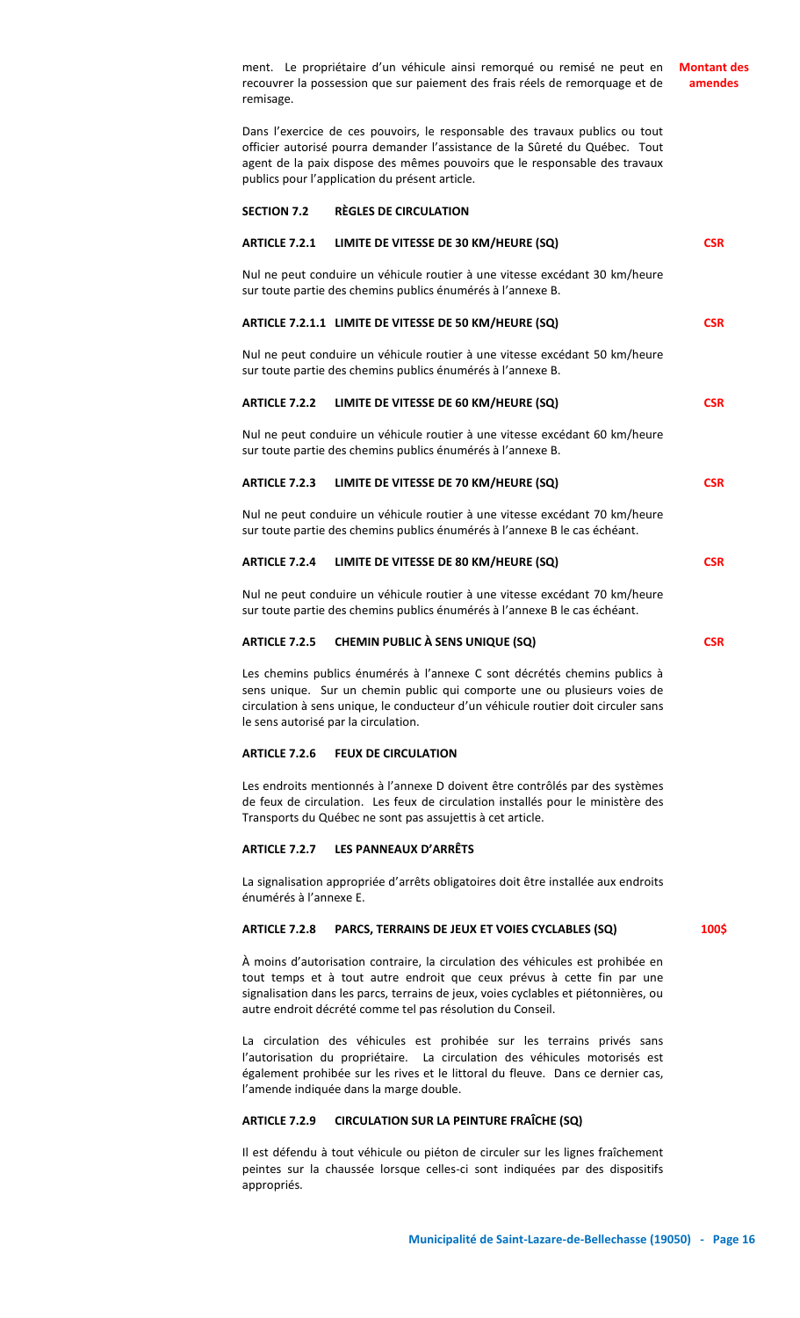ment. Le propriétaire d'un véhicule ainsi remorqué ou remisé ne peut en recouvrer la possession que sur paiement des frais réels de remorquage et de remisage. Dans l'exercice de ces pouvoirs, le responsable des travaux publics ou tout officier autorisé pourra demander l'assistance de la Sûreté du Québec. Tout agent de la paix dispose des mêmes pouvoirs que le responsable des travaux publics pour l'application du présent article. **SECTION 7.2 RÈGLES DE CIRCULATION ARTICLE 7.2.1 LIMITE DE VITESSE DE 30 KM/HEURE (SQ)** Nul ne peut conduire un véhicule routier à une vitesse excédant 30 km/heure sur toute partie des chemins publics énumérés à l'annexe B. **ARTICLE 7.2.1.1 LIMITE DE VITESSE DE 50 KM/HEURE (SQ)** Nul ne peut conduire un véhicule routier à une vitesse excédant 50 km/heure sur toute partie des chemins publics énumérés à l'annexe B. **ARTICLE 7.2.2 LIMITE DE VITESSE DE 60 KM/HEURE (SQ)** Nul ne peut conduire un véhicule routier à une vitesse excédant 60 km/heure sur toute partie des chemins publics énumérés à l'annexe B. **ARTICLE 7.2.3 LIMITE DE VITESSE DE 70 KM/HEURE (SQ)** Nul ne peut conduire un véhicule routier à une vitesse excédant 70 km/heure sur toute partie des chemins publics énumérés à l'annexe B le cas échéant. **ARTICLE 7.2.4 LIMITE DE VITESSE DE 80 KM/HEURE (SQ)** Nul ne peut conduire un véhicule routier à une vitesse excédant 70 km/heure sur toute partie des chemins publics énumérés à l'annexe B le cas échéant. **ARTICLE 7.2.5 CHEMIN PUBLIC À SENS UNIQUE (SQ)** Les chemins publics énumérés à l'annexe C sont décrétés chemins publics à sens unique. Sur un chemin public qui comporte une ou plusieurs voies de circulation à sens unique, le conducteur d'un véhicule routier doit circuler sans le sens autorisé par la circulation. **ARTICLE 7.2.6 FEUX DE CIRCULATION Montant des amendes CSR CSR CSR CSR CSR CSR**

Les endroits mentionnés à l'annexe D doivent être contrôlés par des systèmes de feux de circulation. Les feux de circulation installés pour le ministère des Transports du Québec ne sont pas assujettis à cet article.

# **ARTICLE 7.2.7 LES PANNEAUX D'ARRÊTS**

La signalisation appropriée d'arrêts obligatoires doit être installée aux endroits énumérés à l'annexe E.

# **ARTICLE 7.2.8 PARCS, TERRAINS DE JEUX ET VOIES CYCLABLES (SQ)**

À moins d'autorisation contraire, la circulation des véhicules est prohibée en tout temps et à tout autre endroit que ceux prévus à cette fin par une signalisation dans les parcs, terrains de jeux, voies cyclables et piétonnières, ou autre endroit décrété comme tel pas résolution du Conseil.

La circulation des véhicules est prohibée sur les terrains privés sans l'autorisation du propriétaire. La circulation des véhicules motorisés est également prohibée sur les rives et le littoral du fleuve. Dans ce dernier cas, l'amende indiquée dans la marge double.

# **ARTICLE 7.2.9 CIRCULATION SUR LA PEINTURE FRAÎCHE (SQ)**

Il est défendu à tout véhicule ou piéton de circuler sur les lignes fraîchement peintes sur la chaussée lorsque celles-ci sont indiquées par des dispositifs appropriés.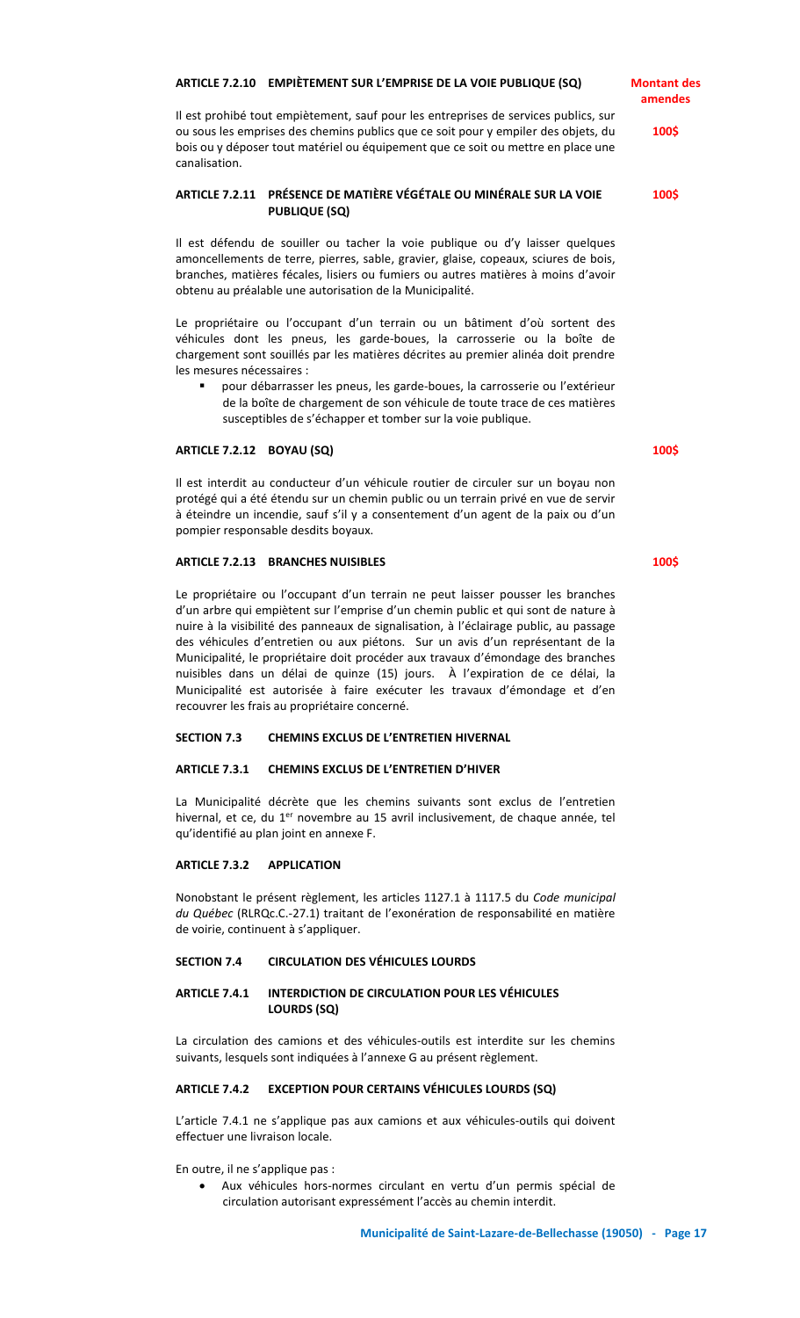# **ARTICLE 7.2.10 EMPIÈTEMENT SUR L'EMPRISE DE LA VOIE PUBLIQUE (SQ)**

Il est prohibé tout empiètement, sauf pour les entreprises de services publics, sur ou sous les emprises des chemins publics que ce soit pour y empiler des objets, du bois ou y déposer tout matériel ou équipement que ce soit ou mettre en place une canalisation.

# **ARTICLE 7.2.11 PRÉSENCE DE MATIÈRE VÉGÉTALE OU MINÉRALE SUR LA VOIE PUBLIQUE (SQ)**

Il est défendu de souiller ou tacher la voie publique ou d'y laisser quelques amoncellements de terre, pierres, sable, gravier, glaise, copeaux, sciures de bois, branches, matières fécales, lisiers ou fumiers ou autres matières à moins d'avoir obtenu au préalable une autorisation de la Municipalité.

Le propriétaire ou l'occupant d'un terrain ou un bâtiment d'où sortent des véhicules dont les pneus, les garde-boues, la carrosserie ou la boîte de chargement sont souillés par les matières décrites au premier alinéa doit prendre les mesures nécessaires :

 pour débarrasser les pneus, les garde-boues, la carrosserie ou l'extérieur de la boîte de chargement de son véhicule de toute trace de ces matières susceptibles de s'échapper et tomber sur la voie publique.

#### **ARTICLE 7.2.12 BOYAU (SQ)**

Il est interdit au conducteur d'un véhicule routier de circuler sur un boyau non protégé qui a été étendu sur un chemin public ou un terrain privé en vue de servir à éteindre un incendie, sauf s'il y a consentement d'un agent de la paix ou d'un pompier responsable desdits boyaux.

## **ARTICLE 7.2.13 BRANCHES NUISIBLES**

Le propriétaire ou l'occupant d'un terrain ne peut laisser pousser les branches d'un arbre qui empiètent sur l'emprise d'un chemin public et qui sont de nature à nuire à la visibilité des panneaux de signalisation, à l'éclairage public, au passage des véhicules d'entretien ou aux piétons. Sur un avis d'un représentant de la Municipalité, le propriétaire doit procéder aux travaux d'émondage des branches nuisibles dans un délai de quinze (15) jours. À l'expiration de ce délai, la Municipalité est autorisée à faire exécuter les travaux d'émondage et d'en recouvrer les frais au propriétaire concerné.

# **SECTION 7.3 CHEMINS EXCLUS DE L'ENTRETIEN HIVERNAL**

# **ARTICLE 7.3.1 CHEMINS EXCLUS DE L'ENTRETIEN D'HIVER**

La Municipalité décrète que les chemins suivants sont exclus de l'entretien hivernal, et ce, du 1<sup>er</sup> novembre au 15 avril inclusivement, de chaque année, tel qu'identifié au plan joint en annexe F.

# **ARTICLE 7.3.2 APPLICATION**

Nonobstant le présent règlement, les articles 1127.1 à 1117.5 du *Code municipal du Québec* (RLRQc.C.-27.1) traitant de l'exonération de responsabilité en matière de voirie, continuent à s'appliquer.

## **SECTION 7.4 CIRCULATION DES VÉHICULES LOURDS**

# **ARTICLE 7.4.1 INTERDICTION DE CIRCULATION POUR LES VÉHICULES LOURDS (SQ)**

La circulation des camions et des véhicules-outils est interdite sur les chemins suivants, lesquels sont indiquées à l'annexe G au présent règlement.

# **ARTICLE 7.4.2 EXCEPTION POUR CERTAINS VÉHICULES LOURDS (SQ)**

L'article 7.4.1 ne s'applique pas aux camions et aux véhicules-outils qui doivent effectuer une livraison locale.

En outre, il ne s'applique pas :

 Aux véhicules hors-normes circulant en vertu d'un permis spécial de circulation autorisant expressément l'accès au chemin interdit.

**100\$**

**100\$**

**Montant des amendes**

**100\$**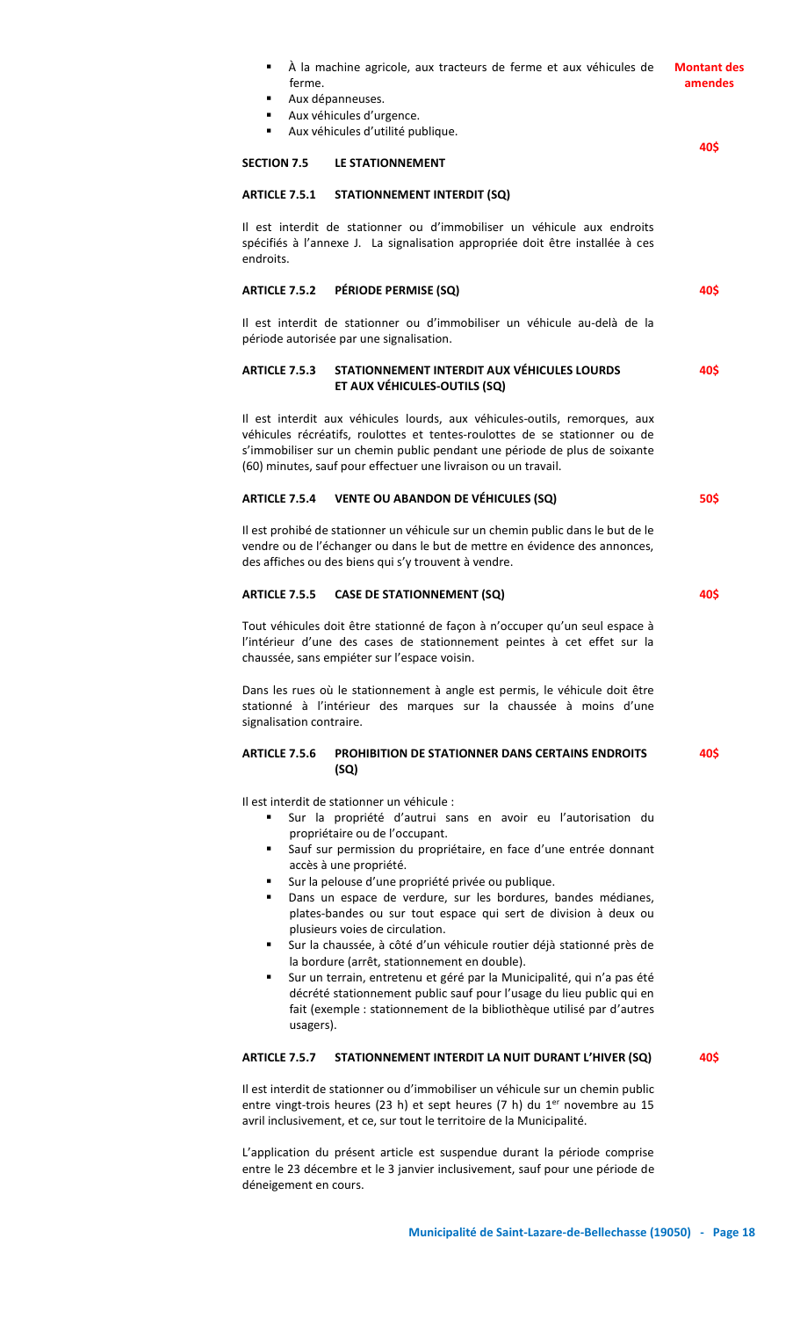| À la machine agricole, aux tracteurs de ferme et aux véhicules de<br>٠<br>ferme.<br>Aux dépanneuses.<br>Aux véhicules d'urgence.                                                                                                                                                                                                                                       | <b>Montant des</b><br>amendes |
|------------------------------------------------------------------------------------------------------------------------------------------------------------------------------------------------------------------------------------------------------------------------------------------------------------------------------------------------------------------------|-------------------------------|
| Aux véhicules d'utilité publique.<br>٠                                                                                                                                                                                                                                                                                                                                 | 40\$                          |
| <b>SECTION 7.5</b><br>LE STATIONNEMENT                                                                                                                                                                                                                                                                                                                                 |                               |
| <b>ARTICLE 7.5.1</b><br><b>STATIONNEMENT INTERDIT (SQ)</b>                                                                                                                                                                                                                                                                                                             |                               |
| Il est interdit de stationner ou d'immobiliser un véhicule aux endroits<br>spécifiés à l'annexe J. La signalisation appropriée doit être installée à ces<br>endroits.                                                                                                                                                                                                  |                               |
| PÉRIODE PERMISE (SQ)<br><b>ARTICLE 7.5.2</b>                                                                                                                                                                                                                                                                                                                           | 40S                           |
| Il est interdit de stationner ou d'immobiliser un véhicule au-delà de la<br>période autorisée par une signalisation.                                                                                                                                                                                                                                                   |                               |
| STATIONNEMENT INTERDIT AUX VÉHICULES LOURDS<br><b>ARTICLE 7.5.3</b><br>ET AUX VÉHICULES-OUTILS (SQ)                                                                                                                                                                                                                                                                    | 40\$                          |
| Il est interdit aux véhicules lourds, aux véhicules-outils, remorques, aux<br>véhicules récréatifs, roulottes et tentes-roulottes de se stationner ou de<br>s'immobiliser sur un chemin public pendant une période de plus de soixante<br>(60) minutes, sauf pour effectuer une livraison ou un travail.                                                               |                               |
| ARTICLE 7.5.4 VENTE OU ABANDON DE VÉHICULES (SQ)                                                                                                                                                                                                                                                                                                                       | 50\$                          |
| Il est prohibé de stationner un véhicule sur un chemin public dans le but de le<br>vendre ou de l'échanger ou dans le but de mettre en évidence des annonces,<br>des affiches ou des biens qui s'y trouvent à vendre.                                                                                                                                                  |                               |
| <b>ARTICLE 7.5.5</b><br><b>CASE DE STATIONNEMENT (SQ)</b>                                                                                                                                                                                                                                                                                                              | 40\$                          |
| Tout véhicules doit être stationné de façon à n'occuper qu'un seul espace à<br>l'intérieur d'une des cases de stationnement peintes à cet effet sur la<br>chaussée, sans empiéter sur l'espace voisin.                                                                                                                                                                 |                               |
| Dans les rues où le stationnement à angle est permis, le véhicule doit être<br>stationné à l'intérieur des marques sur la chaussée à moins d'une<br>signalisation contraire.                                                                                                                                                                                           |                               |
| <b>ARTICLE 7.5.6</b><br><b>PROHIBITION DE STATIONNER DANS CERTAINS ENDROITS</b><br>(SQ)                                                                                                                                                                                                                                                                                | 40\$                          |
| Il est interdit de stationner un véhicule :<br>Sur la propriété d'autrui sans en avoir eu l'autorisation du<br>propriétaire ou de l'occupant.<br>Sauf sur permission du propriétaire, en face d'une entrée donnant<br>٠<br>accès à une propriété.                                                                                                                      |                               |
| Sur la pelouse d'une propriété privée ou publique.<br>٠<br>Dans un espace de verdure, sur les bordures, bandes médianes,<br>٠<br>plates-bandes ou sur tout espace qui sert de division à deux ou<br>plusieurs voies de circulation.                                                                                                                                    |                               |
| Sur la chaussée, à côté d'un véhicule routier déjà stationné près de<br>٠<br>la bordure (arrêt, stationnement en double).<br>Sur un terrain, entretenu et géré par la Municipalité, qui n'a pas été<br>٠<br>décrété stationnement public sauf pour l'usage du lieu public qui en<br>fait (exemple : stationnement de la bibliothèque utilisé par d'autres<br>usagers). |                               |
| <b>ARTICLE 7.5.7</b><br>STATIONNEMENT INTERDIT LA NUIT DURANT L'HIVER (SQ)                                                                                                                                                                                                                                                                                             | 40\$                          |
| Il est interdit de stationner ou d'immobiliser un véhicule sur un chemin public<br>entre vingt-trois heures (23 h) et sept heures (7 h) du $1er$ novembre au 15<br>avril inclusivement, et ce, sur tout le territoire de la Municipalité.                                                                                                                              |                               |
| L'application du présent article est suspendue durant la période comprise                                                                                                                                                                                                                                                                                              |                               |

entre le 23 décembre et le 3 janvier inclusivement, sauf pour une période de déneigement en cours.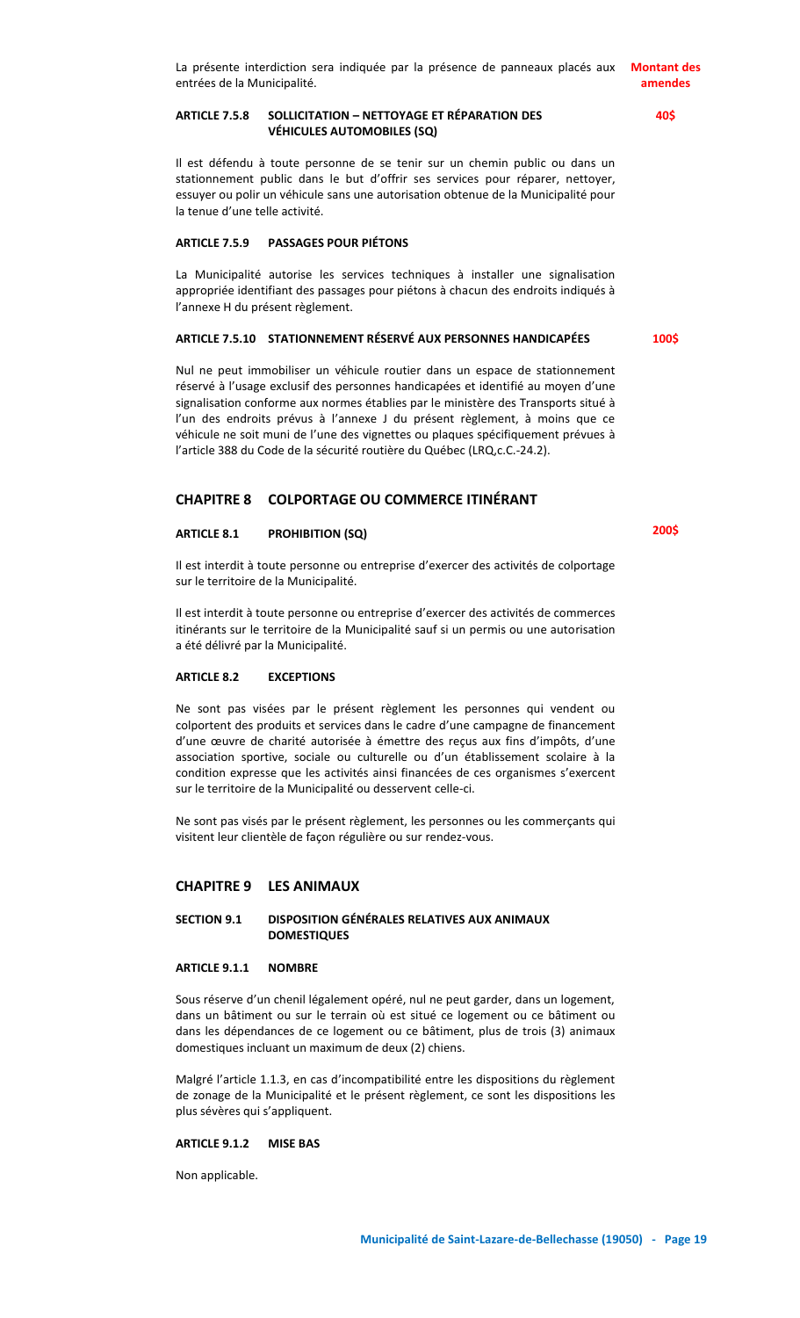# **ARTICLE 7.5.8 SOLLICITATION – NETTOYAGE ET RÉPARATION DES VÉHICULES AUTOMOBILES (SQ)**

Il est défendu à toute personne de se tenir sur un chemin public ou dans un stationnement public dans le but d'offrir ses services pour réparer, nettoyer, essuyer ou polir un véhicule sans une autorisation obtenue de la Municipalité pour la tenue d'une telle activité.

# **ARTICLE 7.5.9 PASSAGES POUR PIÉTONS**

La Municipalité autorise les services techniques à installer une signalisation appropriée identifiant des passages pour piétons à chacun des endroits indiqués à l'annexe H du présent règlement.

#### **ARTICLE 7.5.10 STATIONNEMENT RÉSERVÉ AUX PERSONNES HANDICAPÉES**

Nul ne peut immobiliser un véhicule routier dans un espace de stationnement réservé à l'usage exclusif des personnes handicapées et identifié au moyen d'une signalisation conforme aux normes établies par le ministère des Transports situé à l'un des endroits prévus à l'annexe J du présent règlement, à moins que ce véhicule ne soit muni de l'une des vignettes ou plaques spécifiquement prévues à l'article 388 du Code de la sécurité routière du Québec (LRQ,c.C.-24.2).

# **CHAPITRE 8 COLPORTAGE OU COMMERCE ITINÉRANT**

## **ARTICLE 8.1 PROHIBITION (SQ)**

Il est interdit à toute personne ou entreprise d'exercer des activités de colportage sur le territoire de la Municipalité.

Il est interdit à toute personne ou entreprise d'exercer des activités de commerces itinérants sur le territoire de la Municipalité sauf si un permis ou une autorisation a été délivré par la Municipalité.

#### **ARTICLE 8.2 EXCEPTIONS**

Ne sont pas visées par le présent règlement les personnes qui vendent ou colportent des produits et services dans le cadre d'une campagne de financement d'une œuvre de charité autorisée à émettre des reçus aux fins d'impôts, d'une association sportive, sociale ou culturelle ou d'un établissement scolaire à la condition expresse que les activités ainsi financées de ces organismes s'exercent sur le territoire de la Municipalité ou desservent celle-ci.

Ne sont pas visés par le présent règlement, les personnes ou les commerçants qui visitent leur clientèle de façon régulière ou sur rendez-vous.

# **CHAPITRE 9 LES ANIMAUX**

# **SECTION 9.1 DISPOSITION GÉNÉRALES RELATIVES AUX ANIMAUX DOMESTIQUES**

# **ARTICLE 9.1.1 NOMBRE**

Sous réserve d'un chenil légalement opéré, nul ne peut garder, dans un logement, dans un bâtiment ou sur le terrain où est situé ce logement ou ce bâtiment ou dans les dépendances de ce logement ou ce bâtiment, plus de trois (3) animaux domestiques incluant un maximum de deux (2) chiens.

Malgré l'article 1.1.3, en cas d'incompatibilité entre les dispositions du règlement de zonage de la Municipalité et le présent règlement, ce sont les dispositions les plus sévères qui s'appliquent.

# **ARTICLE 9.1.2 MISE BAS**

Non applicable.

**40\$**

**100\$**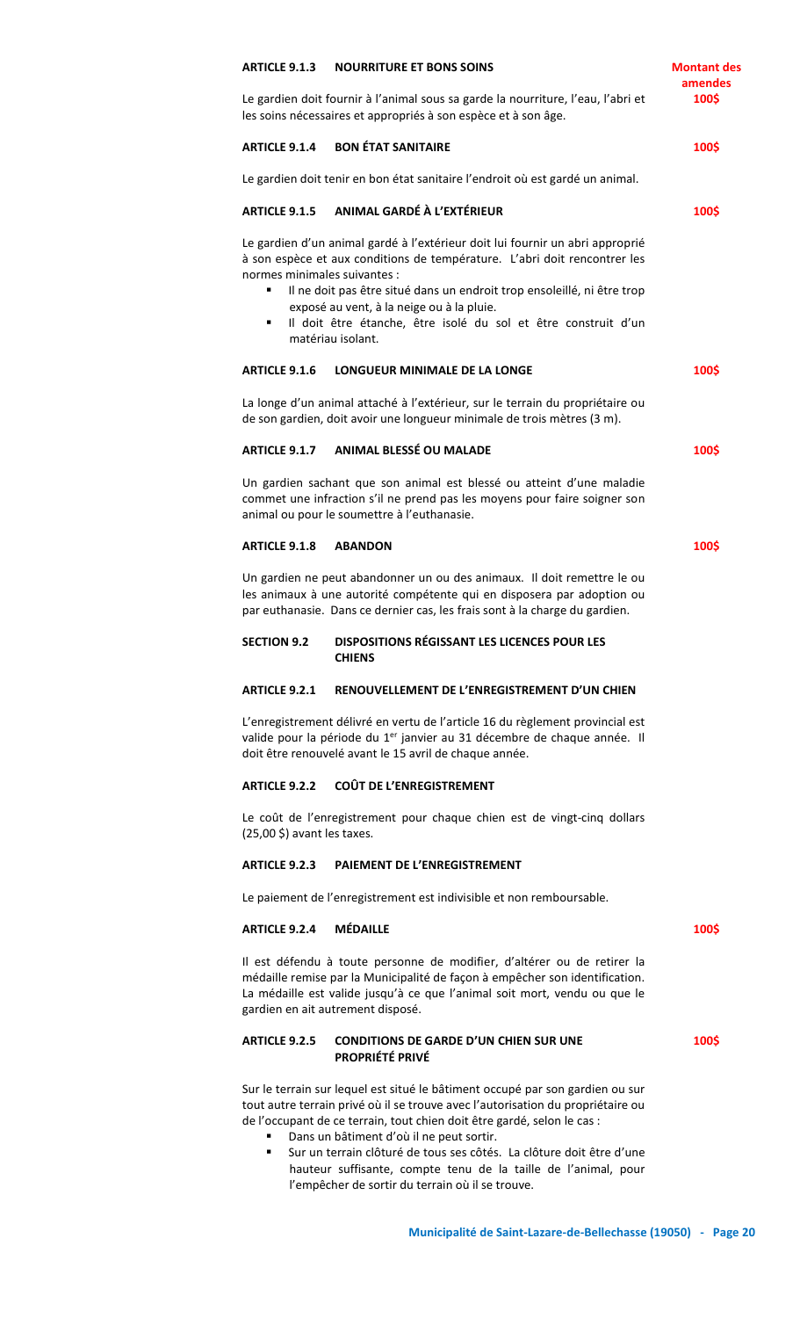| <b>ARTICLE 9.1.3</b>                  | <b>NOURRITURE ET BONS SOINS</b>                                                                                                                                                                                                                                                                                                                                                                                                                                                       | <b>Montant des</b><br>amendes |
|---------------------------------------|---------------------------------------------------------------------------------------------------------------------------------------------------------------------------------------------------------------------------------------------------------------------------------------------------------------------------------------------------------------------------------------------------------------------------------------------------------------------------------------|-------------------------------|
|                                       | Le gardien doit fournir à l'animal sous sa garde la nourriture, l'eau, l'abri et<br>les soins nécessaires et appropriés à son espèce et à son âge.                                                                                                                                                                                                                                                                                                                                    | 100\$                         |
| <b>ARTICLE 9.1.4</b>                  | <b>BON ÉTAT SANITAIRE</b>                                                                                                                                                                                                                                                                                                                                                                                                                                                             | 100\$                         |
|                                       | Le gardien doit tenir en bon état sanitaire l'endroit où est gardé un animal.                                                                                                                                                                                                                                                                                                                                                                                                         |                               |
| <b>ARTICLE 9.1.5</b>                  | ANIMAL GARDÉ À L'EXTÉRIEUR                                                                                                                                                                                                                                                                                                                                                                                                                                                            | 100\$                         |
| ٠<br>٠                                | Le gardien d'un animal gardé à l'extérieur doit lui fournir un abri approprié<br>à son espèce et aux conditions de température. L'abri doit rencontrer les<br>normes minimales suivantes :<br>Il ne doit pas être situé dans un endroit trop ensoleillé, ni être trop<br>exposé au vent, à la neige ou à la pluie.<br>Il doit être étanche, être isolé du sol et être construit d'un<br>matériau isolant.                                                                             |                               |
| <b>ARTICLE 9.1.6</b>                  | <b>LONGUEUR MINIMALE DE LA LONGE</b>                                                                                                                                                                                                                                                                                                                                                                                                                                                  | 100\$                         |
|                                       | La longe d'un animal attaché à l'extérieur, sur le terrain du propriétaire ou<br>de son gardien, doit avoir une longueur minimale de trois mètres (3 m).                                                                                                                                                                                                                                                                                                                              |                               |
| <b>ARTICLE 9.1.7</b>                  | <b>ANIMAL BLESSÉ OU MALADE</b>                                                                                                                                                                                                                                                                                                                                                                                                                                                        | 100\$                         |
|                                       | Un gardien sachant que son animal est blessé ou atteint d'une maladie<br>commet une infraction s'il ne prend pas les moyens pour faire soigner son<br>animal ou pour le soumettre à l'euthanasie.                                                                                                                                                                                                                                                                                     |                               |
| <b>ARTICLE 9.1.8</b>                  | <b>ABANDON</b>                                                                                                                                                                                                                                                                                                                                                                                                                                                                        | 100\$                         |
|                                       | Un gardien ne peut abandonner un ou des animaux. Il doit remettre le ou<br>les animaux à une autorité compétente qui en disposera par adoption ou<br>par euthanasie. Dans ce dernier cas, les frais sont à la charge du gardien.                                                                                                                                                                                                                                                      |                               |
| <b>SECTION 9.2</b>                    | <b>DISPOSITIONS RÉGISSANT LES LICENCES POUR LES</b><br><b>CHIENS</b>                                                                                                                                                                                                                                                                                                                                                                                                                  |                               |
| <b>ARTICLE 9.2.1</b>                  | RENOUVELLEMENT DE L'ENREGISTREMENT D'UN CHIEN                                                                                                                                                                                                                                                                                                                                                                                                                                         |                               |
|                                       | L'enregistrement délivré en vertu de l'article 16 du règlement provincial est<br>valide pour la période du 1 <sup>er</sup> janvier au 31 décembre de chaque année. Il<br>doit être renouvelé avant le 15 avril de chaque année.                                                                                                                                                                                                                                                       |                               |
| <b>ARTICLE 9.2.2</b>                  | <b>COÛT DE L'ENREGISTREMENT</b>                                                                                                                                                                                                                                                                                                                                                                                                                                                       |                               |
| $(25,00 \text{ } $)$ avant les taxes. | Le coût de l'enregistrement pour chaque chien est de vingt-cinq dollars                                                                                                                                                                                                                                                                                                                                                                                                               |                               |
| <b>ARTICLE 9.2.3</b>                  | <b>PAIEMENT DE L'ENREGISTREMENT</b>                                                                                                                                                                                                                                                                                                                                                                                                                                                   |                               |
|                                       | Le paiement de l'enregistrement est indivisible et non remboursable.                                                                                                                                                                                                                                                                                                                                                                                                                  |                               |
| <b>ARTICLE 9.2.4</b>                  | <b>MÉDAILLE</b>                                                                                                                                                                                                                                                                                                                                                                                                                                                                       | 100\$                         |
|                                       | Il est défendu à toute personne de modifier, d'altérer ou de retirer la<br>médaille remise par la Municipalité de façon à empêcher son identification.<br>La médaille est valide jusqu'à ce que l'animal soit mort, vendu ou que le<br>gardien en ait autrement disposé.                                                                                                                                                                                                              |                               |
| <b>ARTICLE 9.2.5</b>                  | <b>CONDITIONS DE GARDE D'UN CHIEN SUR UNE</b><br><b>PROPRIÉTÉ PRIVÉ</b>                                                                                                                                                                                                                                                                                                                                                                                                               | 100\$                         |
| ٠<br>٠                                | Sur le terrain sur lequel est situé le bâtiment occupé par son gardien ou sur<br>tout autre terrain privé où il se trouve avec l'autorisation du propriétaire ou<br>de l'occupant de ce terrain, tout chien doit être gardé, selon le cas :<br>Dans un bâtiment d'où il ne peut sortir.<br>Sur un terrain clôturé de tous ses côtés. La clôture doit être d'une<br>hauteur suffisante, compte tenu de la taille de l'animal, pour<br>l'empêcher de sortir du terrain où il se trouve. |                               |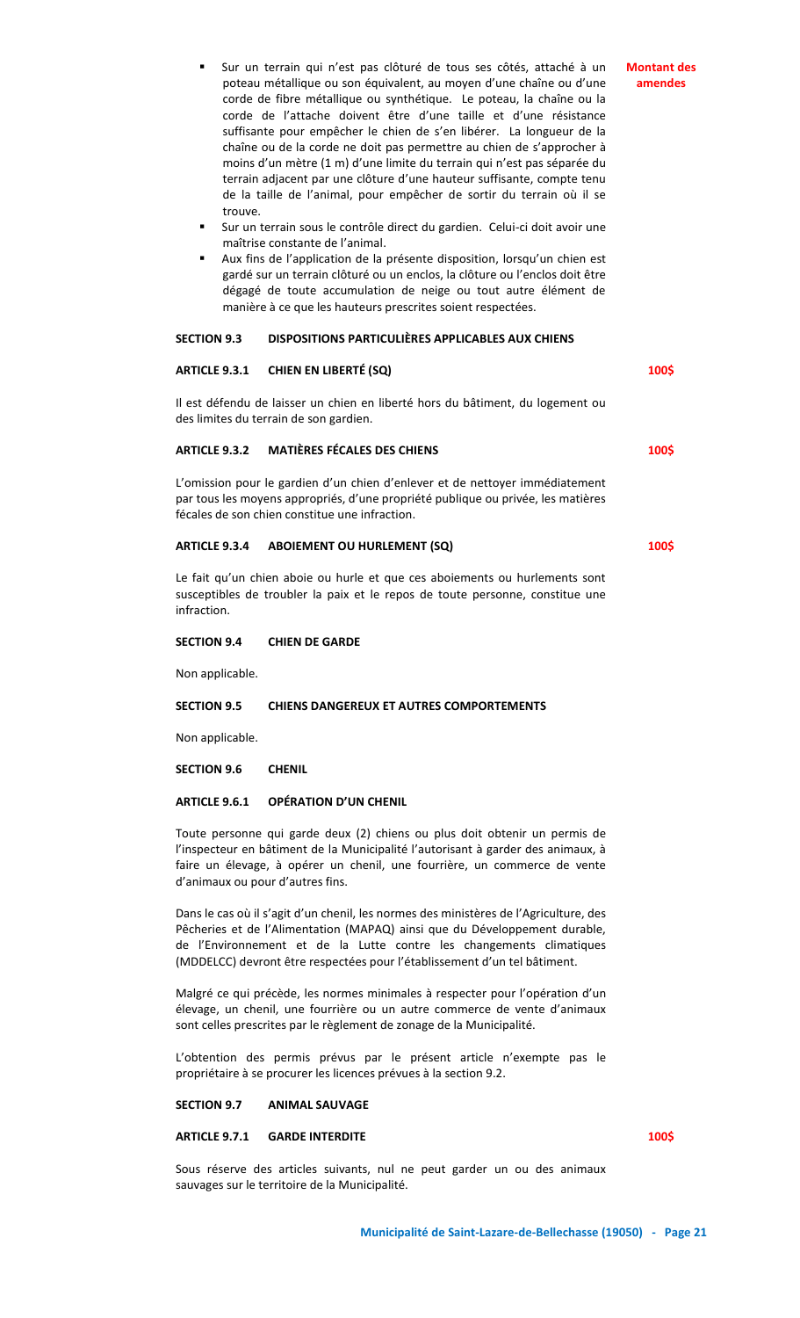- Sur un terrain sous le contrôle direct du gardien. Celui-ci doit avoir une maîtrise constante de l'animal.
- Aux fins de l'application de la présente disposition, lorsqu'un chien est gardé sur un terrain clôturé ou un enclos, la clôture ou l'enclos doit être dégagé de toute accumulation de neige ou tout autre élément de manière à ce que les hauteurs prescrites soient respectées.

#### **SECTION 9.3 DISPOSITIONS PARTICULIÈRES APPLICABLES AUX CHIENS**

# **ARTICLE 9.3.1 CHIEN EN LIBERTÉ (SQ)**

Il est défendu de laisser un chien en liberté hors du bâtiment, du logement ou des limites du terrain de son gardien.

# **ARTICLE 9.3.2 MATIÈRES FÉCALES DES CHIENS**

L'omission pour le gardien d'un chien d'enlever et de nettoyer immédiatement par tous les moyens appropriés, d'une propriété publique ou privée, les matières fécales de son chien constitue une infraction.

# **ARTICLE 9.3.4 ABOIEMENT OU HURLEMENT (SQ)**

Le fait qu'un chien aboie ou hurle et que ces aboiements ou hurlements sont susceptibles de troubler la paix et le repos de toute personne, constitue une infraction.

# **SECTION 9.4 CHIEN DE GARDE**

Non applicable.

#### **SECTION 9.5 CHIENS DANGEREUX ET AUTRES COMPORTEMENTS**

Non applicable.

**SECTION 9.6 CHENIL**

# **ARTICLE 9.6.1 OPÉRATION D'UN CHENIL**

Toute personne qui garde deux (2) chiens ou plus doit obtenir un permis de l'inspecteur en bâtiment de la Municipalité l'autorisant à garder des animaux, à faire un élevage, à opérer un chenil, une fourrière, un commerce de vente d'animaux ou pour d'autres fins.

Dans le cas où il s'agit d'un chenil, les normes des ministères de l'Agriculture, des Pêcheries et de l'Alimentation (MAPAQ) ainsi que du Développement durable, de l'Environnement et de la Lutte contre les changements climatiques (MDDELCC) devront être respectées pour l'établissement d'un tel bâtiment.

Malgré ce qui précède, les normes minimales à respecter pour l'opération d'un élevage, un chenil, une fourrière ou un autre commerce de vente d'animaux sont celles prescrites par le règlement de zonage de la Municipalité.

L'obtention des permis prévus par le présent article n'exempte pas le propriétaire à se procurer les licences prévues à la section 9.2.

#### **SECTION 9.7 ANIMAL SAUVAGE**

## **ARTICLE 9.7.1 GARDE INTERDITE**

**100\$**

Sous réserve des articles suivants, nul ne peut garder un ou des animaux sauvages sur le territoire de la Municipalité.

#### **Montant des amendes**

**100\$**

**100\$**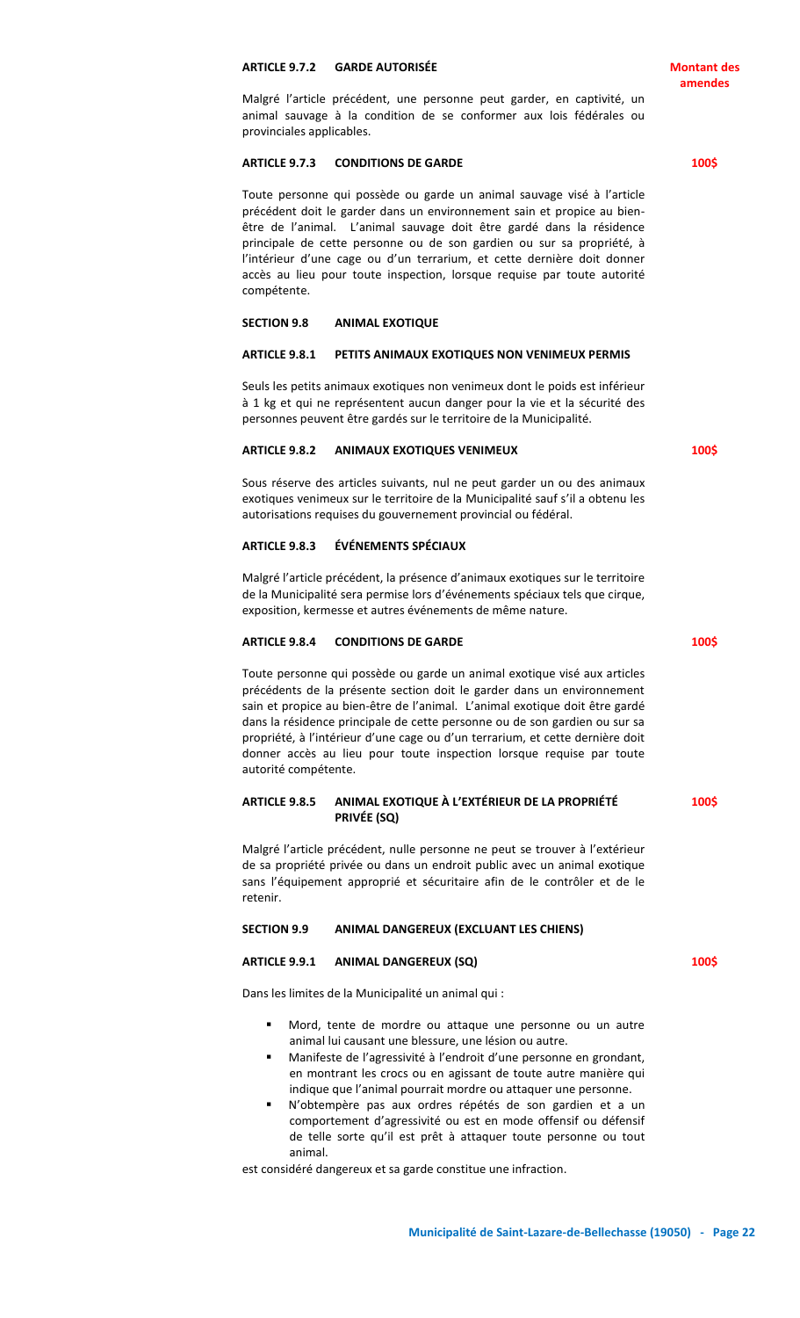# **ARTICLE 9.7.2 GARDE AUTORISÉE**

Malgré l'article précédent, une personne peut garder, en captivité, un animal sauvage à la condition de se conformer aux lois fédérales ou provinciales applicables.

#### **ARTICLE 9.7.3 CONDITIONS DE GARDE**

Toute personne qui possède ou garde un animal sauvage visé à l'article précédent doit le garder dans un environnement sain et propice au bienêtre de l'animal. L'animal sauvage doit être gardé dans la résidence principale de cette personne ou de son gardien ou sur sa propriété, à l'intérieur d'une cage ou d'un terrarium, et cette dernière doit donner accès au lieu pour toute inspection, lorsque requise par toute autorité compétente.

#### **SECTION 9.8 ANIMAL EXOTIQUE**

#### **ARTICLE 9.8.1 PETITS ANIMAUX EXOTIQUES NON VENIMEUX PERMIS**

Seuls les petits animaux exotiques non venimeux dont le poids est inférieur à 1 kg et qui ne représentent aucun danger pour la vie et la sécurité des personnes peuvent être gardés sur le territoire de la Municipalité.

#### **ARTICLE 9.8.2 ANIMAUX EXOTIQUES VENIMEUX**

Sous réserve des articles suivants, nul ne peut garder un ou des animaux exotiques venimeux sur le territoire de la Municipalité sauf s'il a obtenu les autorisations requises du gouvernement provincial ou fédéral.

#### **ARTICLE 9.8.3 ÉVÉNEMENTS SPÉCIAUX**

Malgré l'article précédent, la présence d'animaux exotiques sur le territoire de la Municipalité sera permise lors d'événements spéciaux tels que cirque, exposition, kermesse et autres événements de même nature.

#### **ARTICLE 9.8.4 CONDITIONS DE GARDE**

Toute personne qui possède ou garde un animal exotique visé aux articles précédents de la présente section doit le garder dans un environnement sain et propice au bien-être de l'animal. L'animal exotique doit être gardé dans la résidence principale de cette personne ou de son gardien ou sur sa propriété, à l'intérieur d'une cage ou d'un terrarium, et cette dernière doit donner accès au lieu pour toute inspection lorsque requise par toute autorité compétente.

#### **ARTICLE 9.8.5 ANIMAL EXOTIQUE À L'EXTÉRIEUR DE LA PROPRIÉTÉ PRIVÉE (SQ) 100\$**

Malgré l'article précédent, nulle personne ne peut se trouver à l'extérieur de sa propriété privée ou dans un endroit public avec un animal exotique sans l'équipement approprié et sécuritaire afin de le contrôler et de le retenir.

# **SECTION 9.9 ANIMAL DANGEREUX (EXCLUANT LES CHIENS)**

# **ARTICLE 9.9.1 ANIMAL DANGEREUX (SQ)**

Dans les limites de la Municipalité un animal qui :

- Mord, tente de mordre ou attaque une personne ou un autre animal lui causant une blessure, une lésion ou autre.
- Manifeste de l'agressivité à l'endroit d'une personne en grondant, en montrant les crocs ou en agissant de toute autre manière qui indique que l'animal pourrait mordre ou attaquer une personne.
- N'obtempère pas aux ordres répétés de son gardien et a un comportement d'agressivité ou est en mode offensif ou défensif de telle sorte qu'il est prêt à attaquer toute personne ou tout animal.

est considéré dangereux et sa garde constitue une infraction.

**100\$**

**100\$**

**100\$**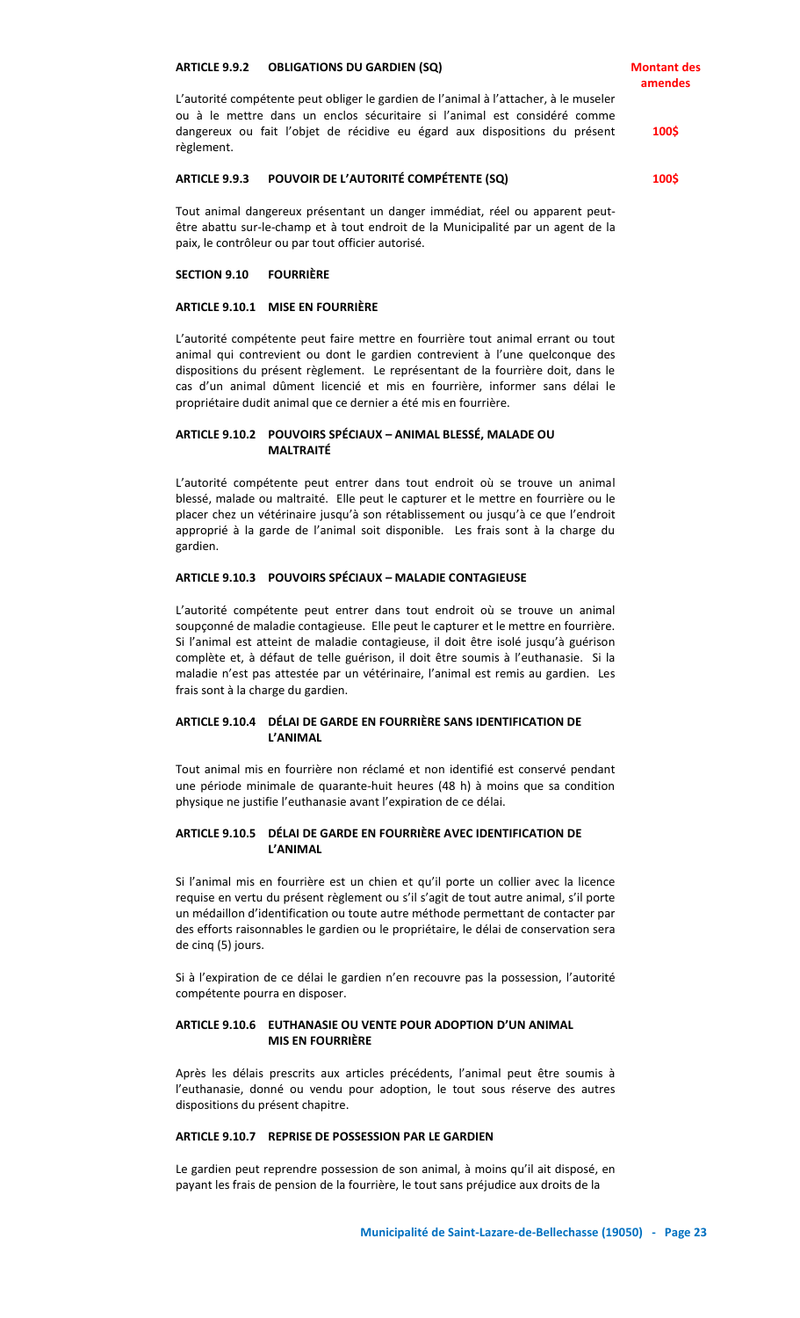**Montant des amendes**

L'autorité compétente peut obliger le gardien de l'animal à l'attacher, à le museler ou à le mettre dans un enclos sécuritaire si l'animal est considéré comme dangereux ou fait l'objet de récidive eu égard aux dispositions du présent règlement.

## **ARTICLE 9.9.3 POUVOIR DE L'AUTORITÉ COMPÉTENTE (SQ)**

**100\$**

**100\$**

Tout animal dangereux présentant un danger immédiat, réel ou apparent peutêtre abattu sur-le-champ et à tout endroit de la Municipalité par un agent de la paix, le contrôleur ou par tout officier autorisé.

# **SECTION 9.10 FOURRIÈRE**

## **ARTICLE 9.10.1 MISE EN FOURRIÈRE**

L'autorité compétente peut faire mettre en fourrière tout animal errant ou tout animal qui contrevient ou dont le gardien contrevient à l'une quelconque des dispositions du présent règlement. Le représentant de la fourrière doit, dans le cas d'un animal dûment licencié et mis en fourrière, informer sans délai le propriétaire dudit animal que ce dernier a été mis en fourrière.

# **ARTICLE 9.10.2 POUVOIRS SPÉCIAUX – ANIMAL BLESSÉ, MALADE OU MALTRAITÉ**

L'autorité compétente peut entrer dans tout endroit où se trouve un animal blessé, malade ou maltraité. Elle peut le capturer et le mettre en fourrière ou le placer chez un vétérinaire jusqu'à son rétablissement ou jusqu'à ce que l'endroit approprié à la garde de l'animal soit disponible. Les frais sont à la charge du gardien.

# **ARTICLE 9.10.3 POUVOIRS SPÉCIAUX – MALADIE CONTAGIEUSE**

L'autorité compétente peut entrer dans tout endroit où se trouve un animal soupçonné de maladie contagieuse. Elle peut le capturer et le mettre en fourrière. Si l'animal est atteint de maladie contagieuse, il doit être isolé jusqu'à guérison complète et, à défaut de telle guérison, il doit être soumis à l'euthanasie. Si la maladie n'est pas attestée par un vétérinaire, l'animal est remis au gardien. Les frais sont à la charge du gardien.

# **ARTICLE 9.10.4 DÉLAI DE GARDE EN FOURRIÈRE SANS IDENTIFICATION DE L'ANIMAL**

Tout animal mis en fourrière non réclamé et non identifié est conservé pendant une période minimale de quarante-huit heures (48 h) à moins que sa condition physique ne justifie l'euthanasie avant l'expiration de ce délai.

# **ARTICLE 9.10.5 DÉLAI DE GARDE EN FOURRIÈRE AVEC IDENTIFICATION DE L'ANIMAL**

Si l'animal mis en fourrière est un chien et qu'il porte un collier avec la licence requise en vertu du présent règlement ou s'il s'agit de tout autre animal, s'il porte un médaillon d'identification ou toute autre méthode permettant de contacter par des efforts raisonnables le gardien ou le propriétaire, le délai de conservation sera de cinq (5) jours.

Si à l'expiration de ce délai le gardien n'en recouvre pas la possession, l'autorité compétente pourra en disposer.

# **ARTICLE 9.10.6 EUTHANASIE OU VENTE POUR ADOPTION D'UN ANIMAL MIS EN FOURRIÈRE**

Après les délais prescrits aux articles précédents, l'animal peut être soumis à l'euthanasie, donné ou vendu pour adoption, le tout sous réserve des autres dispositions du présent chapitre.

# **ARTICLE 9.10.7 REPRISE DE POSSESSION PAR LE GARDIEN**

Le gardien peut reprendre possession de son animal, à moins qu'il ait disposé, en payant les frais de pension de la fourrière, le tout sans préjudice aux droits de la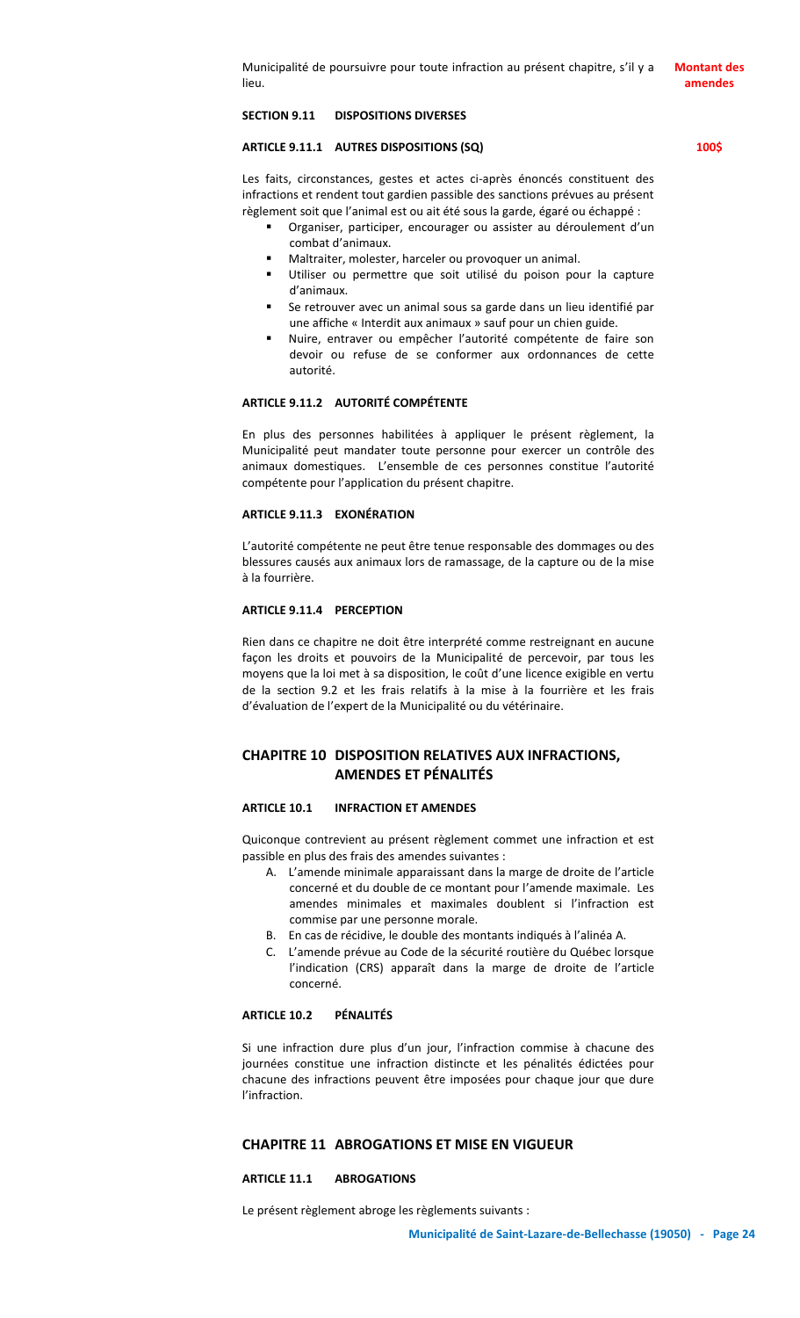# **SECTION 9.11 DISPOSITIONS DIVERSES**

# **ARTICLE 9.11.1 AUTRES DISPOSITIONS (SQ)**

Les faits, circonstances, gestes et actes ci-après énoncés constituent des infractions et rendent tout gardien passible des sanctions prévues au présent règlement soit que l'animal est ou ait été sous la garde, égaré ou échappé :

- Organiser, participer, encourager ou assister au déroulement d'un combat d'animaux.
- Maltraiter, molester, harceler ou provoquer un animal.
- Utiliser ou permettre que soit utilisé du poison pour la capture d'animaux.
- Se retrouver avec un animal sous sa garde dans un lieu identifié par une affiche « Interdit aux animaux » sauf pour un chien guide.
- Nuire, entraver ou empêcher l'autorité compétente de faire son devoir ou refuse de se conformer aux ordonnances de cette autorité.

# **ARTICLE 9.11.2 AUTORITÉ COMPÉTENTE**

En plus des personnes habilitées à appliquer le présent règlement, la Municipalité peut mandater toute personne pour exercer un contrôle des animaux domestiques. L'ensemble de ces personnes constitue l'autorité compétente pour l'application du présent chapitre.

#### **ARTICLE 9.11.3 EXONÉRATION**

L'autorité compétente ne peut être tenue responsable des dommages ou des blessures causés aux animaux lors de ramassage, de la capture ou de la mise à la fourrière.

#### **ARTICLE 9.11.4 PERCEPTION**

Rien dans ce chapitre ne doit être interprété comme restreignant en aucune façon les droits et pouvoirs de la Municipalité de percevoir, par tous les moyens que la loi met à sa disposition, le coût d'une licence exigible en vertu de la section 9.2 et les frais relatifs à la mise à la fourrière et les frais d'évaluation de l'expert de la Municipalité ou du vétérinaire.

# **CHAPITRE 10 DISPOSITION RELATIVES AUX INFRACTIONS, AMENDES ET PÉNALITÉS**

#### **ARTICLE 10.1 INFRACTION ET AMENDES**

Quiconque contrevient au présent règlement commet une infraction et est passible en plus des frais des amendes suivantes :

- A. L'amende minimale apparaissant dans la marge de droite de l'article concerné et du double de ce montant pour l'amende maximale. Les amendes minimales et maximales doublent si l'infraction est commise par une personne morale.
- B. En cas de récidive, le double des montants indiqués à l'alinéa A.
- C. L'amende prévue au Code de la sécurité routière du Québec lorsque l'indication (CRS) apparaît dans la marge de droite de l'article concerné.

#### **ARTICLE 10.2 PÉNALITÉS**

Si une infraction dure plus d'un jour, l'infraction commise à chacune des journées constitue une infraction distincte et les pénalités édictées pour chacune des infractions peuvent être imposées pour chaque jour que dure l'infraction.

# **CHAPITRE 11 ABROGATIONS ET MISE EN VIGUEUR**

#### **ARTICLE 11.1 ABROGATIONS**

Le présent règlement abroge les règlements suivants :

**amendes**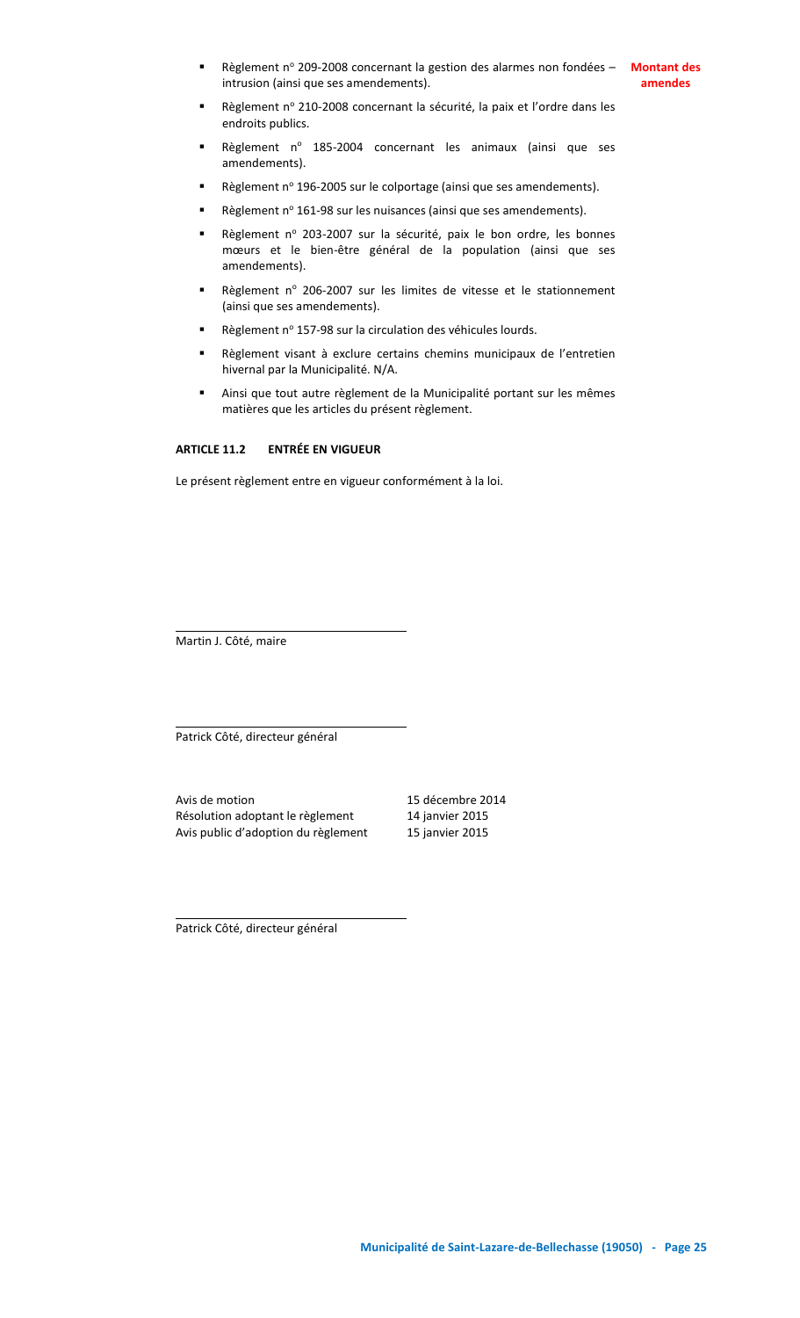**Reglement nº 209-2008 concernant la gestion des alarmes non fondées – Montant des** intrusion (ainsi que ses amendements).

**amendes**

- Règlement nº 210-2008 concernant la sécurité, la paix et l'ordre dans les endroits publics.
- Règlement nº 185-2004 concernant les animaux (ainsi que ses amendements).
- Règlement nº 196-2005 sur le colportage (ainsi que ses amendements).
- Règlement nº 161-98 sur les nuisances (ainsi que ses amendements).
- Règlement nº 203-2007 sur la sécurité, paix le bon ordre, les bonnes mœurs et le bien-être général de la population (ainsi que ses amendements).
- Règlement nº 206-2007 sur les limites de vitesse et le stationnement (ainsi que ses amendements).
- Règlement nº 157-98 sur la circulation des véhicules lourds.
- Règlement visant à exclure certains chemins municipaux de l'entretien hivernal par la Municipalité. N/A.
- Ainsi que tout autre règlement de la Municipalité portant sur les mêmes matières que les articles du présent règlement.

# **ARTICLE 11.2 ENTRÉE EN VIGUEUR**

Le présent règlement entre en vigueur conformément à la loi.

Martin J. Côté, maire

Patrick Côté, directeur général

Avis de motion de la component de la 15 décembre 2014 Résolution adoptant le règlement 14 janvier 2015 Avis public d'adoption du règlement 15 janvier 2015

Patrick Côté, directeur général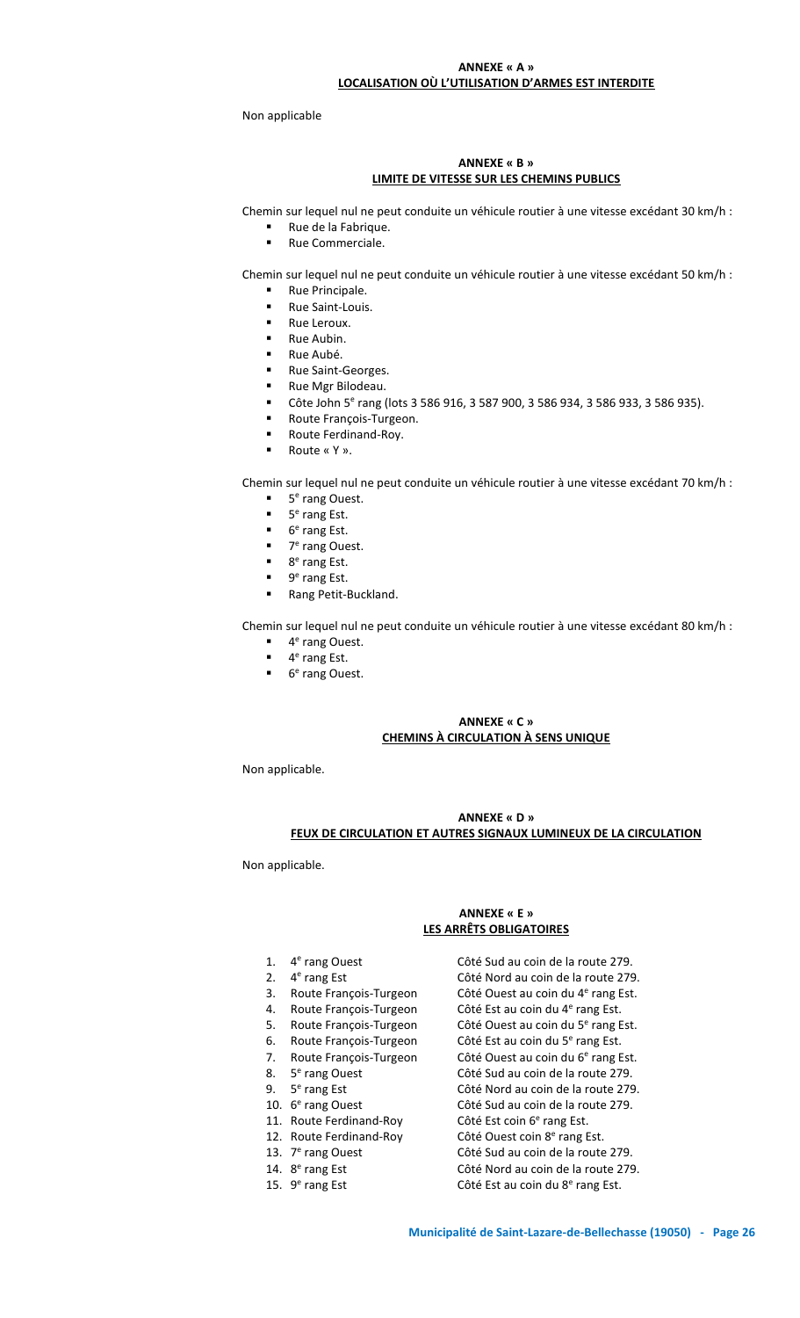# **ANNEXE « A » LOCALISATION OÙ L'UTILISATION D'ARMES EST INTERDITE**

Non applicable

# **ANNEXE « B » LIMITE DE VITESSE SUR LES CHEMINS PUBLICS**

Chemin sur lequel nul ne peut conduite un véhicule routier à une vitesse excédant 30 km/h :

- Rue de la Fabrique.
	- Rue Commerciale.

Chemin sur lequel nul ne peut conduite un véhicule routier à une vitesse excédant 50 km/h :

- Rue Principale.
- Rue Saint-Louis.
- Rue Leroux.
- Rue Aubin.
- Rue Aubé.
- Rue Saint-Georges.
- Rue Mgr Bilodeau.
- Côte John 5<sup>e</sup> rang (lots 3 586 916, 3 587 900, 3 586 934, 3 586 933, 3 586 935).
- Route François-Turgeon.
- Route Ferdinand-Roy.
- Route « Y ».

Chemin sur lequel nul ne peut conduite un véhicule routier à une vitesse excédant 70 km/h :

- **5<sup>e</sup>** rang Ouest.
- $\blacksquare$  5<sup>e</sup> rang Est.
- $\blacksquare$  6<sup>e</sup> rang Est.
- 7<sup>e</sup> rang Ouest.
- 8<sup>e</sup> rang Est.
- $\blacksquare$  9<sup>e</sup> rang Est.
- Rang Petit-Buckland.

Chemin sur lequel nul ne peut conduite un véhicule routier à une vitesse excédant 80 km/h :

- **4<sup>e</sup>** rang Ouest.
- $\blacksquare$  4<sup>e</sup> rang Est.
- **6<sup>e</sup> rang Ouest.**

# **ANNEXE « C » CHEMINS À CIRCULATION À SENS UNIQUE**

Non applicable.

# **ANNEXE « D » FEUX DE CIRCULATION ET AUTRES SIGNAUX LUMINEUX DE LA CIRCULATION**

Non applicable.

# **ANNEXE « E » LES ARRÊTS OBLIGATOIRES**

Côté Sud au coin de la route 279.

Côté Nord au coin de la route 279.

Côté Ouest au coin du 4<sup>e</sup> rang Est.

Côté Ouest au coin du 5<sup>e</sup> rang Est.

Côté Sud au coin de la route 279.

Côté Nord au coin de la route 279.

Côté Sud au coin de la route 279.

Côté Sud au coin de la route 279.

Côté Nord au coin de la route 279.

Côté Est coin 6<sup>e</sup> rang Est.

Côté Ouest coin 8<sup>e</sup> rang Est.

Côté Est au coin du 4<sup>e</sup> rang Est.

Côté Est au coin du 5<sup>e</sup> rang Est.

- 1.  $4^e$
- 2.  $4^e$
- 3. Route François-Turgeon Côté Ouest au coin du 4<sup>e</sup>
- 4. Route François-Turgeon
- 5. Route François-Turgeon
- 6. Route François-Turgeon
- 7. Route François-Turgeon
- 8.  $5^e$
- 9. 5 e
- 10.  $6^e$
- 11. Route Ferdinand-Roy
- 12. Route Ferdinand-Roy
- 13.  $7^e$
- 14.  $8^e$
- 15.  $9^e$ rang Est **Côté Est au coin du 8<sup>e</sup> rang Est**.

<sup>e</sup> rang Est.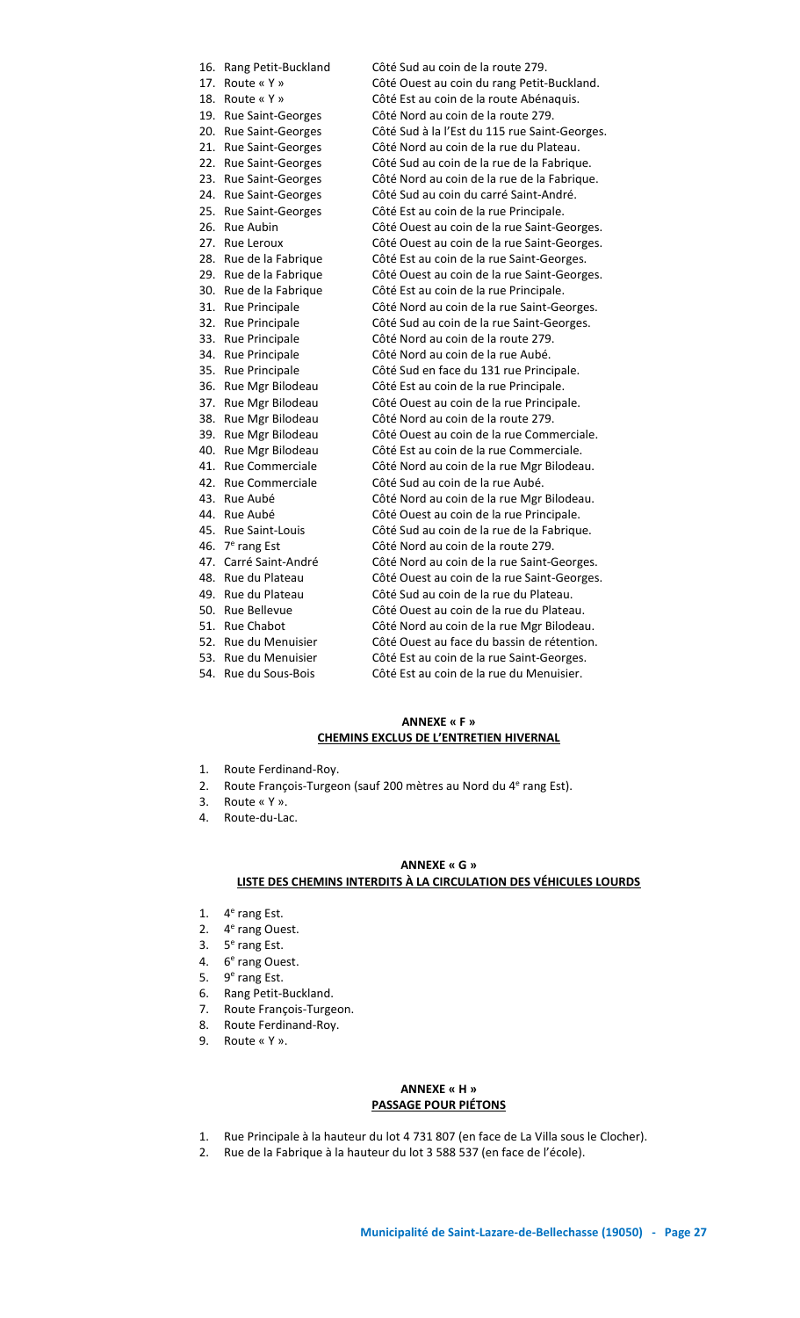16. Rang Petit-Buckland Côté Sud au coin de la route 279. 17. Route « Y » Côté Ouest au coin du rang Petit-Buckland. 18. Route « Y » Côté Est au coin de la route Abénaquis. 19. Rue Saint-Georges Côté Nord au coin de la route 279. 20. Rue Saint-Georges Côté Sud à la l'Est du 115 rue Saint-Georges. 21. Rue Saint-Georges Côté Nord au coin de la rue du Plateau. 22. Rue Saint-Georges Côté Sud au coin de la rue de la Fabrique. 23. Rue Saint-Georges Côté Nord au coin de la rue de la Fabrique. 24. Rue Saint-Georges Côté Sud au coin du carré Saint-André. 25. Rue Saint-Georges Côté Est au coin de la rue Principale. 26. Rue Aubin Côté Ouest au coin de la rue Saint-Georges.<br>27. Rue Leroux Côté Ouest au coin de la rue Saint-Georges. Côté Ouest au coin de la rue Saint-Georges. 28. Rue de la Fabrique Côté Est au coin de la rue Saint-Georges. 29. Rue de la Fabrique Côté Ouest au coin de la rue Saint-Georges. 30. Rue de la Fabrique Côté Est au coin de la rue Principale. 31. Rue Principale Côté Nord au coin de la rue Saint-Georges.<br>32. Rue Principale Côté Sud au coin de la rue Saint-Georges. Côté Sud au coin de la rue Saint-Georges. 33. Rue Principale Côté Nord au coin de la route 279. 34. Rue Principale Côté Nord au coin de la rue Aubé.<br>35. Rue Principale Côté Sud en face du 131 rue Princ Côté Sud en face du 131 rue Principale. 36. Rue Mgr Bilodeau Côté Est au coin de la rue Principale. 37. Rue Mgr Bilodeau Côté Ouest au coin de la rue Principale. 38. Rue Mgr Bilodeau Côté Nord au coin de la route 279. 39. Rue Mgr Bilodeau Côté Ouest au coin de la rue Commerciale. 40. Rue Mgr Bilodeau Côté Est au coin de la rue Commerciale. 41. Rue Commerciale Côté Nord au coin de la rue Mgr Bilodeau.<br>42. Rue Commerciale Côté Sud au coin de la rue Aubé. 42. Rue Commerciale Côté Sud au coin de la rue Aubé.<br>43. Rue Aubé Côté Nord au coin de la rue Mgr Côté Nord au coin de la rue Mgr Bilodeau. 44. Rue Aubé Côté Ouest au coin de la rue Principale. 45. Rue Saint-Louis Côté Sud au coin de la rue de la Fabrique. 46. 7<sup>e</sup> 46.  $7^e$  rang Est Côté Nord au coin de la route 279.<br>47. Carré Saint-André Côté Nord au coin de la rue Saint-C Côté Nord au coin de la rue Saint-Georges. 48. Rue du Plateau Côté Ouest au coin de la rue Saint-Georges. 49. Rue du Plateau Côté Sud au coin de la rue du Plateau. 50. Rue Bellevue Côté Ouest au coin de la rue du Plateau. 51. Rue Chabot Côté Nord au coin de la rue Mgr Bilodeau. 52. Rue du Menuisier Côté Ouest au face du bassin de rétention.<br>53. Rue du Menuisier Côté Est au coin de la rue Saint-Georges. Côté Est au coin de la rue Saint-Georges. 54. Rue du Sous-Bois Côté Est au coin de la rue du Menuisier.

# **ANNEXE « F » CHEMINS EXCLUS DE L'ENTRETIEN HIVERNAL**

- 1. Route Ferdinand-Roy.
- 2. Route François-Turgeon (sauf 200 mètres au Nord du 4<sup>e</sup> rang Est).
- 3. Route « Y ».
- 4. Route-du-Lac.

# **ANNEXE « G » LISTE DES CHEMINS INTERDITS À LA CIRCULATION DES VÉHICULES LOURDS**

- 1.  $4^e$  rang Est.
- 2. 4<sup>e</sup> rang Ouest.
- 3. 5<sup>e</sup> rang Est.
- 4. 6<sup>e</sup> rang Ouest.
- 5. 9<sup>e</sup> rang Est.
- 6. Rang Petit-Buckland.
- 7. Route François-Turgeon.
- 8. Route Ferdinand-Roy.
- 9. Route « Y ».

# **ANNEXE « H » PASSAGE POUR PIÉTONS**

- 1. Rue Principale à la hauteur du lot 4 731 807 (en face de La Villa sous le Clocher).
- 2. Rue de la Fabrique à la hauteur du lot 3 588 537 (en face de l'école).